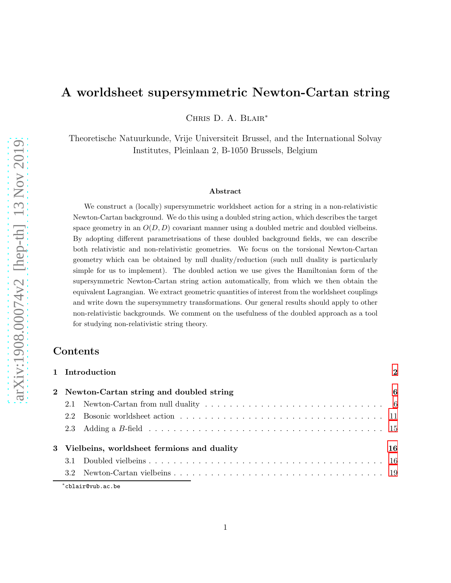# A worldsheet supersymmetric Newton-Cartan string

Chris D. A. Blair<sup>∗</sup>

Theoretische Natuurkunde, Vrije Universiteit Brussel, and the International Solvay Institutes, Pleinlaan 2, B-1050 Brussels, Belgium

#### Abstract

We construct a (locally) supersymmetric worldsheet action for a string in a non-relativistic Newton-Cartan background. We do this using a doubled string action, which describes the target space geometry in an  $O(D, D)$  covariant manner using a doubled metric and doubled vielbeins. By adopting different parametrisations of these doubled background fields, we can describe both relativistic and non-relativistic geometries. We focus on the torsional Newton-Cartan geometry which can be obtained by null duality/reduction (such null duality is particularly simple for us to implement). The doubled action we use gives the Hamiltonian form of the supersymmetric Newton-Cartan string action automatically, from which we then obtain the equivalent Lagrangian. We extract geometric quantities of interest from the worldsheet couplings and write down the supersymmetry transformations. Our general results should apply to other non-relativistic backgrounds. We comment on the usefulness of the doubled approach as a tool for studying non-relativistic string theory.

## Contents

| 1 Introduction                               | $\mathbf{2}$ |
|----------------------------------------------|--------------|
| 2 Newton-Cartan string and doubled string    | 6            |
| 2.1                                          |              |
| 2.2                                          |              |
|                                              |              |
| 3 Vielbeins, worldsheet fermions and duality | 16           |
|                                              |              |
|                                              |              |
| *cblair@vub.ac.be                            |              |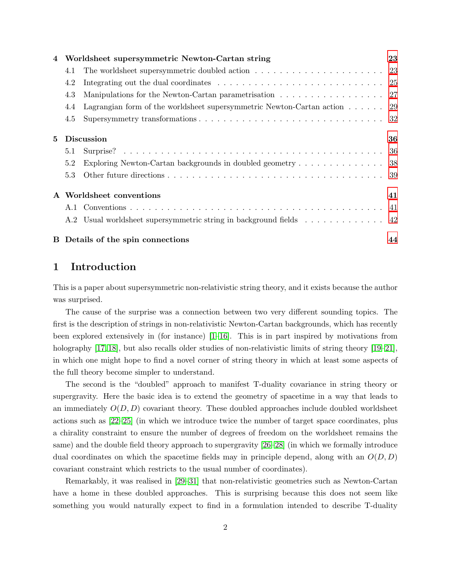|   |     | Worldsheet supersymmetric Newton-Cartan string                                           | 23 |
|---|-----|------------------------------------------------------------------------------------------|----|
|   | 4.1 |                                                                                          |    |
|   | 4.2 |                                                                                          |    |
|   | 4.3 |                                                                                          |    |
|   | 4.4 | Lagrangian form of the worldsheet supersymmetric Newton-Cartan action $\ldots \ldots$ 29 |    |
|   | 4.5 |                                                                                          |    |
| 5 |     | <b>Discussion</b>                                                                        | 36 |
|   | 5.1 |                                                                                          |    |
|   | 5.2 | Exploring Newton-Cartan backgrounds in doubled geometry 38                               |    |
|   | 5.3 |                                                                                          |    |
|   |     | Worldsheet conventions                                                                   | 41 |
|   |     |                                                                                          |    |
|   |     | A.2 Usual worldsheet supersymmetric string in background fields 42                       |    |
|   |     | B Details of the spin connections                                                        | 44 |

# <span id="page-1-0"></span>1 Introduction

This is a paper about supersymmetric non-relativistic string theory, and it exists because the author was surprised.

The cause of the surprise was a connection between two very different sounding topics. The first is the description of strings in non-relativistic Newton-Cartan backgrounds, which has recently been explored extensively in (for instance) [\[1–](#page-47-0)[16\]](#page-48-0). This is in part inspired by motivations from holography [\[17,](#page-48-1) [18\]](#page-48-2), but also recalls older studies of non-relativistic limits of string theory [\[19–](#page-48-3)[21\]](#page-48-4), in which one might hope to find a novel corner of string theory in which at least some aspects of the full theory become simpler to understand.

The second is the "doubled" approach to manifest T-duality covariance in string theory or supergravity. Here the basic idea is to extend the geometry of spacetime in a way that leads to an immediately  $O(D, D)$  covariant theory. These doubled approaches include doubled worldsheet actions such as [\[22](#page-48-5)[–25\]](#page-48-6) (in which we introduce twice the number of target space coordinates, plus a chirality constraint to ensure the number of degrees of freedom on the worldsheet remains the same) and the double field theory approach to supergravity [\[26](#page-48-7)[–28\]](#page-48-8) (in which we formally introduce dual coordinates on which the spacetime fields may in principle depend, along with an  $O(D, D)$ covariant constraint which restricts to the usual number of coordinates).

Remarkably, it was realised in [\[29–](#page-48-9)[31\]](#page-49-0) that non-relativistic geometries such as Newton-Cartan have a home in these doubled approaches. This is surprising because this does not seem like something you would naturally expect to find in a formulation intended to describe T-duality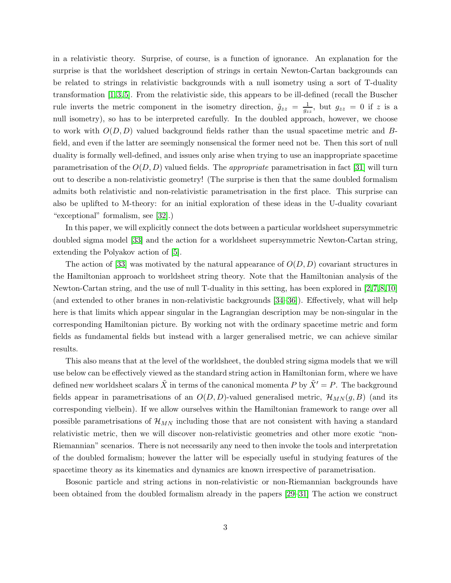in a relativistic theory. Surprise, of course, is a function of ignorance. An explanation for the surprise is that the worldsheet description of strings in certain Newton-Cartan backgrounds can be related to strings in relativistic backgrounds with a null isometry using a sort of T-duality transformation [\[1,](#page-47-0) [3,](#page-47-1) [5\]](#page-47-2). From the relativistic side, this appears to be ill-defined (recall the Buscher rule inverts the metric component in the isometry direction,  $\tilde{g}_{zz} = \frac{1}{g_z}$  $\frac{1}{g_{zz}}$ , but  $g_{zz} = 0$  if z is a null isometry), so has to be interpreted carefully. In the doubled approach, however, we choose to work with  $O(D, D)$  valued background fields rather than the usual spacetime metric and Bfield, and even if the latter are seemingly nonsensical the former need not be. Then this sort of null duality is formally well-defined, and issues only arise when trying to use an inappropriate spacetime parametrisation of the  $O(D, D)$  valued fields. The *appropriate* parametrisation in fact [\[31\]](#page-49-0) will turn out to describe a non-relativistic geometry! (The surprise is then that the same doubled formalism admits both relativistic and non-relativistic parametrisation in the first place. This surprise can also be uplifted to M-theory: for an initial exploration of these ideas in the U-duality covariant "exceptional" formalism, see [\[32\]](#page-49-1).)

In this paper, we will explicitly connect the dots between a particular worldsheet supersymmetric doubled sigma model [\[33\]](#page-49-2) and the action for a worldsheet supersymmetric Newton-Cartan string, extending the Polyakov action of [\[5\]](#page-47-2).

The action of [\[33\]](#page-49-2) was motivated by the natural appearance of  $O(D, D)$  covariant structures in the Hamiltonian approach to worldsheet string theory. Note that the Hamiltonian analysis of the Newton-Cartan string, and the use of null T-duality in this setting, has been explored in [\[2,](#page-47-3)[7,](#page-47-4)[8,](#page-47-5)[10\]](#page-47-6) (and extended to other branes in non-relativistic backgrounds [\[34](#page-49-3)[–36\]](#page-49-4)). Effectively, what will help here is that limits which appear singular in the Lagrangian description may be non-singular in the corresponding Hamiltonian picture. By working not with the ordinary spacetime metric and form fields as fundamental fields but instead with a larger generalised metric, we can achieve similar results.

This also means that at the level of the worldsheet, the doubled string sigma models that we will use below can be effectively viewed as the standard string action in Hamiltonian form, where we have defined new worldsheet scalars  $\tilde{X}$  in terms of the canonical momenta P by  $\tilde{X}' = P$ . The background fields appear in parametrisations of an  $O(D, D)$ -valued generalised metric,  $\mathcal{H}_{MN}(g, B)$  (and its corresponding vielbein). If we allow ourselves within the Hamiltonian framework to range over all possible parametrisations of  $\mathcal{H}_{MN}$  including those that are not consistent with having a standard relativistic metric, then we will discover non-relativistic geometries and other more exotic "non-Riemannian" scenarios. There is not necessarily any need to then invoke the tools and interpretation of the doubled formalism; however the latter will be especially useful in studying features of the spacetime theory as its kinematics and dynamics are known irrespective of parametrisation.

Bosonic particle and string actions in non-relativistic or non-Riemannian backgrounds have been obtained from the doubled formalism already in the papers [\[29](#page-48-9)[–31\]](#page-49-0) The action we construct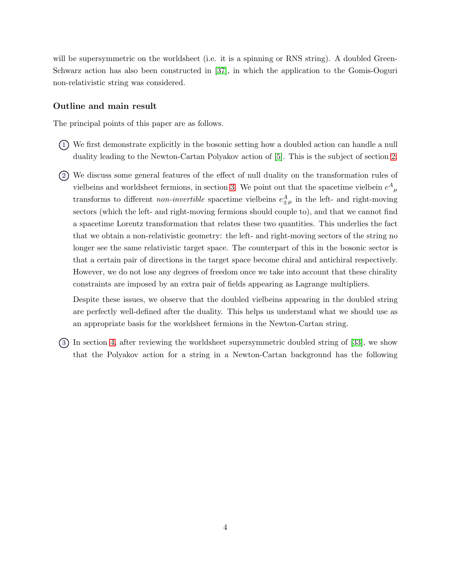will be supersymmetric on the worldsheet (i.e. it is a spinning or RNS string). A doubled Green-Schwarz action has also been constructed in [\[37\]](#page-49-5), in which the application to the Gomis-Ooguri non-relativistic string was considered.

#### Outline and main result

The principal points of this paper are as follows.

- 1 We first demonstrate explicitly in the bosonic setting how a doubled action can handle a null duality leading to the Newton-Cartan Polyakov action of [\[5\]](#page-47-2). This is the subject of section [2.](#page-5-0)
- 2 We discuss some general features of the effect of null duality on the transformation rules of vielbeins and worldsheet fermions, in section [3.](#page-15-0) We point out that the spacetime vielbein  $e^{A}{}_{\mu}$ transforms to different *non-invertible* spacetime vielbeins  $e_{\pm\mu}^A$  in the left- and right-moving sectors (which the left- and right-moving fermions should couple to), and that we cannot find a spacetime Lorentz transformation that relates these two quantities. This underlies the fact that we obtain a non-relativistic geometry: the left- and right-moving sectors of the string no longer see the same relativistic target space. The counterpart of this in the bosonic sector is that a certain pair of directions in the target space become chiral and antichiral respectively. However, we do not lose any degrees of freedom once we take into account that these chirality constraints are imposed by an extra pair of fields appearing as Lagrange multipliers.

Despite these issues, we observe that the doubled vielbeins appearing in the doubled string are perfectly well-defined after the duality. This helps us understand what we should use as an appropriate basis for the worldsheet fermions in the Newton-Cartan string.

3 In section [4,](#page-22-0) after reviewing the worldsheet supersymmetric doubled string of [\[33\]](#page-49-2), we show that the Polyakov action for a string in a Newton-Cartan background has the following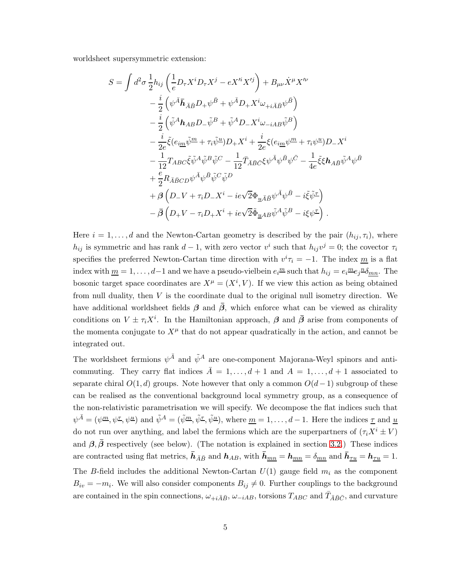worldsheet supersymmetric extension:

$$
S = \int d^2 \sigma \frac{1}{2} h_{ij} \left( \frac{1}{e} D_\tau X^i D_\tau X^j - e X'^i X'^j \right) + B_{\mu\nu} \dot{X}^\mu X'^\nu
$$
  
\n
$$
- \frac{i}{2} \left( \psi^{\bar{A}} \bar{h}_{\bar{A}\bar{B}} D_+ \psi^{\bar{B}} + \psi^{\bar{A}} D_+ X^i \omega_{+i\bar{A}\bar{B}} \psi^{\bar{B}} \right)
$$
  
\n
$$
- \frac{i}{2} \left( \tilde{\psi}^A h_{AB} D_- \tilde{\psi}^B + \tilde{\psi}^A D_- X^i \omega_{-iAB} \tilde{\psi}^B \right)
$$
  
\n
$$
- \frac{i}{2e} \tilde{\xi} (e_{i\underline{m}} \tilde{\psi}^{\underline{m}} + \tau_i \tilde{\psi}^{\underline{u}}) D_+ X^i + \frac{i}{2e} \xi (e_{i\underline{m}} \psi^{\underline{m}} + \tau_i \psi^{\underline{u}}) D_- X^i
$$
  
\n
$$
- \frac{1}{12} T_{ABC} \tilde{\xi} \tilde{\psi}^A \tilde{\psi}^B \tilde{\psi}^C - \frac{1}{12} \bar{T}_{\bar{A}\bar{B}\bar{C}} \xi \psi^{\bar{A}} \psi^{\bar{B}} \psi^{\bar{C}} - \frac{1}{4e} \tilde{\xi} \xi h_{A\bar{B}} \tilde{\psi}^A \psi^{\bar{B}}
$$
  
\n
$$
+ \frac{e}{2} R_{\bar{A}\bar{B}CD} \psi^{\bar{A}} \psi^{\bar{B}} \tilde{\psi}^C \tilde{\psi}^D
$$
  
\n
$$
+ \beta \left( D_- V + \tau_i D_- X^i - ie \sqrt{2} \Phi_{\underline{u}\bar{A}\bar{B}} \psi^{\bar{A}} \psi^{\bar{B}} - i \tilde{\xi} \tilde{\psi}^{\underline{\tau}} \right)
$$
  
\n
$$
- \bar{\beta} \left( D_+ V - \tau_i D_+ X^i + ie \sqrt{2} \tilde{\Phi}_{\underline{u}AB} \tilde{\psi}^A \tilde{\psi}^B - i \xi \psi^{\underline{\tau}} \right).
$$

Here  $i = 1, \ldots, d$  and the Newton-Cartan geometry is described by the pair  $(h_{ij}, \tau_i)$ , where  $h_{ij}$  is symmetric and has rank  $d-1$ , with zero vector  $v^i$  such that  $h_{ij}v^j = 0$ ; the covector  $\tau_i$ specifies the preferred Newton-Cartan time direction with  $v^i \tau_i = -1$ . The index  $\underline{m}$  is a flat index with  $\underline{m} = 1, \ldots, d-1$  and we have a pseudo-vielbein  $e_i^{\underline{m}}$  such that  $h_{ij} = e_i^{\underline{m}} e_j^{\underline{n}} \delta_{\underline{m}\underline{n}}$ . The bosonic target space coordinates are  $X^{\mu} = (X^{i}, V)$ . If we view this action as being obtained from null duality, then  $V$  is the coordinate dual to the original null isometry direction. We have additional worldsheet fields  $\beta$  and  $\overline{\beta}$ , which enforce what can be viewed as chirality conditions on  $V \pm \tau_i X^i$ . In the Hamiltonian approach,  $\beta$  and  $\bar{\beta}$  arise from components of the momenta conjugate to  $X^{\mu}$  that do not appear quadratically in the action, and cannot be integrated out.

The worldsheet fermions  $\psi^{\bar{A}}$  and  $\tilde{\psi}^A$  are one-component Majorana-Weyl spinors and anticommuting. They carry flat indices  $\overline{A} = 1, \ldots, d + 1$  and  $A = 1, \ldots, d + 1$  associated to separate chiral  $O(1, d)$  groups. Note however that only a common  $O(d-1)$  subgroup of these can be realised as the conventional background local symmetry group, as a consequence of the non-relativistic parametrisation we will specify. We decompose the flat indices such that  $\psi^{\bar{A}} = (\psi^{\underline{m}}, \psi^{\underline{\tau}}, \psi^{\underline{u}})$  and  $\tilde{\psi}^A = (\tilde{\psi}^{\underline{m}}, \tilde{\psi}^{\underline{\tau}}, \tilde{\psi}^{\underline{u}})$ , where  $\underline{m} = 1, \dots, d-1$ . Here the indices  $\underline{\tau}$  and  $\underline{u}$ do not run over anything, and label the fermions which are the superpartners of  $(\tau_i X^i \pm V)$ and  $\beta, \bar{\beta}$  respectively (see below). (The notation is explained in section [3.2.](#page-18-0)) These indices are contracted using flat metrics,  $\bar{h}_{\bar{A}\bar{B}}$  and  $h_{AB}$ , with  $\bar{h}_{\underline{m}\underline{n}} = h_{\underline{m}\underline{n}} = \delta_{\underline{m}\underline{n}}$  and  $\bar{h}_{\underline{\tau}\underline{u}} = h_{\underline{\tau}\underline{u}} = 1$ . The B-field includes the additional Newton-Cartan  $U(1)$  gauge field  $m_i$  as the component  $B_{iv} = -m_i$ . We will also consider components  $B_{ij} \neq 0$ . Further couplings to the background are contained in the spin connections,  $\omega_{+i\bar{A}\bar{B}}$ ,  $\omega_{-iAB}$ , torsions  $T_{ABC}$  and  $\bar{T}_{\bar{A}\bar{B}\bar{C}}$ , and curvature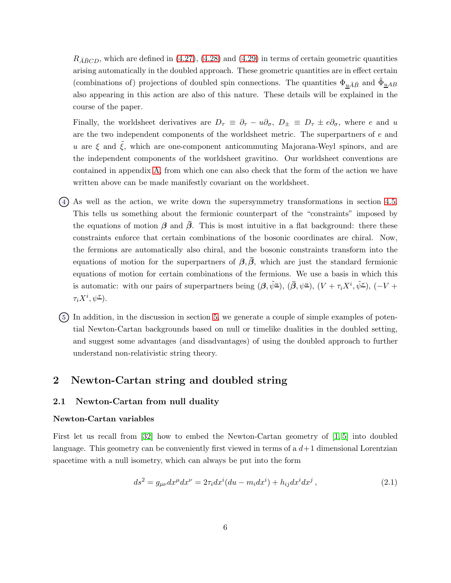$R_{\bar{A}\bar{B}CD}$ , which are defined in [\(4.27\)](#page-28-1), [\(4.28\)](#page-28-2) and [\(4.29\)](#page-28-3) in terms of certain geometric quantities arising automatically in the doubled approach. These geometric quantities are in effect certain (combinations of) projections of doubled spin connections. The quantities  $\Phi_{\underline{u}\bar{A}\bar{B}}$  and  $\tilde{\Phi}_{\underline{u}AB}$ also appearing in this action are also of this nature. These details will be explained in the course of the paper.

Finally, the worldsheet derivatives are  $D_{\tau} \equiv \partial_{\tau} - u \partial_{\sigma}$ ,  $D_{\pm} \equiv D_{\tau} \pm e \partial_{\sigma}$ , where e and u are the two independent components of the worldsheet metric. The superpartners of e and u are  $\xi$  and  $\tilde{\xi}$ , which are one-component anticommuting Majorana-Weyl spinors, and are the independent components of the worldsheet gravitino. Our worldsheet conventions are contained in appendix [A,](#page-40-0) from which one can also check that the form of the action we have written above can be made manifestly covariant on the worldsheet.

- 4 As well as the action, we write down the supersymmetry transformations in section [4.5.](#page-31-0) This tells us something about the fermionic counterpart of the "constraints" imposed by the equations of motion  $\beta$  and  $\beta$ . This is most intuitive in a flat background: there these constraints enforce that certain combinations of the bosonic coordinates are chiral. Now, the fermions are automatically also chiral, and the bosonic constraints transform into the equations of motion for the superpartners of  $\beta$ ,  $\beta$ , which are just the standard fermionic equations of motion for certain combinations of the fermions. We use a basis in which this is automatic: with our pairs of superpartners being  $(\beta, \tilde{\psi}^{\underline{u}})$ ,  $(\bar{\beta}, \psi^{\underline{u}})$ ,  $(V + \tau_i X^i, \tilde{\psi}^{\underline{\tau}})$ ,  $(-V +$  $\tau_i X^i, \psi^{\underline{\tau}}$ ).
- 5 In addition, in the discussion in section [5,](#page-35-0) we generate a couple of simple examples of potential Newton-Cartan backgrounds based on null or timelike dualities in the doubled setting, and suggest some advantages (and disadvantages) of using the doubled approach to further understand non-relativistic string theory.

# <span id="page-5-1"></span><span id="page-5-0"></span>2 Newton-Cartan string and doubled string

## 2.1 Newton-Cartan from null duality

#### Newton-Cartan variables

First let us recall from [\[32\]](#page-49-1) how to embed the Newton-Cartan geometry of [\[1,](#page-47-0) [5\]](#page-47-2) into doubled language. This geometry can be conveniently first viewed in terms of a  $d+1$  dimensional Lorentzian spacetime with a null isometry, which can always be put into the form

<span id="page-5-2"></span>
$$
ds^{2} = g_{\mu\nu}dx^{\mu}dx^{\nu} = 2\tau_{i}dx^{i}(du - m_{i}dx^{i}) + h_{ij}dx^{i}dx^{j},
$$
\n(2.1)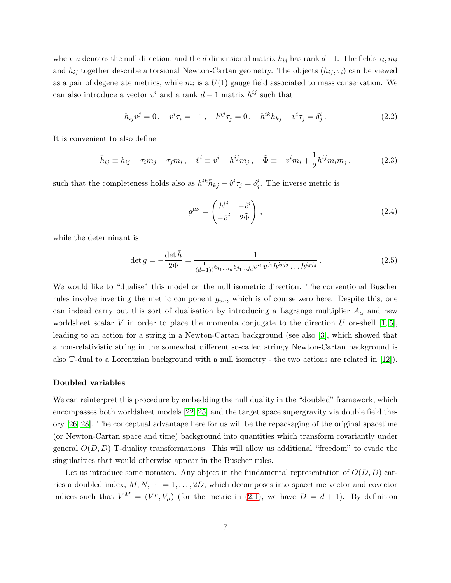where u denotes the null direction, and the d dimensional matrix  $h_{ij}$  has rank  $d-1$ . The fields  $\tau_i, m_i$ and  $h_{ij}$  together describe a torsional Newton-Cartan geometry. The objects  $(h_{ij}, \tau_i)$  can be viewed as a pair of degenerate metrics, while  $m_i$  is a  $U(1)$  gauge field associated to mass conservation. We can also introduce a vector  $v^i$  and a rank  $d-1$  matrix  $h^{ij}$  such that

$$
h_{ij}v^j = 0, \quad v^i \tau_i = -1, \quad h^{ij} \tau_j = 0, \quad h^{ik} h_{kj} - v^i \tau_j = \delta_j^i. \tag{2.2}
$$

It is convenient to also define

$$
\bar{h}_{ij} \equiv h_{ij} - \tau_i m_j - \tau_j m_i, \quad \hat{v}^i \equiv v^i - h^{ij} m_j, \quad \tilde{\Phi} \equiv -v^i m_i + \frac{1}{2} h^{ij} m_i m_j, \tag{2.3}
$$

such that the completeness holds also as  $h^{ik}\bar{h}_{kj} - \hat{v}^i \tau_j = \delta^i_j$ . The inverse metric is

$$
g^{\mu\nu} = \begin{pmatrix} h^{ij} & -\hat{v}^i \\ -\hat{v}^j & 2\tilde{\Phi} \end{pmatrix},\tag{2.4}
$$

while the determinant is

$$
\det g = -\frac{\det \bar{h}}{2\Phi} = \frac{1}{\frac{1}{(d-1)!} \epsilon_{i_1...i_d} \epsilon_{j_1...j_d} v^{i_1} v^{j_1} h^{i_2 j_2} \dots h^{i_d j_d}}.
$$
(2.5)

We would like to "dualise" this model on the null isometric direction. The conventional Buscher rules involve inverting the metric component  $g_{uu}$ , which is of course zero here. Despite this, one can indeed carry out this sort of dualisation by introducing a Lagrange multiplier  $A_{\alpha}$  and new worldsheet scalar V in order to place the momenta conjugate to the direction U on-shell  $[1,5]$ , leading to an action for a string in a Newton-Cartan background (see also [\[3\]](#page-47-1), which showed that a non-relativistic string in the somewhat different so-called stringy Newton-Cartan background is also T-dual to a Lorentzian background with a null isometry - the two actions are related in [\[12\]](#page-47-7)).

#### Doubled variables

We can reinterpret this procedure by embedding the null duality in the "doubled" framework, which encompasses both worldsheet models [\[22](#page-48-5)[–25\]](#page-48-6) and the target space supergravity via double field theory [\[26–](#page-48-7)[28\]](#page-48-8). The conceptual advantage here for us will be the repackaging of the original spacetime (or Newton-Cartan space and time) background into quantities which transform covariantly under general  $O(D, D)$  T-duality transformations. This will allow us additional "freedom" to evade the singularities that would otherwise appear in the Buscher rules.

Let us introduce some notation. Any object in the fundamental representation of  $O(D, D)$  carries a doubled index,  $M, N, \dots = 1, \dots, 2D$ , which decomposes into spacetime vector and covector indices such that  $V^M = (V^{\mu}, V_{\mu})$  (for the metric in [\(2.1\)](#page-5-2), we have  $D = d + 1$ ). By definition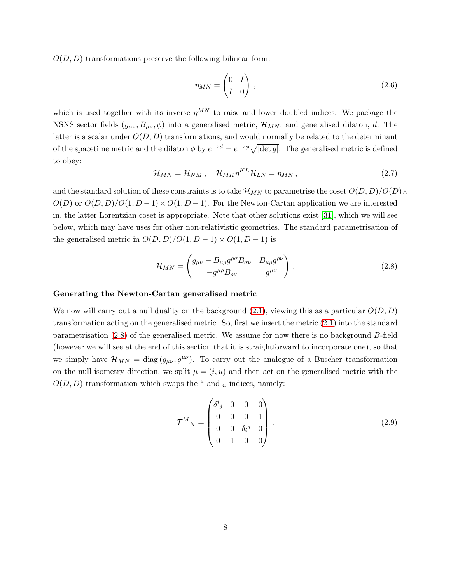$O(D, D)$  transformations preserve the following bilinear form:

$$
\eta_{MN} = \begin{pmatrix} 0 & I \\ I & 0 \end{pmatrix}, \tag{2.6}
$$

which is used together with its inverse  $\eta^{MN}$  to raise and lower doubled indices. We package the NSNS sector fields  $(g_{\mu\nu}, B_{\mu\nu}, \phi)$  into a generalised metric,  $\mathcal{H}_{MN}$ , and generalised dilaton, d. The latter is a scalar under  $O(D, D)$  transformations, and would normally be related to the determinant of the spacetime metric and the dilaton  $\phi$  by  $e^{-2d} = e^{-2\phi} \sqrt{|\det g|}$ . The generalised metric is defined to obey:

<span id="page-7-1"></span>
$$
\mathcal{H}_{MN} = \mathcal{H}_{NM}, \quad \mathcal{H}_{MK} \eta^{KL} \mathcal{H}_{LN} = \eta_{MN}, \tag{2.7}
$$

and the standard solution of these constraints is to take  $\mathcal{H}_{MN}$  to parametrise the coset  $O(D, D)/O(D) \times$  $O(D)$  or  $O(D, D)/O(1, D-1) \times O(1, D-1)$ . For the Newton-Cartan application we are interested in, the latter Lorentzian coset is appropriate. Note that other solutions exist [\[31\]](#page-49-0), which we will see below, which may have uses for other non-relativistic geometries. The standard parametrisation of the generalised metric in  $O(D, D)/O(1, D-1) \times O(1, D-1)$  is

<span id="page-7-0"></span>
$$
\mathcal{H}_{MN} = \begin{pmatrix} g_{\mu\nu} - B_{\mu\rho} g^{\rho\sigma} B_{\sigma\nu} & B_{\mu\rho} g^{\rho\nu} \\ -g^{\mu\rho} B_{\rho\nu} & g^{\mu\nu} \end{pmatrix} . \tag{2.8}
$$

#### Generating the Newton-Cartan generalised metric

We now will carry out a null duality on the background  $(2.1)$ , viewing this as a particular  $O(D, D)$ transformation acting on the generalised metric. So, first we insert the metric [\(2.1\)](#page-5-2) into the standard parametrisation [\(2.8\)](#page-7-0) of the generalised metric. We assume for now there is no background B-field (however we will see at the end of this section that it is straightforward to incorporate one), so that we simply have  $\mathcal{H}_{MN} = \text{diag}(g_{\mu\nu}, g^{\mu\nu})$ . To carry out the analogue of a Buscher transformation on the null isometry direction, we split  $\mu = (i, u)$  and then act on the generalised metric with the  $O(D, D)$  transformation which swaps the <sup>u</sup> and <sub>u</sub> indices, namely:

$$
\mathcal{T}^{M}{}_{N} = \begin{pmatrix} \delta^{i}{}_{j} & 0 & 0 & 0 \\ 0 & 0 & 0 & 1 \\ 0 & 0 & \delta_{i}{}^{j} & 0 \\ 0 & 1 & 0 & 0 \end{pmatrix} . \tag{2.9}
$$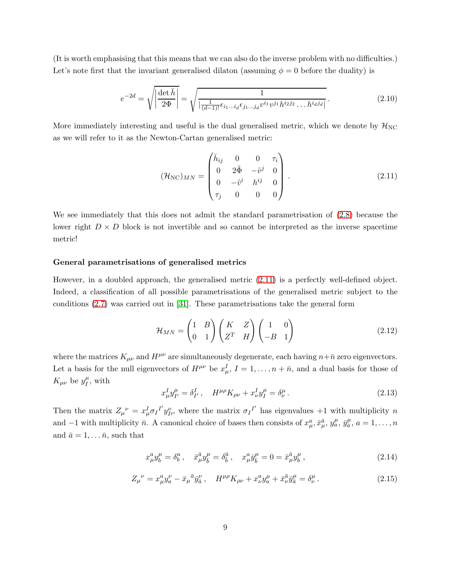(It is worth emphasising that this means that we can also do the inverse problem with no difficulties.) Let's note first that the invariant generalised dilaton (assuming  $\phi = 0$  before the duality) is

$$
e^{-2d} = \sqrt{\left|\frac{\det \bar{h}}{2\Phi}\right|} = \sqrt{\frac{1}{\left|\frac{1}{(d-1)!}\epsilon_{i_1...i_d}\epsilon_{j_1...j_d}v^{i_1}v^{j_1}h^{i_2j_2}...h^{i_dj_d}\right|}}.
$$
(2.10)

More immediately interesting and useful is the dual generalised metric, which we denote by  $\mathcal{H}_{NC}$ as we will refer to it as the Newton-Cartan generalised metric:

<span id="page-8-0"></span>
$$
(\mathcal{H}_{NC})_{MN} = \begin{pmatrix} \bar{h}_{ij} & 0 & 0 & \tau_i \\ 0 & 2\tilde{\Phi} & -\hat{v}^j & 0 \\ 0 & -\hat{v}^i & h^{ij} & 0 \\ \tau_j & 0 & 0 & 0 \end{pmatrix} .
$$
 (2.11)

We see immediately that this does not admit the standard parametrisation of [\(2.8\)](#page-7-0) because the lower right  $D \times D$  block is not invertible and so cannot be interpreted as the inverse spacetime metric!

## General parametrisations of generalised metrics

However, in a doubled approach, the generalised metric [\(2.11\)](#page-8-0) is a perfectly well-defined object. Indeed, a classification of all possible parametrisations of the generalised metric subject to the conditions [\(2.7\)](#page-7-1) was carried out in [\[31\]](#page-49-0). These parametrisations take the general form

<span id="page-8-1"></span>
$$
\mathcal{H}_{MN} = \begin{pmatrix} 1 & B \\ 0 & 1 \end{pmatrix} \begin{pmatrix} K & Z \\ Z^T & H \end{pmatrix} \begin{pmatrix} 1 & 0 \\ -B & 1 \end{pmatrix}
$$
 (2.12)

where the matrices  $K_{\mu\nu}$  and  $H^{\mu\nu}$  are simultaneously degenerate, each having  $n+\bar{n}$  zero eigenvectors. Let a basis for the null eigenvectors of  $H^{\mu\nu}$  be  $x_{\mu}^I$ ,  $I = 1, \ldots, n + \bar{n}$ , and a dual basis for those of  $K_{\mu\nu}$  be  $y_I^{\mu}$  $I^{\mu}$ , with

$$
x_{\mu}^{I} y_{I'}^{\mu} = \delta_{I'}^{I} , \quad H^{\mu \rho} K_{\rho \nu} + x_{\nu}^{I} y_{I}^{\mu} = \delta_{\nu}^{\mu} . \tag{2.13}
$$

Then the matrix  $Z_{\mu}^{\ \nu} = x_{\mu}^I \sigma_I^I y_{I}^{\nu}$ , where the matrix  $\sigma_I^{\ I'}$  has eigenvalues  $+1$  with multiplicity n and  $-1$  with multiplicity  $\bar{n}$ . A canonical choice of bases then consists of  $x^a_\mu, \bar{x}^{\bar{a}}_\mu, y^{\mu}_a, \bar{y}^{\mu}_\bar{a}, a = 1, \ldots, n$ and  $\bar{a} = 1, \ldots \bar{n}$ , such that

$$
x^a_\mu y^\mu_b = \delta^a_b, \quad \bar{x}^{\bar{a}}_\mu y^{\mu}_{\bar{b}} = \delta^{\bar{a}}_{\bar{b}}, \quad x^a_\mu \bar{y}^\mu_{\bar{b}} = 0 = \bar{x}^{\bar{a}}_\mu y^\mu_b,
$$
\n(2.14)

$$
Z_{\mu}{}^{\nu} = x_{\mu}^{a} y_{a}^{\nu} - \bar{x}_{\mu}{}^{\bar{a}} \bar{y}_{\bar{a}}^{\nu}, \quad H^{\mu \rho} K_{\rho \nu} + x_{\nu}^{a} y_{a}^{\mu} + \bar{x}_{\nu}^{\bar{a}} \bar{y}_{\bar{a}}^{\mu} = \delta_{\nu}^{\mu}.
$$
 (2.15)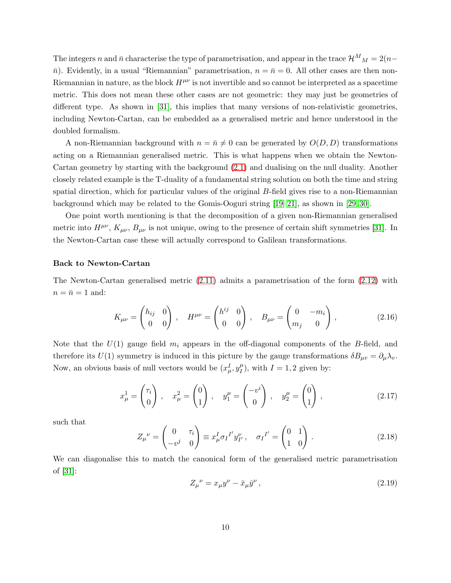The integers n and  $\bar{n}$  characterise the type of parametrisation, and appear in the trace  $\mathcal{H}^{M}{}_{M} = 2(n \bar{n}$ ). Evidently, in a usual "Riemannian" parametrisation,  $n = \bar{n} = 0$ . All other cases are then non-Riemannian in nature, as the block  $H^{\mu\nu}$  is not invertible and so cannot be interpreted as a spacetime metric. This does not mean these other cases are not geometric: they may just be geometries of different type. As shown in [\[31\]](#page-49-0), this implies that many versions of non-relativistic geometries, including Newton-Cartan, can be embedded as a generalised metric and hence understood in the doubled formalism.

A non-Riemannian background with  $n = \bar{n} \neq 0$  can be generated by  $O(D, D)$  transformations acting on a Riemannian generalised metric. This is what happens when we obtain the Newton-Cartan geometry by starting with the background [\(2.1\)](#page-5-2) and dualising on the null duality. Another closely related example is the T-duality of a fundamental string solution on both the time and string spatial direction, which for particular values of the original B-field gives rise to a non-Riemannian background which may be related to the Gomis-Ooguri string [\[19](#page-48-3)[–21\]](#page-48-4), as shown in [\[29,](#page-48-9) [30\]](#page-48-10).

One point worth mentioning is that the decomposition of a given non-Riemannian generalised metric into  $H^{\mu\nu}$ ,  $K_{\mu\nu}$ ,  $B_{\mu\nu}$  is not unique, owing to the presence of certain shift symmetries [\[31\]](#page-49-0). In the Newton-Cartan case these will actually correspond to Galilean transformations.

#### Back to Newton-Cartan

The Newton-Cartan generalised metric [\(2.11\)](#page-8-0) admits a parametrisation of the form [\(2.12\)](#page-8-1) with  $n = \bar{n} = 1$  and:

<span id="page-9-0"></span>
$$
K_{\mu\nu} = \begin{pmatrix} h_{ij} & 0 \\ 0 & 0 \end{pmatrix}, \quad H^{\mu\nu} = \begin{pmatrix} h^{ij} & 0 \\ 0 & 0 \end{pmatrix}, \quad B_{\mu\nu} = \begin{pmatrix} 0 & -m_i \\ m_j & 0 \end{pmatrix}, \tag{2.16}
$$

Note that the  $U(1)$  gauge field  $m<sub>i</sub>$  appears in the off-diagonal components of the B-field, and therefore its  $U(1)$  symmetry is induced in this picture by the gauge transformations  $\delta B_{\mu\nu} = \partial_{\mu}\lambda_{\nu}$ . Now, an obvious basis of null vectors would be  $(x_{\mu}^I, y_{I}^{\mu})$  $_{I}^{\mu}$ ), with  $I=1,2$  given by:

$$
x_{\mu}^{1} = \begin{pmatrix} \tau_{i} \\ 0 \end{pmatrix}, \quad x_{\mu}^{2} = \begin{pmatrix} 0 \\ 1 \end{pmatrix}, \quad y_{1}^{\mu} = \begin{pmatrix} -v^{i} \\ 0 \end{pmatrix}, \quad y_{2}^{\mu} = \begin{pmatrix} 0 \\ 1 \end{pmatrix}, \tag{2.17}
$$

such that

$$
Z_{\mu}^{\ \nu} = \begin{pmatrix} 0 & \tau_i \\ -v^j & 0 \end{pmatrix} \equiv x_{\mu}^I \sigma_I^{I'} y_{I'}^{\nu}, \quad \sigma_I^{I'} = \begin{pmatrix} 0 & 1 \\ 1 & 0 \end{pmatrix} \,. \tag{2.18}
$$

We can diagonalise this to match the canonical form of the generalised metric parametrisation of [\[31\]](#page-49-0):

$$
Z_{\mu}{}^{\nu} = x_{\mu}y^{\nu} - \bar{x}_{\mu}\bar{y}^{\nu}, \qquad (2.19)
$$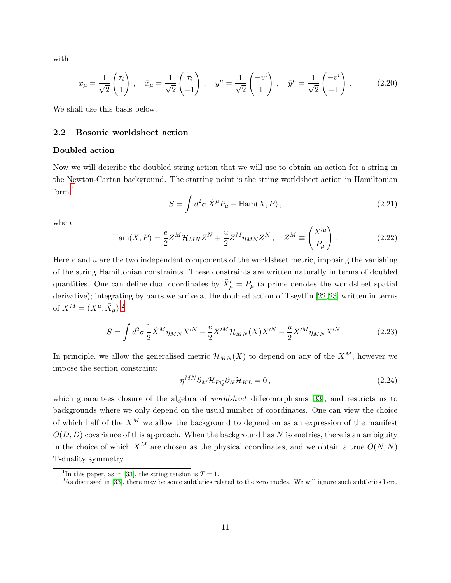with

<span id="page-10-4"></span>
$$
x_{\mu} = \frac{1}{\sqrt{2}} \begin{pmatrix} \tau_i \\ 1 \end{pmatrix}, \quad \bar{x}_{\mu} = \frac{1}{\sqrt{2}} \begin{pmatrix} \tau_i \\ -1 \end{pmatrix}, \quad y^{\mu} = \frac{1}{\sqrt{2}} \begin{pmatrix} -v^i \\ 1 \end{pmatrix}, \quad \bar{y}^{\mu} = \frac{1}{\sqrt{2}} \begin{pmatrix} -v^i \\ -1 \end{pmatrix}.
$$
 (2.20)

<span id="page-10-0"></span>We shall use this basis below.

## 2.2 Bosonic worldsheet action

## Doubled action

Now we will describe the doubled string action that we will use to obtain an action for a string in the Newton-Cartan background. The starting point is the string worldsheet action in Hamiltonian form:<sup>[1](#page-10-1)</sup>

$$
S = \int d^2 \sigma \, \dot{X}^\mu P_\mu - \text{Ham}(X, P) \,, \tag{2.21}
$$

where

$$
\text{Ham}(X, P) = \frac{e}{2} Z^M \mathcal{H}_{MN} Z^N + \frac{u}{2} Z^M \eta_{MN} Z^N, \quad Z^M \equiv \begin{pmatrix} X'^\mu \\ P_\mu \end{pmatrix} . \tag{2.22}
$$

Here  $e$  and  $u$  are the two independent components of the worldsheet metric, imposing the vanishing of the string Hamiltonian constraints. These constraints are written naturally in terms of doubled quantities. One can define dual coordinates by  $\tilde{X}'_{\mu} = P_{\mu}$  (a prime denotes the worldsheet spatial derivative); integrating by parts we arrive at the doubled action of Tseytlin [\[22,](#page-48-5)[23\]](#page-48-11) written in terms of  $X^M = (X^{\mu}, \tilde{X}_{\mu})$ :<sup>[2](#page-10-2)</sup>

<span id="page-10-3"></span>
$$
S = \int d^2 \sigma \frac{1}{2} \dot{X}^M \eta_{MN} X^{\prime N} - \frac{e}{2} X^{\prime M} \mathcal{H}_{MN}(X) X^{\prime N} - \frac{u}{2} X^{\prime M} \eta_{MN} X^{\prime N} . \tag{2.23}
$$

In principle, we allow the generalised metric  $\mathcal{H}_{MN}(X)$  to depend on any of the  $X^M$ , however we impose the section constraint:

$$
\eta^{MN}\partial_M \mathcal{H}_{PQ}\partial_N \mathcal{H}_{KL} = 0, \qquad (2.24)
$$

which guarantees closure of the algebra of *worldsheet* diffeomorphisms [\[33\]](#page-49-2), and restricts us to backgrounds where we only depend on the usual number of coordinates. One can view the choice of which half of the  $X^M$  we allow the background to depend on as an expression of the manifest  $O(D, D)$  covariance of this approach. When the background has N isometries, there is an ambiguity in the choice of which  $X^M$  are chosen as the physical coordinates, and we obtain a true  $O(N, N)$ T-duality symmetry.

<sup>&</sup>lt;sup>1</sup>In this paper, as in [\[33\]](#page-49-2), the string tension is  $T = 1$ .

<span id="page-10-2"></span><span id="page-10-1"></span><sup>&</sup>lt;sup>2</sup>As discussed in [\[33\]](#page-49-2), there may be some subtleties related to the zero modes. We will ignore such subtleties here.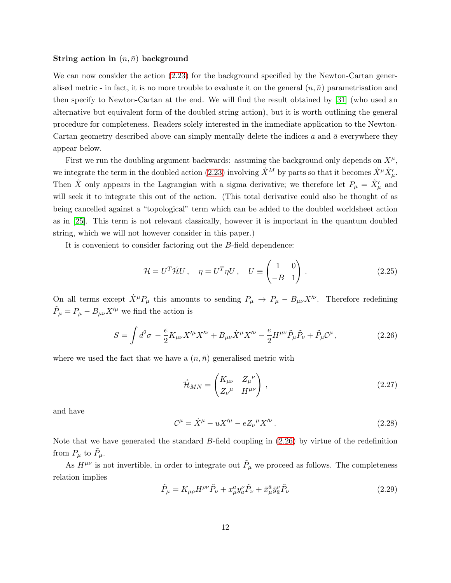#### String action in  $(n, \bar{n})$  background

We can now consider the action  $(2.23)$  for the background specified by the Newton-Cartan generalised metric - in fact, it is no more trouble to evaluate it on the general  $(n, \bar{n})$  parametrisation and then specify to Newton-Cartan at the end. We will find the result obtained by [\[31\]](#page-49-0) (who used an alternative but equivalent form of the doubled string action), but it is worth outlining the general procedure for completeness. Readers solely interested in the immediate application to the Newton-Cartan geometry described above can simply mentally delete the indices  $a$  and  $\bar{a}$  everywhere they appear below.

First we run the doubling argument backwards: assuming the background only depends on  $X^{\mu}$ , we integrate the term in the doubled action [\(2.23\)](#page-10-3) involving  $\dot{X}^M$  by parts so that it becomes  $\dot{X}^\mu \tilde{X}'_\mu$ . Then  $\tilde{X}$  only appears in the Lagrangian with a sigma derivative; we therefore let  $P_{\mu} = \tilde{X}'_{\mu}$  and will seek it to integrate this out of the action. (This total derivative could also be thought of as being cancelled against a "topological" term which can be added to the doubled worldsheet action as in [\[25\]](#page-48-6). This term is not relevant classically, however it is important in the quantum doubled string, which we will not however consider in this paper.)

It is convenient to consider factoring out the B-field dependence:

<span id="page-11-1"></span>
$$
\mathcal{H} = U^T \mathring{\mathcal{H}} U, \quad \eta = U^T \eta U, \quad U \equiv \begin{pmatrix} 1 & 0 \\ -B & 1 \end{pmatrix}.
$$
 (2.25)

On all terms except  $\dot{X}^{\mu}P_{\mu}$  this amounts to sending  $P_{\mu} \to P_{\mu} - B_{\mu\nu}X^{\prime\nu}$ . Therefore redefining  $\tilde{P}_{\mu} = P_{\mu} - B_{\mu\nu} X'^{\mu}$  we find the action is

$$
S = \int d^2 \sigma - \frac{e}{2} K_{\mu\nu} X'^{\mu} X'^{\nu} + B_{\mu\nu} \dot{X}^{\mu} X'^{\nu} - \frac{e}{2} H^{\mu\nu} \tilde{P}_{\mu} \tilde{P}_{\nu} + \tilde{P}_{\mu} C^{\mu} , \qquad (2.26)
$$

<span id="page-11-0"></span>where we used the fact that we have a  $(n, \bar{n})$  generalised metric with

$$
\mathring{\mathcal{H}}_{MN} = \begin{pmatrix} K_{\mu\nu} & Z_{\mu}{}^{\nu} \\ Z_{\nu}{}^{\mu} & H^{\mu\nu} \end{pmatrix},\tag{2.27}
$$

and have

<span id="page-11-2"></span>
$$
\mathcal{C}^{\mu} = \dot{X}^{\mu} - uX'^{\mu} - eZ_{\nu}{}^{\mu}X'^{\nu}.
$$
 (2.28)

Note that we have generated the standard B-field coupling in [\(2.26\)](#page-11-0) by virtue of the redefinition from  $P_{\mu}$  to  $\tilde{P}_{\mu}$ .

As  $H^{\mu\nu}$  is not invertible, in order to integrate out  $\tilde{P}_{\mu}$  we proceed as follows. The completeness relation implies

$$
\tilde{P}_{\mu} = K_{\mu\rho} H^{\rho\nu} \tilde{P}_{\nu} + x^a_{\mu} y^{\nu}_a \tilde{P}_{\nu} + \bar{x}^{\bar{a}}_{\mu} \bar{y}^{\nu}_{\bar{a}} \tilde{P}_{\nu} \tag{2.29}
$$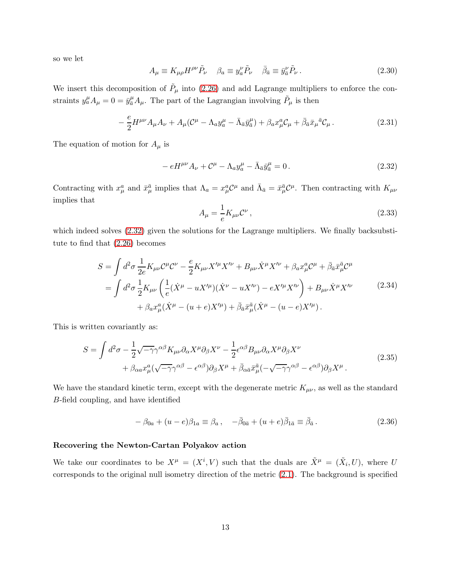so we let

$$
A_{\mu} \equiv K_{\mu\rho} H^{\rho\nu} \tilde{P}_{\nu} \quad \beta_{a} \equiv y_{a}^{\nu} \tilde{P}_{\nu} \quad \bar{\beta}_{\bar{a}} \equiv \bar{y}_{\bar{a}}^{\nu} \tilde{P}_{\nu} \,. \tag{2.30}
$$

We insert this decomposition of  $\tilde{P}_{\mu}$  into [\(2.26\)](#page-11-0) and add Lagrange multipliers to enforce the constraints  $y_a^{\mu} A_{\mu} = 0 = \bar{y}_{\bar{a}}^{\mu} A_{\mu}$ . The part of the Lagrangian involving  $\tilde{P}_{\mu}$  is then

$$
-\frac{e}{2}H^{\mu\nu}A_{\mu}A_{\nu} + A_{\mu}(\mathcal{C}^{\mu} - \Lambda_{a}y_{a}^{\mu} - \bar{\Lambda}_{\bar{a}}\bar{y}_{\bar{a}}^{\mu}) + \beta_{a}x_{\mu}^{a}\mathcal{C}_{\mu} + \bar{\beta}_{\bar{a}}\bar{x}_{\mu}^{\bar{a}}\mathcal{C}_{\mu}.
$$
\n(2.31)

The equation of motion for  $A_\mu$  is

<span id="page-12-0"></span>
$$
-eH^{\mu\nu}A_{\nu} + \mathcal{C}^{\mu} - \Lambda_{a}y_{a}^{\mu} - \bar{\Lambda}_{\bar{a}}\bar{y}_{\bar{a}}^{\mu} = 0.
$$
\n(2.32)

Contracting with  $x^a_\mu$  and  $\bar{x}^{\bar{a}}_\mu$  implies that  $\Lambda_a = x^a_\mu C^\mu$  and  $\bar{\Lambda}_{\bar{a}} = \bar{x}^{\bar{a}}_\mu C^\mu$ . Then contracting with  $K_{\mu\nu}$ implies that

$$
A_{\mu} = \frac{1}{e} K_{\mu\nu} \mathcal{C}^{\nu} , \qquad (2.33)
$$

which indeed solves  $(2.32)$  given the solutions for the Lagrange multipliers. We finally backsubstitute to find that [\(2.26\)](#page-11-0) becomes

$$
S = \int d^2 \sigma \frac{1}{2e} K_{\mu\nu} C^{\mu} C^{\nu} - \frac{e}{2} K_{\mu\nu} X^{\prime \mu} X^{\prime \nu} + B_{\mu\nu} \dot{X}^{\mu} X^{\prime \nu} + \beta_a x^a_{\mu} C^{\mu} + \bar{\beta}_{\bar{a}} \bar{x}^{\bar{a}}_{\mu} C^{\mu}
$$
  
= 
$$
\int d^2 \sigma \frac{1}{2} K_{\mu\nu} \left( \frac{1}{e} (\dot{X}^{\mu} - u X^{\prime \mu}) (\dot{X}^{\nu} - u X^{\prime \nu}) - e X^{\prime \mu} X^{\prime \nu} \right) + B_{\mu\nu} \dot{X}^{\mu} X^{\prime \nu} + \beta_a x^a_{\mu} (\dot{X}^{\mu} - (u + e) X^{\prime \mu}) + \bar{\beta}_{\bar{a}} \bar{x}^{\bar{a}}_{\mu} (\dot{X}^{\mu} - (u - e) X^{\prime \mu}). \tag{2.34}
$$

<span id="page-12-1"></span>This is written covariantly as:

$$
S = \int d^2 \sigma - \frac{1}{2} \sqrt{-\gamma} \gamma^{\alpha \beta} K_{\mu\nu} \partial_{\alpha} X^{\mu} \partial_{\beta} X^{\nu} - \frac{1}{2} \epsilon^{\alpha \beta} B_{\mu\nu} \partial_{\alpha} X^{\mu} \partial_{\beta} X^{\nu} + \beta_{\alpha a} x_{\mu}^{a} (\sqrt{-\gamma} \gamma^{\alpha \beta} - \epsilon^{\alpha \beta}) \partial_{\beta} X^{\mu} + \bar{\beta}_{\alpha \bar{a}} \bar{x}_{\mu}^{\bar{a}} (-\sqrt{-\gamma} \gamma^{\alpha \beta} - \epsilon^{\alpha \beta}) \partial_{\beta} X^{\mu}.
$$
\n(2.35)

We have the standard kinetic term, except with the degenerate metric  $K_{\mu\nu}$ , as well as the standard B-field coupling, and have identified

$$
-\beta_{0a} + (u - e)\beta_{1a} \equiv \beta_a, \quad -\bar{\beta}_{0\bar{a}} + (u + e)\bar{\beta}_{1\bar{a}} \equiv \bar{\beta}_{\bar{a}}.
$$
 (2.36)

## Recovering the Newton-Cartan Polyakov action

We take our coordinates to be  $X^{\mu} = (X^{i}, V)$  such that the duals are  $\tilde{X}^{\mu} = (\tilde{X}_{i}, U)$ , where U corresponds to the original null isometry direction of the metric [\(2.1\)](#page-5-2). The background is specified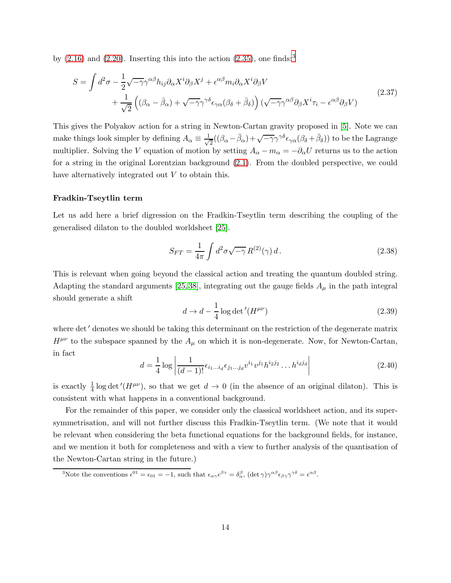by  $(2.16)$  and  $(2.20)$ . Inserting this into the action  $(2.35)$  $(2.35)$  $(2.35)$ , one finds:<sup>3</sup>

<span id="page-13-1"></span>
$$
S = \int d^2 \sigma - \frac{1}{2} \sqrt{-\gamma} \gamma^{\alpha \beta} h_{ij} \partial_{\alpha} X^i \partial_{\beta} X^j + \epsilon^{\alpha \beta} m_i \partial_{\alpha} X^i \partial_{\beta} V + \frac{1}{\sqrt{2}} \left( (\beta_{\alpha} - \bar{\beta}_{\alpha}) + \sqrt{-\gamma} \gamma^{\gamma \delta} \epsilon_{\gamma \alpha} (\beta_{\delta} + \bar{\beta}_{\delta}) \right) (\sqrt{-\gamma} \gamma^{\alpha \beta} \partial_{\beta} X^i \tau_i - \epsilon^{\alpha \beta} \partial_{\beta} V)
$$
(2.37)

This gives the Polyakov action for a string in Newton-Cartan gravity proposed in [\[5\]](#page-47-2). Note we can make things look simpler by defining  $A_{\alpha} \equiv \frac{1}{\sqrt{\alpha}}$  $\frac{1}{2}((\beta_{\alpha}-\bar{\beta}_{\alpha})+\sqrt{-\gamma}\gamma^{\gamma\delta}\epsilon_{\gamma\alpha}(\beta_{\delta}+\bar{\beta}_{\delta}))$  to be the Lagrange multiplier. Solving the V equation of motion by setting  $A_{\alpha}-m_{\alpha}=-\partial_{\alpha}U$  returns us to the action for a string in the original Lorentzian background [\(2.1\)](#page-5-2). From the doubled perspective, we could have alternatively integrated out V to obtain this.

## Fradkin-Tseytlin term

Let us add here a brief digression on the Fradkin-Tseytlin term describing the coupling of the generalised dilaton to the doubled worldsheet [\[25\]](#page-48-6).

$$
S_{FT} = \frac{1}{4\pi} \int d^2\sigma \sqrt{-\gamma} R^{(2)}(\gamma) d. \qquad (2.38)
$$

This is relevant when going beyond the classical action and treating the quantum doubled string. Adapting the standard arguments [\[25,](#page-48-6) [38\]](#page-49-6), integrating out the gauge fields  $A_{\mu}$  in the path integral should generate a shift

$$
d \to d - \frac{1}{4} \log \det'(H^{\mu\nu})
$$
\n(2.39)

where det' denotes we should be taking this determinant on the restriction of the degenerate matrix  $H^{\mu\nu}$  to the subspace spanned by the  $A_{\mu}$  on which it is non-degenerate. Now, for Newton-Cartan, in fact

$$
d = \frac{1}{4} \log \left| \frac{1}{(d-1)!} \epsilon_{i_1 \dots i_d} \epsilon_{j_1 \dots j_d} v^{i_1} v^{j_1} h^{i_2 j_2} \dots h^{i_d j_d} \right| \tag{2.40}
$$

is exactly  $\frac{1}{4}$  log det'( $H^{\mu\nu}$ ), so that we get  $d \to 0$  (in the absence of an original dilaton). This is consistent with what happens in a conventional background.

For the remainder of this paper, we consider only the classical worldsheet action, and its supersymmetrisation, and will not further discuss this Fradkin-Tseytlin term. (We note that it would be relevant when considering the beta functional equations for the background fields, for instance, and we mention it both for completeness and with a view to further analysis of the quantisation of the Newton-Cartan string in the future.)

<span id="page-13-0"></span><sup>&</sup>lt;sup>3</sup>Note the conventions  $\epsilon^{01} = \epsilon_{01} = -1$ , such that  $\epsilon_{\alpha\gamma}\epsilon^{\beta\gamma} = \delta_{\alpha}^{\beta}$ ,  $(\det \gamma)\gamma^{\alpha\beta}\epsilon_{\beta\gamma}\gamma^{\gamma\delta} = \epsilon^{\alpha\beta}$ .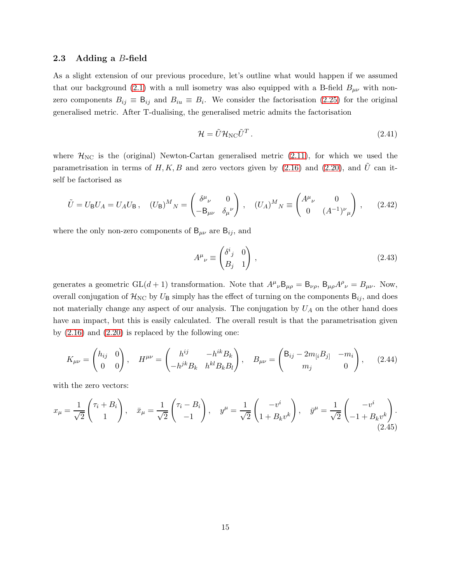#### <span id="page-14-0"></span>2.3 Adding a B-field

As a slight extension of our previous procedure, let's outline what would happen if we assumed that our background [\(2.1\)](#page-5-2) with a null isometry was also equipped with a B-field  $B_{\mu\nu}$  with nonzero components  $B_{ij} \equiv B_{ij}$  and  $B_{iu} \equiv B_i$ . We consider the factorisation [\(2.25\)](#page-11-1) for the original generalised metric. After T-dualising, the generalised metric admits the factorisation

$$
\mathcal{H} = \tilde{U} \mathcal{H}_{NC} \tilde{U}^T.
$$
\n(2.41)

where  $\mathcal{H}_{NC}$  is the (original) Newton-Cartan generalised metric [\(2.11\)](#page-8-0), for which we used the parametrisation in terms of H, K, B and zero vectors given by  $(2.16)$  and  $(2.20)$ , and  $\hat{U}$  can itself be factorised as

$$
\tilde{U} = U_{\mathsf{B}} U_A = U_A U_{\mathsf{B}} , \quad (U_{\mathsf{B}})^M{}_N = \begin{pmatrix} \delta^{\mu}{}_{\nu} & 0 \\ -B_{\mu\nu} & \delta_{\mu}{}^{\nu} \end{pmatrix} , \quad (U_A)^M{}_N \equiv \begin{pmatrix} A^{\mu}{}_{\nu} & 0 \\ 0 & (A^{-1})^{\nu}{}_{\mu} \end{pmatrix} , \quad (2.42)
$$

where the only non-zero components of  $B_{\mu\nu}$  are  $B_{ij}$ , and

$$
A^{\mu}{}_{\nu} \equiv \begin{pmatrix} \delta^{i}{}_{j} & 0 \\ B_{j} & 1 \end{pmatrix}, \tag{2.43}
$$

generates a geometric  $GL(d+1)$  transformation. Note that  $A^{\mu}{}_{\nu}B_{\mu\rho} = B_{\nu\rho}$ ,  $B_{\mu\rho}A^{\rho}{}_{\nu} = B_{\mu\nu}$ . Now, overall conjugation of  $\mathcal{H}_{NC}$  by  $U_B$  simply has the effect of turning on the components  $B_{ij}$ , and does not materially change any aspect of our analysis. The conjugation by  $U_A$  on the other hand does have an impact, but this is easily calculated. The overall result is that the parametrisation given by  $(2.16)$  and  $(2.20)$  is replaced by the following one:

<span id="page-14-1"></span>
$$
K_{\mu\nu} = \begin{pmatrix} h_{ij} & 0 \\ 0 & 0 \end{pmatrix}, \quad H^{\mu\nu} = \begin{pmatrix} h^{ij} & -h^{ik}B_k \\ -h^{jk}B_k & h^{kl}B_kB_l \end{pmatrix}, \quad B_{\mu\nu} = \begin{pmatrix} \mathsf{B}_{ij} - 2m_{[i}B_{j]} & -m_i \\ m_j & 0 \end{pmatrix}, \tag{2.44}
$$

with the zero vectors:

<span id="page-14-2"></span>
$$
x_{\mu} = \frac{1}{\sqrt{2}} \begin{pmatrix} \tau_i + B_i \\ 1 \end{pmatrix}, \quad \bar{x}_{\mu} = \frac{1}{\sqrt{2}} \begin{pmatrix} \tau_i - B_i \\ -1 \end{pmatrix}, \quad y^{\mu} = \frac{1}{\sqrt{2}} \begin{pmatrix} -v^i \\ 1 + B_k v^k \end{pmatrix}, \quad \bar{y}^{\mu} = \frac{1}{\sqrt{2}} \begin{pmatrix} -v^i \\ -1 + B_k v^k \end{pmatrix}.
$$
\n(2.45)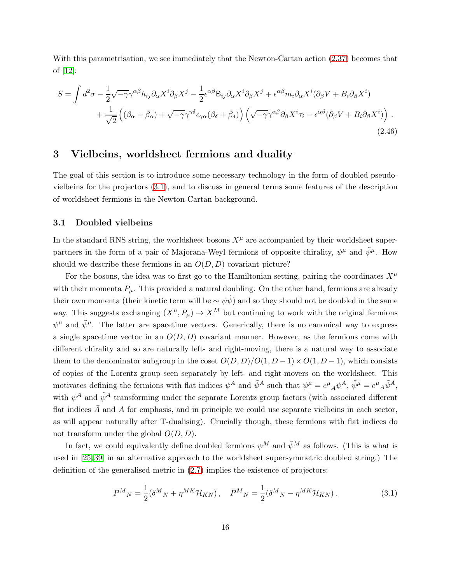With this parametrisation, we see immediately that the Newton-Cartan action [\(2.37\)](#page-13-1) becomes that of [\[12\]](#page-47-7):

<span id="page-15-3"></span>
$$
S = \int d^2 \sigma - \frac{1}{2} \sqrt{-\gamma} \gamma^{\alpha \beta} h_{ij} \partial_{\alpha} X^i \partial_{\beta} X^j - \frac{1}{2} \epsilon^{\alpha \beta} B_{ij} \partial_{\alpha} X^i \partial_{\beta} X^j + \epsilon^{\alpha \beta} m_i \partial_{\alpha} X^i (\partial_{\beta} V + B_i \partial_{\beta} X^i) + \frac{1}{\sqrt{2}} \left( (\beta_{\alpha} - \bar{\beta}_{\alpha}) + \sqrt{-\gamma} \gamma^{\gamma \delta} \epsilon_{\gamma \alpha} (\beta_{\delta} + \bar{\beta}_{\delta}) \right) \left( \sqrt{-\gamma} \gamma^{\alpha \beta} \partial_{\beta} X^i \tau_i - \epsilon^{\alpha \beta} (\partial_{\beta} V + B_i \partial_{\beta} X^i) \right).
$$
\n(2.46)

## <span id="page-15-0"></span>3 Vielbeins, worldsheet fermions and duality

The goal of this section is to introduce some necessary technology in the form of doubled pseudovielbeins for the projectors [\(3.1\)](#page-15-2), and to discuss in general terms some features of the description of worldsheet fermions in the Newton-Cartan background.

## <span id="page-15-1"></span>3.1 Doubled vielbeins

In the standard RNS string, the worldsheet bosons  $X^{\mu}$  are accompanied by their worldsheet superpartners in the form of a pair of Majorana-Weyl fermions of opposite chirality,  $\psi^{\mu}$  and  $\tilde{\psi}^{\mu}$ . How should we describe these fermions in an  $O(D, D)$  covariant picture?

For the bosons, the idea was to first go to the Hamiltonian setting, pairing the coordinates  $X^{\mu}$ with their momenta  $P_{\mu}$ . This provided a natural doubling. On the other hand, fermions are already their own momenta (their kinetic term will be  $\sim \psi \dot{\psi}$ ) and so they should not be doubled in the same way. This suggests exchanging  $(X^{\mu}, P_{\mu}) \to X^M$  but continuing to work with the original fermions  $\psi^{\mu}$  and  $\tilde{\psi}^{\mu}$ . The latter are spacetime vectors. Generically, there is no canonical way to express a single spacetime vector in an  $O(D, D)$  covariant manner. However, as the fermions come with different chirality and so are naturally left- and right-moving, there is a natural way to associate them to the denominator subgroup in the coset  $O(D, D)/O(1, D-1) \times O(1, D-1)$ , which consists of copies of the Lorentz group seen separately by left- and right-movers on the worldsheet. This motivates defining the fermions with flat indices  $\psi^{\bar{A}}$  and  $\tilde{\psi}^A$  such that  $\psi^{\mu} = e^{\mu}{}_{\bar{A}}\psi^{\bar{A}}, \tilde{\psi}^{\mu} = e^{\mu}{}_{A}\tilde{\psi}^A$ , with  $\psi^{\bar{A}}$  and  $\tilde{\psi}^A$  transforming under the separate Lorentz group factors (with associated different flat indices  $\bar{A}$  and A for emphasis, and in principle we could use separate vielbeins in each sector. as will appear naturally after T-dualising). Crucially though, these fermions with flat indices do not transform under the global  $O(D, D)$ .

In fact, we could equivalently define doubled fermions  $\psi^M$  and  $\tilde{\psi}^M$  as follows. (This is what is used in [\[25,](#page-48-6) [39\]](#page-49-7) in an alternative approach to the worldsheet supersymmetric doubled string.) The definition of the generalised metric in [\(2.7\)](#page-7-1) implies the existence of projectors:

<span id="page-15-2"></span>
$$
P^{M}{}_{N} = \frac{1}{2} (\delta^{M}{}_{N} + \eta^{MK} \mathcal{H}_{KN}), \quad \bar{P}^{M}{}_{N} = \frac{1}{2} (\delta^{M}{}_{N} - \eta^{MK} \mathcal{H}_{KN}). \tag{3.1}
$$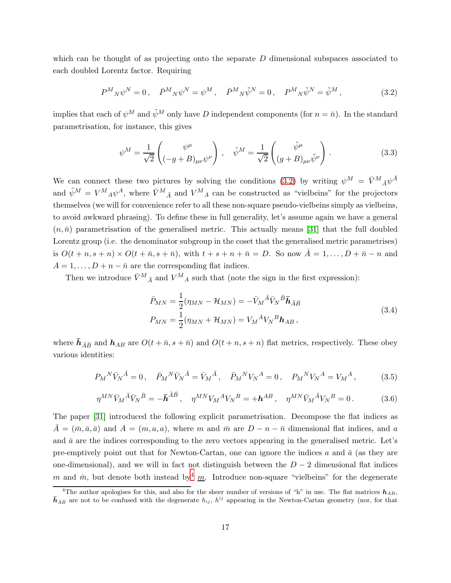which can be thought of as projecting onto the separate  $D$  dimensional subspaces associated to each doubled Lorentz factor. Requiring

<span id="page-16-0"></span>
$$
P^{M}{}_{N}\psi^{N} = 0\,, \quad \bar{P}^{M}{}_{N}\psi^{N} = \psi^{M}\,, \quad \bar{P}^{M}{}_{N}\tilde{\psi}^{N} = 0\,, \quad P^{M}{}_{N}\tilde{\psi}^{N} = \tilde{\psi}^{M}\,, \tag{3.2}
$$

implies that each of  $\psi^M$  and  $\tilde{\psi}^M$  only have D independent components (for  $n = \bar{n}$ ). In the standard parametrisation, for instance, this gives

$$
\psi^M = \frac{1}{\sqrt{2}} \begin{pmatrix} \psi^\mu \\ (-g+B)_{\mu\nu} \psi^\nu \end{pmatrix}, \quad \tilde{\psi}^M = \frac{1}{\sqrt{2}} \begin{pmatrix} \tilde{\psi}^\mu \\ (g+B)_{\mu\nu} \tilde{\psi}^\nu \end{pmatrix}.
$$
 (3.3)

We can connect these two pictures by solving the conditions [\(3.2\)](#page-16-0) by writing  $\psi^M = \bar{V}^M{}_A \psi^{\bar{A}}$ and  $\tilde{\psi}^M = V^M{}_A \psi^A$ , where  $\bar{V}^M{}_{\bar{A}}$  and  $V^M{}_A$  can be constructed as "vielbeins" for the projectors themselves (we will for convenience refer to all these non-square pseudo-vielbeins simply as vielbeins, to avoid awkward phrasing). To define these in full generality, let's assume again we have a general  $(n, \bar{n})$  parametrisation of the generalised metric. This actually means [\[31\]](#page-49-0) that the full doubled Lorentz group (i.e. the denominator subgroup in the coset that the generalised metric parametrises) is  $O(t + n, s + n) \times O(t + \overline{n}, s + \overline{n})$ , with  $t + s + n + \overline{n} = D$ . So now  $\overline{A} = 1, \ldots, D + \overline{n} - n$  and  $A = 1, \ldots, D + n - \bar{n}$  are the corresponding flat indices.

<span id="page-16-2"></span>Then we introduce  $\bar{V}^M{}_{{\bar{A}}}$  and  $V^M{}_A$  such that (note the sign in the first expression):

$$
\bar{P}_{MN} = \frac{1}{2}(\eta_{MN} - \mathcal{H}_{MN}) = -\bar{V}_M{}^{\bar{A}}\bar{V}_N{}^{\bar{B}}\bar{\mathbf{h}}_{\bar{A}\bar{B}} \nP_{MN} = \frac{1}{2}(\eta_{MN} + \mathcal{H}_{MN}) = V_M{}^A V_N{}^B \mathbf{h}_{AB},
$$
\n(3.4)

where  $\bar{h}_{\bar{A}\bar{B}}$  and  $h_{AB}$  are  $O(t + \bar{n}, s + \bar{n})$  and  $O(t + n, s + n)$  flat metrics, respectively. These obey various identities:

$$
P_M{}^N \bar{V}_N{}^{\bar{A}} = 0 \,, \quad \bar{P}_M{}^N \bar{V}_N{}^{\bar{A}} = \bar{V}_M{}^{\bar{A}} \,, \quad \bar{P}_M{}^N V_N{}^A = 0 \,, \quad P_M{}^N V_N{}^A = V_M{}^A \,, \tag{3.5}
$$

$$
\eta^{MN}\bar{V}_M{}^{\bar{A}}\bar{V}_N{}^{\bar{B}} = -\bar{\boldsymbol{h}}^{\bar{A}\bar{B}}, \quad \eta^{MN}V_M{}^A V_N{}^B = +\boldsymbol{h}^{AB}, \quad \eta^{MN}\bar{V}_M{}^{\bar{A}}V_N{}^B = 0.
$$
 (3.6)

The paper [\[31\]](#page-49-0) introduced the following explicit parametrisation. Decompose the flat indices as  $\bar{A} = (\bar{m}, \bar{a}, \bar{a})$  and  $A = (m, a, a)$ , where m and  $\bar{m}$  are  $D - n - \bar{n}$  dimensional flat indices, and a and  $\bar{a}$  are the indices corresponding to the zero vectors appearing in the generalised metric. Let's pre-emptively point out that for Newton-Cartan, one can ignore the indices a and  $\bar{a}$  (as they are one-dimensional), and we will in fact not distinguish between the  $D-2$  dimensional flat indices m and  $\bar{m}$ , but denote both instead by  $\frac{m}{m}$ . Introduce non-square "vielbeins" for the degenerate

<span id="page-16-1"></span><sup>&</sup>lt;sup>4</sup>The author apologises for this, and also for the sheer number of versions of "h" in use. The flat matrices  $h_{AB}$ ,  $\bar{h}_{\bar{A}\bar{B}}$  are not to be confused with the degenerate  $h_{ij}$ ,  $h^{ij}$  appearing in the Newton-Cartan geometry (nor, for that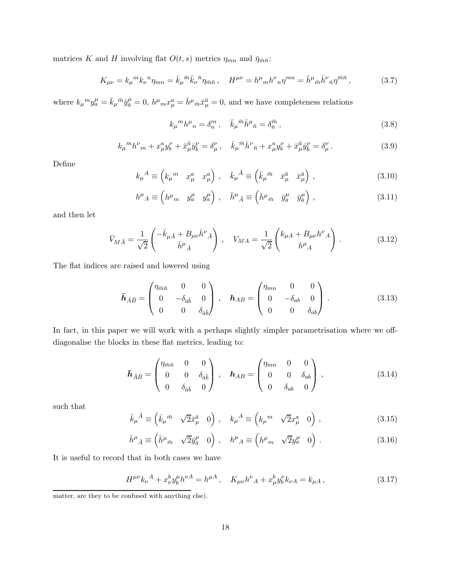matrices K and H involving flat  $O(t, s)$  metrics  $\eta_{mn}$  and  $\bar{\eta}_{\bar{m}\bar{n}}$ :

$$
K_{\mu\nu} = k_{\mu}{}^{m}k_{\nu}{}^{n}\eta_{mn} = \bar{k}_{\mu}{}^{\bar{m}}\bar{k}_{\nu}{}^{\bar{n}}\eta_{\bar{m}\bar{n}}, \quad H^{\mu\nu} = h^{\mu}{}_{m}h^{\nu}{}_{n}\eta^{mn} = \bar{h}^{\mu}{}_{\bar{m}}\bar{h}^{\nu}{}_{\bar{n}}\eta^{\bar{m}\bar{n}}, \tag{3.7}
$$

where  $k_{\mu}{}^{m}y_{a}^{\mu} = \bar{k}_{\mu}{}^{\bar{m}}\bar{y}_{\bar{a}}^{\mu} = 0$ ,  $h^{\mu}{}_{m}x_{\mu}^{a} = \bar{h}^{\mu}{}_{\bar{m}}\bar{x}_{\mu}^{\bar{a}} = 0$ , and we have completeness relations

$$
k_{\mu}{}^{m}h^{\mu}{}_{n} = \delta_{n}^{m} , \quad \bar{k}_{\mu}{}^{\bar{m}}\bar{h}^{\mu}{}_{\bar{n}} = \delta_{\bar{n}}^{\bar{m}} , \tag{3.8}
$$

$$
k_{\mu}{}^{m}h^{\nu}{}_{m} + x^{a}_{\mu}y^{{\nu}}_{b} + \bar{x}^{\bar{a}}_{\mu}\bar{y}^{\nu}_{\bar{b}} = \delta^{\nu}_{\mu}, \quad \bar{k}_{\mu}{}^{\bar{m}}\bar{h}^{\nu}{}_{\bar{n}} + x^{a}_{\mu}y^{\nu}_{b} + \bar{x}^{\bar{a}}_{\mu}\bar{y}^{\nu}_{\bar{b}} = \delta^{\nu}_{\mu}.
$$
 (3.9)

Define

$$
k_{\mu}{}^{A} \equiv \begin{pmatrix} k_{\mu}{}^{m} & x_{\mu}^{a} & x_{\mu}^{a} \end{pmatrix} , \quad \bar{k}_{\mu}{}^{\bar{A}} \equiv \begin{pmatrix} \bar{k}_{\mu}{}^{\bar{m}} & \bar{x}_{\mu}^{\bar{a}} & \bar{x}_{\mu}^{\bar{a}} \end{pmatrix} , \tag{3.10}
$$

$$
h^{\mu}{}_{A} \equiv \left(h^{\mu}{}_{m} \quad y^{\mu}_{a} \quad y^{\mu}_{a}\right) , \quad \bar{h}^{\mu}{}_{\bar{A}} \equiv \left(\bar{h}^{\mu}{}_{\bar{m}} \quad \bar{y}^{\mu}_{\bar{a}} \quad \bar{y}^{\mu}_{\bar{a}}\right) , \tag{3.11}
$$

and then let

$$
\bar{V}_{M\bar{A}} = \frac{1}{\sqrt{2}} \begin{pmatrix} -\bar{k}_{\mu\bar{A}} + B_{\mu\nu}\bar{h}^{\nu}{}_{\bar{A}} \\ \bar{h}^{\mu}{}_{\bar{A}} \end{pmatrix} , \quad V_{MA} = \frac{1}{\sqrt{2}} \begin{pmatrix} k_{\mu A} + B_{\mu\nu}h^{\nu}{}_{A} \\ h^{\mu}{}_{A} \end{pmatrix} . \tag{3.12}
$$

The flat indices are raised and lowered using

$$
\bar{\boldsymbol{h}}_{\bar{A}\bar{B}} = \begin{pmatrix} \eta_{\bar{m}\bar{n}} & 0 & 0 \\ 0 & -\delta_{\bar{a}\bar{b}} & 0 \\ 0 & 0 & \delta_{\bar{a}\bar{b}} \end{pmatrix}, \quad \boldsymbol{h}_{AB} = \begin{pmatrix} \eta_{mn} & 0 & 0 \\ 0 & -\delta_{ab} & 0 \\ 0 & 0 & \delta_{ab} \end{pmatrix}.
$$
 (3.13)

In fact, in this paper we will work with a perhaps slightly simpler parametrisation where we offdiagonalise the blocks in these flat metrics, leading to:

$$
\bar{\boldsymbol{h}}_{\bar{A}\bar{B}} = \begin{pmatrix} \eta_{\bar{m}\bar{n}} & 0 & 0 \\ 0 & 0 & \delta_{\bar{a}\bar{b}} \\ 0 & \delta_{\bar{a}\bar{b}} & 0 \end{pmatrix}, \quad \boldsymbol{h}_{AB} = \begin{pmatrix} \eta_{mn} & 0 & 0 \\ 0 & 0 & \delta_{ab} \\ 0 & \delta_{ab} & 0 \end{pmatrix}, \tag{3.14}
$$

such that

$$
\bar{k}_{\mu}{}^{\bar{A}} \equiv \left(\bar{k}_{\mu}{}^{\bar{m}} \quad \sqrt{2}\bar{x}_{\mu}^{\bar{a}} \quad 0\right) , \quad k_{\mu}{}^A \equiv \left(k_{\mu}{}^m \quad \sqrt{2}x_{\mu}^a \quad 0\right) , \tag{3.15}
$$

$$
\bar{h}^{\mu}{}_{\bar{A}} \equiv \left(\bar{h}^{\mu}{}_{\bar{m}} \quad \sqrt{2}\bar{y}^{\mu}_{\bar{a}} \quad 0\right) , \quad h^{\mu}{}_{A} \equiv \left(h^{\mu}{}_{m} \quad \sqrt{2}y^{\mu}_{a} \quad 0\right) . \tag{3.16}
$$

It is useful to record that in both cases we have

$$
H^{\mu\nu}k_{\nu}{}^{A} + x_{\nu}^{b}y_{b}^{\mu}h^{\nu}{}^{A} = h^{\mu}{}^{A}, \quad K_{\mu\nu}h^{\nu}{}_{A} + x_{\mu}^{b}y_{b}^{\nu}k_{\nu}{}_{A} = k_{\mu}{}_{A}, \tag{3.17}
$$

matter, are they to be confused with anything else).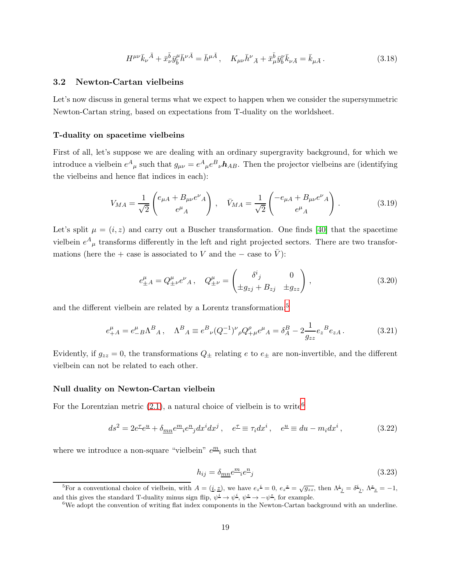$$
H^{\mu\nu}\bar{k}_{\nu}{}^{\bar{A}} + \bar{x}_{\nu}^{\bar{b}}\bar{y}_{\bar{b}}^{\mu}\bar{h}^{\nu\bar{A}} = \bar{h}^{\mu\bar{A}}\,, \quad K_{\mu\nu}\bar{h}^{\nu}{}_{\bar{A}} + \bar{x}_{\mu}^{\bar{b}}\bar{y}_{\bar{b}}^{\nu}\bar{k}_{\nu\bar{A}} = \bar{k}_{\mu\bar{A}}\,. \tag{3.18}
$$

## <span id="page-18-0"></span>3.2 Newton-Cartan vielbeins

Let's now discuss in general terms what we expect to happen when we consider the supersymmetric Newton-Cartan string, based on expectations from T-duality on the worldsheet.

#### T-duality on spacetime vielbeins

First of all, let's suppose we are dealing with an ordinary supergravity background, for which we introduce a vielbein  $e^A_{\mu}$  such that  $g_{\mu\nu} = e^A_{\mu} e^B_{\nu} h_{AB}$ . Then the projector vielbeins are (identifying the vielbeins and hence flat indices in each):

$$
V_{MA} = \frac{1}{\sqrt{2}} \begin{pmatrix} e_{\mu A} + B_{\mu \nu} e^{\nu}{}_A \\ e^{\mu}{}_A \end{pmatrix} , \quad \bar{V}_{MA} = \frac{1}{\sqrt{2}} \begin{pmatrix} -e_{\mu A} + B_{\mu \nu} e^{\nu}{}_A \\ e^{\mu}{}_A \end{pmatrix} . \tag{3.19}
$$

Let's split  $\mu = (i, z)$  and carry out a Buscher transformation. One finds [\[40\]](#page-49-8) that the spacetime vielbein  $e^{A}{}_{\mu}$  transforms differently in the left and right projected sectors. There are two transformations (here the + case is associated to V and the  $-$  case to V):

$$
e_{\pm A}^{\mu} = Q_{\pm \nu}^{\mu} e^{\nu}{}_{A} , \quad Q_{\pm \nu}^{\mu} = \begin{pmatrix} \delta^{i}{}_{j} & 0 \\ \pm g_{zj} + B_{zj} & \pm g_{zz} \end{pmatrix} , \tag{3.20}
$$

and the different vielbein are related by a Lorentz transformation:<sup>[5](#page-18-1)</sup>

$$
e_{+A}^{\mu} = e_{-B}^{\mu} \Lambda^B{}_A \,, \quad \Lambda^B{}_A \equiv e^B{}_{\nu} (Q_-^{-1})^{\nu}{}_{\rho} Q_{+\mu}^{\rho} e^{\mu}{}_A = \delta_A^B - 2 \frac{1}{g_{zz}} e_z{}^B e_{zA} \,. \tag{3.21}
$$

Evidently, if  $g_{zz} = 0$ , the transformations  $Q_{\pm}$  relating e to  $e_{\pm}$  are non-invertible, and the different vielbein can not be related to each other.

## Null duality on Newton-Cartan vielbein

For the Lorentzian metric  $(2.1)$ , a natural choice of vielbein is to write<sup>[6](#page-18-2)</sup>

$$
ds^2 = 2e^{\tau}e^{\underline{u}} + \delta_{\underline{m}\underline{n}}e^{\underline{m}}{}_{i}e^{\underline{n}}{}_{j}dx^i dx^j , \quad e^{\underline{\tau}} \equiv \tau_i dx^i , \quad e^{\underline{u}} \equiv du - m_i dx^i , \tag{3.22}
$$

where we introduce a non-square "vielbein"  $e^{\underline{m}}i$  such that

$$
h_{ij} = \delta_{\underline{m}\underline{n}} e^{\underline{m}}_{i} e^{\underline{n}}_{j}
$$
\n
$$
(3.23)
$$

<sup>&</sup>lt;sup>5</sup>For a conventional choice of vielbein, with  $A = (\underline{i}, \underline{z})$ , we have  $e_z^i = 0$ ,  $e_z^{\underline{z}} = \sqrt{g_{zz}}$ , then  $\Lambda^{\underline{i}}_{\underline{j}} = \delta^{\underline{i}}_{\underline{j}}$ ,  $\Lambda^{\underline{z}}_{\underline{z}} = -1$ , and this gives the standard T-duality minus sign flip,  $\psi^{\underline{i}} \to \psi^{\underline{i}}, \psi^{\underline{z}} \to -\psi^{\underline{z}}$ , for example.

<span id="page-18-2"></span><span id="page-18-1"></span><sup>&</sup>lt;sup>6</sup>We adopt the convention of writing flat index components in the Newton-Cartan background with an underline.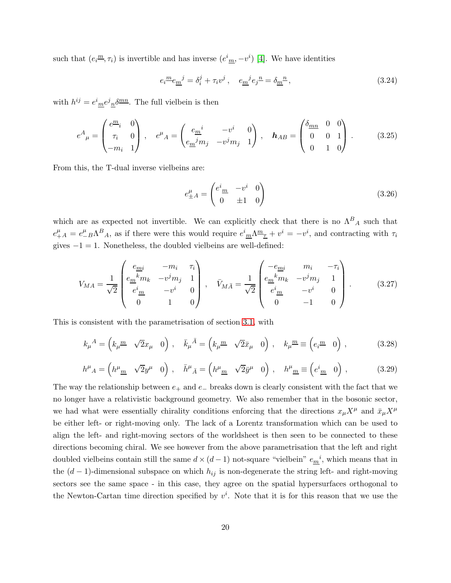such that  $(e_i^{\underline{m}}, \tau_i)$  is invertible and has inverse  $(e^i_{\underline{m}}, -v^i)$  [\[4\]](#page-47-8). We have identities

$$
e_i^{\underline{m}}e_{\underline{m}}^{\ \ j} = \delta_i^j + \tau_i v^j \,, \quad e_{\underline{m}}^{\ \ j}e_j^{\ \underline{n}} = \delta_{\underline{m}}^{\ \underline{n}} \,, \tag{3.24}
$$

with  $h^{ij} = e^i_{m}e^j_{n}\delta^{mn}$ . The full vielbein is then

$$
e^{A}_{\mu} = \begin{pmatrix} e^{\underline{m}_{i}} & 0 \\ \tau_{i} & 0 \\ -m_{i} & 1 \end{pmatrix}, \quad e^{\mu}{}_{A} = \begin{pmatrix} e^{\mu}_{m} & -v^{i} & 0 \\ e^{\mu}_{m}m_{j} & -v^{j}m_{j} & 1 \end{pmatrix}, \quad \mathbf{h}_{AB} = \begin{pmatrix} \delta_{mn} & 0 & 0 \\ 0 & 0 & 1 \\ 0 & 1 & 0 \end{pmatrix}.
$$
 (3.25)

From this, the T-dual inverse vielbeins are:

$$
e^{\mu}_{\pm A} = \begin{pmatrix} e^i \frac{m}{2} & -v^i & 0\\ 0 & \pm 1 & 0 \end{pmatrix} \tag{3.26}
$$

which are as expected not invertible. We can explicitly check that there is no  $\Lambda^B{}_A$  such that  $e_{+}^{\mu}A = e_{-}^{\mu}B\Lambda^{B}A$ , as if there were this would require  $e_{\underline{m}}^i\Lambda^{\underline{m}}{}_{\underline{\tau}} + v^i = -v^i$ , and contracting with  $\tau_i$ gives  $-1 = 1$ . Nonetheless, the doubled vielbeins are well-defined:

$$
V_{MA} = \frac{1}{\sqrt{2}} \begin{pmatrix} e_{\underline{m}i} & -m_i & \tau_i \\ e_{\underline{m}}^{\ \ k}m_k & -\upsilon^j m_j & 1 \\ e^i_{\ \underline{m}} & -\upsilon^i & 0 \\ 0 & 1 & 0 \end{pmatrix}, \quad \bar{V}_{MA} = \frac{1}{\sqrt{2}} \begin{pmatrix} -e_{\underline{m}i} & m_i & -\tau_i \\ e_{\underline{m}}^{\ \ k}m_k & -\upsilon^j m_j & 1 \\ e^i_{\ \underline{m}} & -\upsilon^i & 0 \\ 0 & -1 & 0 \end{pmatrix} . \tag{3.27}
$$

This is consistent with the parametrisation of section [3.1,](#page-15-1) with

<span id="page-19-0"></span>
$$
k_{\mu}{}^{A} = \left(k_{\mu}{}^{\underline{m}} \quad \sqrt{2}x_{\mu} \quad 0\right) \,, \quad \bar{k}_{\mu}{}^{\bar{A}} = \left(k_{\mu}{}^{\underline{m}} \quad \sqrt{2}\bar{x}_{\mu} \quad 0\right) \,, \quad k_{\mu}{}^{\underline{m}} \equiv \left(e_{i}{}^{\underline{m}} \quad 0\right) \,, \tag{3.28}
$$

<span id="page-19-1"></span>
$$
h^{\mu}{}_{A} = \left(h^{\mu}{}_{\underline{m}} \quad \sqrt{2}y^{\mu} \quad 0\right) , \quad \bar{h}^{\mu}{}_{\bar{A}} = \left(h^{\mu}{}_{\underline{m}} \quad \sqrt{2}\bar{y}^{\mu} \quad 0\right) , \quad h^{\mu}{}_{\underline{m}} \equiv \left(e^{i}{}_{\underline{m}} \quad 0\right) , \tag{3.29}
$$

The way the relationship between  $e_+$  and  $e_-$  breaks down is clearly consistent with the fact that we no longer have a relativistic background geometry. We also remember that in the bosonic sector, we had what were essentially chirality conditions enforcing that the directions  $x_{\mu}X^{\mu}$  and  $\bar{x}_{\mu}X^{\mu}$ be either left- or right-moving only. The lack of a Lorentz transformation which can be used to align the left- and right-moving sectors of the worldsheet is then seen to be connected to these directions becoming chiral. We see however from the above parametrisation that the left and right doubled vielbeins contain still the same  $d \times (d-1)$  not-square "vielbein"  $e_{\underline{m}}^i$ , which means that in the  $(d-1)$ -dimensional subspace on which  $h_{ij}$  is non-degenerate the string left- and right-moving sectors see the same space - in this case, they agree on the spatial hypersurfaces orthogonal to the Newton-Cartan time direction specified by  $v^i$ . Note that it is for this reason that we use the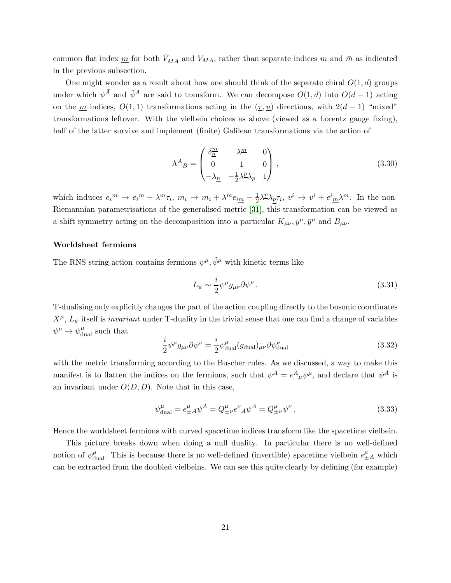common flat index  $\underline{m}$  for both  $V_{M\bar{A}}$  and  $V_{MA}$ , rather than separate indices m and  $\bar{m}$  as indicated in the previous subsection.

One might wonder as a result about how one should think of the separate chiral  $O(1, d)$  groups under which  $\psi^{\bar{A}}$  and  $\tilde{\psi}^A$  are said to transform. We can decompose  $O(1,d)$  into  $O(d-1)$  acting on the m indices,  $O(1, 1)$  transformations acting in the  $(\underline{\tau}, \underline{u})$  directions, with  $2(d-1)$  "mixed" transformations leftover. With the vielbein choices as above (viewed as a Lorentz gauge fixing), half of the latter survive and implement (finite) Galilean transformations via the action of

$$
\Lambda^{A}{}_{B} = \begin{pmatrix} \delta^{\underline{m}}_{\underline{n}} & \lambda^{\underline{m}} & 0 \\ 0 & 1 & 0 \\ -\lambda_{\underline{n}} & -\frac{1}{2}\lambda^{\underline{p}}\lambda_{\underline{p}} & 1 \end{pmatrix} \,, \tag{3.30}
$$

which induces  $e_i^{\underline{m}} \to e_i^{\underline{m}} + \lambda^{\underline{m}} \tau_i$ ,  $m_i \to m_i + \lambda^{\underline{m}} e_{i \underline{m}} - \frac{1}{2}$  $\frac{1}{2}\lambda^{\underline{p}}\lambda_{\underline{p}}\tau_i, v^i \to v^i + e^i{}_{\underline{m}}\lambda^{\underline{m}}.$  In the non-Riemannian parametrisations of the generalised metric [\[31\]](#page-49-0), this transformation can be viewed as a shift symmetry acting on the decomposition into a particular  $K_{\mu\nu}$ ,  $y^{\mu}$ ,  $\bar{y}^{\mu}$  and  $B_{\mu\nu}$ .

#### Worldsheet fermions

The RNS string action contains fermions  $\psi^{\mu}, \tilde{\psi}^{\mu}$  with kinetic terms like

$$
L_{\psi} \sim \frac{i}{2} \psi^{\mu} g_{\mu\nu} \partial \psi^{\nu} . \tag{3.31}
$$

T-dualising only explicitly changes the part of the action coupling directly to the bosonic coordinates  $X^{\mu}$ ,  $L_{\psi}$  itself is *invariant* under T-duality in the trivial sense that one can find a change of variables  $\psi^{\mu} \rightarrow \psi_{\text{dual}}^{\mu}$  such that

$$
\frac{i}{2}\psi^{\mu}g_{\mu\nu}\partial\psi^{\nu} = \frac{i}{2}\psi^{\mu}_{\text{dual}}(g_{\text{dual}})_{\mu\nu}\partial\psi^{\nu}_{\text{dual}} \tag{3.32}
$$

with the metric transforming according to the Buscher rules. As we discussed, a way to make this manifest is to flatten the indices on the fermions, such that  $\psi^A = e^A_{\mu} \psi^{\mu}$ , and declare that  $\psi^A$  is an invariant under  $O(D, D)$ . Note that in this case,

$$
\psi_{\text{dual}}^{\mu} = e_{\pm A}^{\mu} \psi^A = Q_{\pm \nu}^{\mu} e^{\nu}{}_{A} \psi^A = Q_{\pm \nu}^{\mu} \psi^{\nu}.
$$
\n(3.33)

Hence the worldsheet fermions with curved spacetime indices transform like the spacetime vielbein.

This picture breaks down when doing a null duality. In particular there is no well-defined notion of  $\psi_{\text{dual}}^{\mu}$ . This is because there is no well-defined (invertible) spacetime vielbein  $e_{\pm A}^{\mu}$  which can be extracted from the doubled vielbeins. We can see this quite clearly by defining (for example)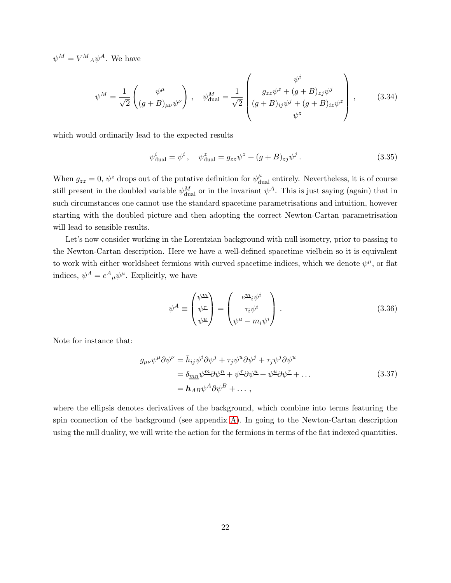$\psi^M = V^M{}_A \psi^A$ . We have

$$
\psi^{M} = \frac{1}{\sqrt{2}} \begin{pmatrix} \psi^{\mu} \\ (g+B)_{\mu\nu} \psi^{\nu} \end{pmatrix}, \quad \psi^{M}_{\text{dual}} = \frac{1}{\sqrt{2}} \begin{pmatrix} \psi^{i} \\ g_{zz} \psi^{z} + (g+B)_{zj} \psi^{j} \\ (g+B)_{ij} \psi^{j} + (g+B)_{iz} \psi^{z} \\ \psi^{z} \end{pmatrix}, \quad (3.34)
$$

which would ordinarily lead to the expected results

$$
\psi_{\text{dual}}^i = \psi^i, \quad \psi_{\text{dual}}^z = g_{zz}\psi^z + (g + B)_{zj}\psi^j.
$$
\n(3.35)

When  $g_{zz} = 0$ ,  $\psi^z$  drops out of the putative definition for  $\psi_{\text{dual}}^{\mu}$  entirely. Nevertheless, it is of course still present in the doubled variable  $\psi_{\text{dual}}^M$  or in the invariant  $\psi^A$ . This is just saying (again) that in such circumstances one cannot use the standard spacetime parametrisations and intuition, however starting with the doubled picture and then adopting the correct Newton-Cartan parametrisation will lead to sensible results.

Let's now consider working in the Lorentzian background with null isometry, prior to passing to the Newton-Cartan description. Here we have a well-defined spacetime vielbein so it is equivalent to work with either worldsheet fermions with curved spacetime indices, which we denote  $\psi^{\mu}$ , or flat indices,  $\psi^A = e^A{}_{\mu}\psi^{\mu}$ . Explicitly, we have

<span id="page-21-0"></span>
$$
\psi^A \equiv \begin{pmatrix} \psi^{\underline{m}} \\ \psi^{\underline{\tau}} \\ \psi^{\underline{u}} \end{pmatrix} = \begin{pmatrix} e^{\underline{m}}_i \psi^i \\ \tau_i \psi^i \\ \psi^u - m_i \psi^i \end{pmatrix} . \tag{3.36}
$$

Note for instance that:

$$
g_{\mu\nu}\psi^{\mu}\partial\psi^{\nu} = \bar{h}_{ij}\psi^{i}\partial\psi^{j} + \tau_{j}\psi^{u}\partial\psi^{j} + \tau_{j}\psi^{j}\partial\psi^{u}
$$
  
=  $\delta_{mn}\psi^{m}\partial\psi^{n} + \psi^{T}\partial\psi^{u} + \psi^{u}\partial\psi^{T} + ...$   
=  $\mathbf{h}_{AB}\psi^{A}\partial\psi^{B} + ... ,$  (3.37)

where the ellipsis denotes derivatives of the background, which combine into terms featuring the spin connection of the background (see appendix [A\)](#page-40-0). In going to the Newton-Cartan description using the null duality, we will write the action for the fermions in terms of the flat indexed quantities.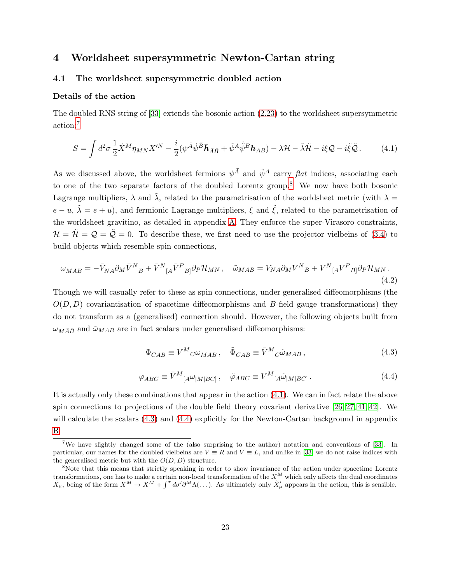# <span id="page-22-1"></span><span id="page-22-0"></span>4 Worldsheet supersymmetric Newton-Cartan string

## 4.1 The worldsheet supersymmetric doubled action

## Details of the action

The doubled RNS string of [\[33\]](#page-49-2) extends the bosonic action [\(2.23\)](#page-10-3) to the worldsheet supersymmetric action:[7](#page-22-2)

<span id="page-22-4"></span>
$$
S = \int d^2 \sigma \frac{1}{2} \dot{X}^M \eta_{MN} X^{\prime N} - \frac{i}{2} (\psi^{\bar{A}} \dot{\psi}^{\bar{B}} \bar{h}_{\bar{A}\bar{B}} + \tilde{\psi}^A \dot{\tilde{\psi}}^B h_{AB}) - \lambda \mathcal{H} - \tilde{\lambda} \tilde{\mathcal{H}} - i \xi \mathcal{Q} - i \tilde{\xi} \tilde{\mathcal{Q}}.
$$
 (4.1)

As we discussed above, the worldsheet fermions  $\psi^{\bar{A}}$  and  $\tilde{\psi}^A$  carry flat indices, associating each to one of the two separate factors of the doubled Lorentz group.[8](#page-22-3) We now have both bosonic Lagrange multipliers,  $\lambda$  and  $\tilde{\lambda}$ , related to the parametrisation of the worldsheet metric (with  $\lambda =$  $e - u$ ,  $\tilde{\lambda} = e + u$ , and fermionic Lagrange multipliers,  $\xi$  and  $\tilde{\xi}$ , related to the parametrisation of the worldsheet gravitino, as detailed in appendix [A.](#page-40-0) They enforce the super-Virasoro constraints,  $\mathcal{H} = \tilde{\mathcal{H}} = \mathcal{Q} = \tilde{\mathcal{Q}} = 0$ . To describe these, we first need to use the projector vielbeins of [\(3.4\)](#page-16-2) to build objects which resemble spin connections,

$$
\omega_{M\bar{A}\bar{B}} = -\bar{V}_{N\bar{A}}\partial_M\bar{V}^N{}_{\bar{B}} + \bar{V}^N{}_{[\bar{A}}\bar{V}^P{}_{\bar{B}]}\partial_P\mathcal{H}_{MN}\,, \quad \tilde{\omega}_{MAB} = V_{NA}\partial_MV^N{}_{B} + V^N{}_{[A}V^P{}_{B]}\partial_P\mathcal{H}_{MN}\,.
$$
\n(4.2)

Though we will casually refer to these as spin connections, under generalised diffeomorphisms (the  $O(D, D)$  covariantisation of spacetime diffeomorphisms and B-field gauge transformations) they do not transform as a (generalised) connection should. However, the following objects built from  $\omega_{M\bar{A}\bar{B}}$  and  $\tilde{\omega}_{MAB}$  are in fact scalars under generalised diffeomorphisms:

$$
\Phi_{C\bar{A}\bar{B}} \equiv V^M{}_{C}\omega_{M\bar{A}\bar{B}}\,, \quad \tilde{\Phi}_{\bar{C}AB} \equiv \bar{V}^M{}_{\bar{C}}\tilde{\omega}_{MAB}\,, \tag{4.3}
$$

$$
\varphi_{\bar{A}\bar{B}\bar{C}} \equiv \bar{V}^M_{\ [A}\omega_{|M|\bar{B}\bar{C}]}\,, \quad \tilde{\varphi}_{ABC} \equiv V^M_{\ [A}\tilde{\omega}_{|M|BC]}\,. \tag{4.4}
$$

<span id="page-22-6"></span><span id="page-22-5"></span>It is actually only these combinations that appear in the action [\(4.1\)](#page-22-4). We can in fact relate the above spin connections to projections of the double field theory covariant derivative  $[26, 27, 41, 42]$  $[26, 27, 41, 42]$  $[26, 27, 41, 42]$  $[26, 27, 41, 42]$ . We will calculate the scalars  $(4.3)$  and  $(4.4)$  explicitly for the Newton-Cartan background in appendix [B.](#page-43-0)

<span id="page-22-2"></span><sup>&</sup>lt;sup>7</sup>We have slightly changed some of the (also surprising to the author) notation and conventions of [\[33\]](#page-49-2). In particular, our names for the doubled vielbeins are  $V \equiv R$  and  $\overline{V} \equiv L$ , and unlike in [\[33\]](#page-49-2) we do not raise indices with the generalised metric but with the  $O(D, D)$  structure.

<span id="page-22-3"></span><sup>8</sup>Note that this means that strictly speaking in order to show invariance of the action under spacetime Lorentz transformations, one has to make a certain non-local transformation of the  $X^M$  which only affects the dual coordinates  $\tilde{X}_{\mu}$ , being of the form  $X^M \to X^M + \int^{\sigma} d\sigma' \partial^M \Lambda(\dots)$ . As ultimately only  $\tilde{X}'_{\mu}$  appears in the action, this is sensible.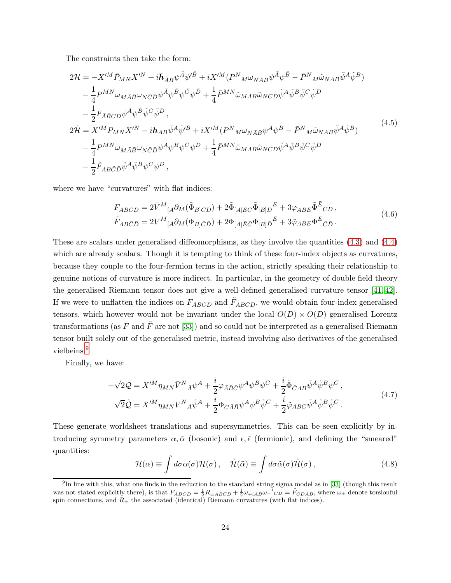The constraints then take the form:

<span id="page-23-2"></span>
$$
2\mathcal{H} = -X^{\prime M} \bar{P}_{MN} X^{\prime N} + i \bar{h}_{\bar{A}\bar{B}} \psi^{\bar{A}} \psi^{\prime \bar{B}} + i X^{\prime M} (P^N{}_{M} \omega_{N \bar{A}\bar{B}} \psi^{\bar{A}} \psi^{\bar{B}} - \bar{P}^N{}_{M} \tilde{\omega}_{NAB} \tilde{\psi}^A \tilde{\psi}^B) - \frac{1}{4} P^{MN} \omega_{M \bar{A}\bar{B}} \omega_{N \bar{C}\bar{D}} \psi^{\bar{A}} \psi^{\bar{B}} \psi^{\bar{C}} \psi^{\bar{D}} + \frac{1}{4} \bar{P}^{MN} \tilde{\omega}_{MAB} \tilde{\omega}_{NCD} \tilde{\psi}^A \tilde{\psi}^B \tilde{\psi}^C \tilde{\psi}^D - \frac{1}{2} F_{\bar{A}\bar{B}CD} \psi^{\bar{A}} \psi^{\bar{B}} \tilde{\psi}^C \tilde{\psi}^D ,
$$
  

$$
2\tilde{\mathcal{H}} = X^{\prime M} P_{MN} X^{\prime N} - i \mathbf{h}_{AB} \tilde{\psi}^A \tilde{\psi}^{\prime B} + i X^{\prime M} (P^N{}_{M} \omega_{N \bar{A}\bar{B}} \psi^{\bar{A}} \psi^{\bar{B}} - \bar{P}^N{}_{M} \tilde{\omega}_{NAB} \tilde{\psi}^A \tilde{\psi}^B) - \frac{1}{4} P^{MN} \omega_{M \bar{A}\bar{B}} \omega_{N \bar{C}\bar{D}} \psi^{\bar{A}} \psi^{\bar{B}} \psi^{\bar{C}} \psi^{\bar{D}} + \frac{1}{4} \bar{P}^{MN} \tilde{\omega}_{MAB} \tilde{\omega}_{NCD} \tilde{\psi}^A \tilde{\psi}^B \tilde{\psi}^C \tilde{\psi}^D - \frac{1}{2} \tilde{F}_{AB \bar{C}\bar{D}} \tilde{\psi}^A \tilde{\psi}^B \psi^{\bar{C}} \psi^{\bar{D}} ,
$$

$$
(4.5)
$$

<span id="page-23-1"></span>where we have "curvatures" with flat indices:

$$
F_{\bar{A}\bar{B}CD} = 2\bar{V}^M{}_{[\bar{A}} \partial_M (\tilde{\Phi}_{\bar{B}]CD}) + 2\tilde{\Phi}_{[\bar{A}|EC} \tilde{\Phi}_{|\bar{B}]D}^E + 3\varphi_{\bar{A}\bar{B}\bar{E}} \tilde{\Phi}^{\bar{E}}{}_{CD} ,
$$
  
\n
$$
\tilde{F}_{AB\bar{C}\bar{D}} = 2V^M{}_{[A} \partial_M (\Phi_{B]\bar{C}\bar{D}}) + 2\Phi_{[A|\bar{E}\bar{C}} \Phi_{|B]\bar{D}}{}^{\bar{E}} + 3\tilde{\varphi}_{ABE} \Phi^E{}_{\bar{C}\bar{D}} .
$$
\n(4.6)

These are scalars under generalised diffeomorphisms, as they involve the quantities [\(4.3\)](#page-22-5) and [\(4.4\)](#page-22-6) which are already scalars. Though it is tempting to think of these four-index objects as curvatures, because they couple to the four-fermion terms in the action, strictly speaking their relationship to genuine notions of curvature is more indirect. In particular, in the geometry of double field theory the generalised Riemann tensor does not give a well-defined generalised curvature tensor [\[41,](#page-49-9) [42\]](#page-49-10). If we were to unflatten the indices on  $F_{\bar{A}\bar{B}CD}$  and  $\tilde{F}_{AB\bar{C}\bar{D}}$ , we would obtain four-index generalised tensors, which however would not be invariant under the local  $O(D) \times O(D)$  generalised Lorentz transformations (as F and  $\tilde{F}$  are not [\[33\]](#page-49-2)) and so could not be interpreted as a generalised Riemann tensor built solely out of the generalised metric, instead involving also derivatives of the generalised vielbeins.<sup>[9](#page-23-0)</sup>

<span id="page-23-3"></span>Finally, we have:

$$
-\sqrt{2}\mathcal{Q} = X^{\prime M}\eta_{MN}\bar{V}^N{}_{\bar{A}}\psi^{\bar{A}} + \frac{i}{2}\varphi_{\bar{A}\bar{B}\bar{C}}\psi^{\bar{A}}\psi^{\bar{B}}\psi^{\bar{C}} + \frac{i}{2}\tilde{\Phi}_{\bar{C}AB}\tilde{\psi}^A\tilde{\psi}^B\psi^{\bar{C}} ,
$$
  

$$
\sqrt{2}\tilde{\mathcal{Q}} = X^{\prime M}\eta_{MN}V^N{}_{A}\tilde{\psi}^A + \frac{i}{2}\Phi_{C\bar{A}\bar{B}}\psi^{\bar{A}}\psi^{\bar{B}}\tilde{\psi}^C + \frac{i}{2}\tilde{\varphi}_{ABC}\tilde{\psi}^A\tilde{\psi}^B\tilde{\psi}^C .
$$
 (4.7)

These generate worldsheet translations and supersymmetries. This can be seen explicitly by introducing symmetry parameters  $\alpha, \tilde{\alpha}$  (bosonic) and  $\epsilon, \tilde{\epsilon}$  (fermionic), and defining the "smeared" quantities:

$$
\mathcal{H}(\alpha) \equiv \int d\sigma \alpha(\sigma) \mathcal{H}(\sigma), \quad \tilde{\mathcal{H}}(\tilde{\alpha}) \equiv \int d\sigma \tilde{\alpha}(\sigma) \tilde{\mathcal{H}}(\sigma), \tag{4.8}
$$

<span id="page-23-0"></span><sup>&</sup>lt;sup>9</sup>In line with this, what one finds in the reduction to the standard string sigma model as in [\[33\]](#page-49-2) (though this result was not stated explicitly there), is that  $F_{\bar{A}\bar{B}CD} = \frac{1}{2}R_{\pm \bar{A}\bar{B}CD} + \frac{1}{2}\omega_{+i\bar{A}\bar{B}}\omega_{-}{}^{i}CD = \tilde{F}_{CD\bar{A}\bar{B}}$ , where  $\omega_{\pm}$  denote torsionful spin connections, and  $R_{\pm}$  the associated (identical) Riemann curvatures (with flat indices).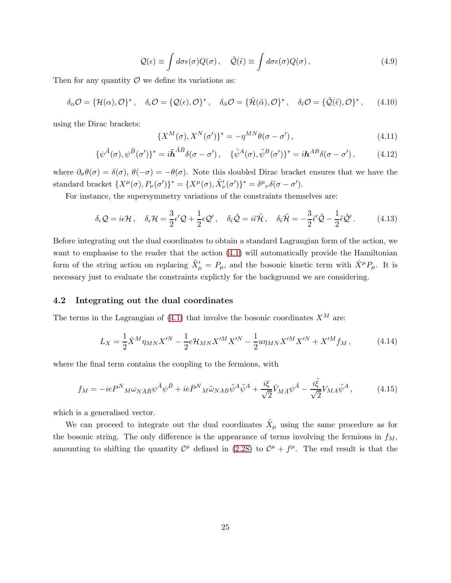$$
\mathcal{Q}(\epsilon) \equiv \int d\sigma \epsilon(\sigma) Q(\sigma), \quad \tilde{\mathcal{Q}}(\tilde{\epsilon}) \equiv \int d\sigma \epsilon(\sigma) Q(\sigma), \qquad (4.9)
$$

Then for any quantity  $\mathcal O$  we define its variations as:

<span id="page-24-2"></span>
$$
\delta_{\alpha}\mathcal{O} = \{ \mathcal{H}(\alpha), \mathcal{O} \}^*, \quad \delta_{\epsilon}\mathcal{O} = \{ \mathcal{Q}(\epsilon), \mathcal{O} \}^*, \quad \delta_{\tilde{\alpha}}\mathcal{O} = \{ \tilde{\mathcal{H}}(\tilde{\alpha}), \mathcal{O} \}^*, \quad \delta_{\tilde{\epsilon}}\mathcal{O} = \{ \tilde{\mathcal{Q}}(\tilde{\epsilon}), \mathcal{O} \}^*, \quad (4.10)
$$

using the Dirac brackets:

$$
\{X^M(\sigma), X^N(\sigma')\}^* = -\eta^{MN}\theta(\sigma - \sigma'),\tag{4.11}
$$

$$
\{\psi^{\bar{A}}(\sigma),\psi^{\bar{B}}(\sigma')\}^* = i\bar{\mathbf{h}}^{\bar{A}\bar{B}}\delta(\sigma-\sigma'), \quad \{\tilde{\psi}^A(\sigma),\tilde{\psi}^B(\sigma')\}^* = i\mathbf{h}^{AB}\delta(\sigma-\sigma'),\tag{4.12}
$$

where  $\partial_{\sigma}\theta(\sigma) = \delta(\sigma)$ ,  $\theta(-\sigma) = -\theta(\sigma)$ . Note this doubled Dirac bracket ensures that we have the standard bracket  $\{X^{\mu}(\sigma), P_{\nu}(\sigma')\}^* = \{X^{\mu}(\sigma), \tilde{X}'_{\nu}(\sigma')\}^* = \delta^{\mu}{}_{\nu}\delta(\sigma - \sigma').$ 

For instance, the supersymmetry variations of the constraints themselves are:

$$
\delta_{\epsilon}\mathcal{Q} = i\epsilon\mathcal{H}, \quad \delta_{\epsilon}\mathcal{H} = \frac{3}{2}\epsilon'\mathcal{Q} + \frac{1}{2}\epsilon\mathcal{Q}', \quad \delta_{\tilde{\epsilon}}\tilde{\mathcal{Q}} = i\tilde{\epsilon}\tilde{\mathcal{H}}, \quad \delta_{\tilde{\epsilon}}\tilde{\mathcal{H}} = -\frac{3}{2}\tilde{\epsilon}'\tilde{\mathcal{Q}} - \frac{1}{2}\tilde{\epsilon}\tilde{\mathcal{Q}}'. \tag{4.13}
$$

Before integrating out the dual coordinates to obtain a standard Lagrangian form of the action, we want to emphasise to the reader that the action  $(4.1)$  will automatically provide the Hamiltonian form of the string action on replacing  $\tilde{X}'_{\mu} = P_{\mu}$ , and the bosonic kinetic term with  $\dot{X}^{\mu}P_{\mu}$ . It is necessary just to evaluate the constraints explictly for the background we are considering.

#### <span id="page-24-0"></span>4.2 Integrating out the dual coordinates

The terms in the Lagrangian of  $(4.1)$  that involve the bosonic coordinates  $X^M$  are:

$$
L_X = \frac{1}{2} \dot{X}^M \eta_{MN} X^{\prime N} - \frac{1}{2} e \mathcal{H}_{MN} X^{\prime M} X^{\prime N} - \frac{1}{2} u \eta_{MN} X^{\prime M} X^{\prime N} + X^{\prime M} f_M , \qquad (4.14)
$$

where the final term contains the coupling to the fermions, with

<span id="page-24-1"></span>
$$
f_M = -ieP^N{}_M\omega_{N\bar{A}\bar{B}}\psi^{\bar{A}}\psi^{\bar{B}} + ie\bar{P}^N{}_M\tilde{\omega}_{NAB}\tilde{\psi}^A\tilde{\psi}^A + \frac{i\xi}{\sqrt{2}}\bar{V}_{M\bar{A}}\psi^{\bar{A}} - \frac{i\tilde{\xi}}{\sqrt{2}}V_{MA}\tilde{\psi}^A, \tag{4.15}
$$

which is a generalised vector.

We can proceed to integrate out the dual coordinates  $\tilde{X}_{\mu}$  using the same procedure as for the bosonic string. The only difference is the appearance of terms involving the fermions in  $f_M$ , amounting to shifting the quantity  $\mathcal{C}^{\mu}$  defined in [\(2.28\)](#page-11-2) to  $\mathcal{C}^{\mu} + f^{\mu}$ . The end result is that the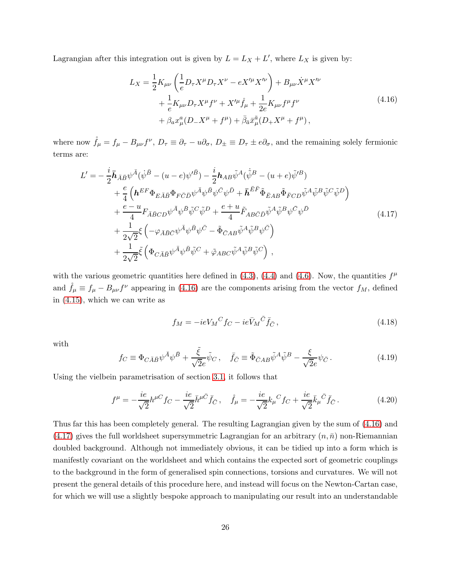<span id="page-25-0"></span>Lagrangian after this integration out is given by  $L = L_X + L'$ , where  $L_X$  is given by:

$$
L_X = \frac{1}{2} K_{\mu\nu} \left( \frac{1}{e} D_\tau X^\mu D_\tau X^\nu - e X'^\mu X'^\nu \right) + B_{\mu\nu} \dot{X}^\mu X'^\nu + \frac{1}{e} K_{\mu\nu} D_\tau X^\mu f^\nu + X'^\mu \dot{f}_\mu + \frac{1}{2e} K_{\mu\nu} f^\mu f^\nu + \beta_a x_\mu^a (D_- X^\mu + f^\mu) + \bar{\beta}_{\bar{a}} \bar{x}_{\mu}^{\bar{a}} (D_+ X^\mu + f^\mu) ,
$$
\n(4.16)

where now  $\mathring{f}_{\mu} = f_{\mu} - B_{\mu\nu} f^{\nu}$ ,  $D_{\tau} \equiv \partial_{\tau} - u \partial_{\sigma}$ ,  $D_{\pm} \equiv D_{\tau} \pm e \partial_{\sigma}$ , and the remaining solely fermionic terms are:

<span id="page-25-1"></span>
$$
L' = -\frac{i}{2}\bar{h}_{\bar{A}\bar{B}}\psi^{\bar{A}}(\dot{\psi}^{\bar{B}} - (u - e)\psi'^{\bar{B}}) - \frac{i}{2}\bar{h}_{AB}\tilde{\psi}^{A}(\dot{\tilde{\psi}}^{B} - (u + e)\tilde{\psi}'^{B}) + \frac{e}{4}\left(\bar{h}^{EF}\Phi_{E\bar{A}\bar{B}}\Phi_{F\bar{C}\bar{D}}\psi^{\bar{A}}\psi^{\bar{B}}\psi^{\bar{C}}\psi^{\bar{D}} + \bar{h}^{\bar{E}\bar{F}}\tilde{\Phi}_{\bar{E}AB}\tilde{\Phi}_{\bar{F}CD}\tilde{\psi}^{A}\tilde{\psi}^{B}\tilde{\psi}^{C}\tilde{\psi}^{D}\right) + \frac{e - u}{4}F_{\bar{A}\bar{B}CD}\psi^{\bar{A}}\psi^{\bar{B}}\tilde{\psi}^{C}\tilde{\psi}^{D} + \frac{e + u}{4}\tilde{F}_{AB\bar{C}\bar{D}}\tilde{\psi}^{A}\tilde{\psi}^{B}\psi^{\bar{C}}\psi^{\bar{D}} + \frac{1}{2\sqrt{2}}\xi\left(-\varphi_{\bar{A}\bar{B}\bar{C}}\psi^{\bar{A}}\psi^{\bar{B}}\psi^{\bar{C}} - \tilde{\Phi}_{\bar{C}AB}\tilde{\psi}^{A}\tilde{\psi}^{B}\psi^{\bar{C}}\right) + \frac{1}{2\sqrt{2}}\tilde{\xi}\left(\Phi_{C\bar{A}\bar{B}}\psi^{\bar{A}}\psi^{\bar{B}}\tilde{\psi}^{C} + \tilde{\varphi}_{ABC}\tilde{\psi}^{A}\tilde{\psi}^{B}\tilde{\psi}^{C}\right),
$$
\n(4.17)

with the various geometric quantities here defined in  $(4.3)$ ,  $(4.4)$  and  $(4.6)$ . Now, the quantities  $f^{\mu}$ and  $\mathring{f}_{\mu} \equiv f_{\mu} - B_{\mu\nu} f^{\nu}$  appearing in [\(4.16\)](#page-25-0) are the components arising from the vector  $f_M$ , defined in [\(4.15\)](#page-24-1), which we can write as

$$
f_M = -ieV_M{}^C f_C - ie\bar{V}_M{}^{\bar{C}} \bar{f}_{\bar{C}} ,\qquad(4.18)
$$

with

$$
f_C \equiv \Phi_{C\bar{A}\bar{B}} \psi^{\bar{A}} \psi^{\bar{B}} + \frac{\tilde{\xi}}{\sqrt{2}e} \tilde{\psi}_C , \quad \bar{f}_{\bar{C}} \equiv \tilde{\Phi}_{\bar{C}AB} \tilde{\psi}^A \tilde{\psi}^B - \frac{\xi}{\sqrt{2}e} \psi_{\bar{C}} . \tag{4.19}
$$

Using the vielbein parametrisation of section [3.1,](#page-15-1) it follows that

$$
f^{\mu} = -\frac{ie}{\sqrt{2}}h^{\mu C}f_{C} - \frac{ie}{\sqrt{2}}\bar{h}^{\mu \bar{C}}\bar{f}_{\bar{C}}, \quad \mathring{f}_{\mu} = -\frac{ie}{\sqrt{2}}k_{\mu}{}^{C}f_{C} + \frac{ie}{\sqrt{2}}\bar{k}_{\mu}\bar{C}\bar{f}_{\bar{C}}.
$$
 (4.20)

Thus far this has been completely general. The resulting Lagrangian given by the sum of [\(4.16\)](#page-25-0) and  $(4.17)$  gives the full worldsheet supersymmetric Lagrangian for an arbitrary  $(n, \bar{n})$  non-Riemannian doubled background. Although not immediately obvious, it can be tidied up into a form which is manifestly covariant on the worldsheet and which contains the expected sort of geometric couplings to the background in the form of generalised spin connections, torsions and curvatures. We will not present the general details of this procedure here, and instead will focus on the Newton-Cartan case, for which we will use a slightly bespoke approach to manipulating our result into an understandable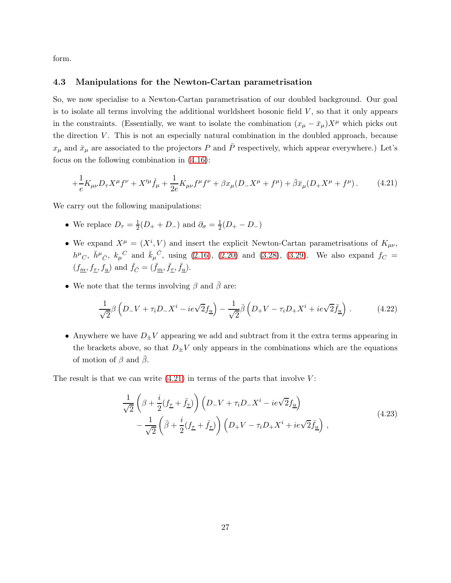<span id="page-26-0"></span>form.

#### 4.3 Manipulations for the Newton-Cartan parametrisation

So, we now specialise to a Newton-Cartan parametrisation of our doubled background. Our goal is to isolate all terms involving the additional worldsheet bosonic field  $V$ , so that it only appears in the constraints. (Essentially, we want to isolate the combination  $(x_{\mu} - \bar{x}_{\mu})X^{\mu}$  which picks out the direction  $V$ . This is not an especially natural combination in the doubled approach, because  $x_{\mu}$  and  $\bar{x}_{\mu}$  are associated to the projectors P and  $\bar{P}$  respectively, which appear everywhere.) Let's focus on the following combination in [\(4.16\)](#page-25-0):

<span id="page-26-1"></span>
$$
+\frac{1}{e}K_{\mu\nu}D_{\tau}X^{\mu}f^{\nu} + X^{\prime\mu}\mathring{f}_{\mu} + \frac{1}{2e}K_{\mu\nu}f^{\mu}f^{\nu} + \beta x_{\mu}(D_{-}X^{\mu} + f^{\mu}) + \bar{\beta}\bar{x}_{\mu}(D_{+}X^{\mu} + f^{\mu}). \tag{4.21}
$$

We carry out the following manipulations:

- We replace  $D_{\tau} = \frac{1}{2}$  $\frac{1}{2}(D_+ + D_-)$  and  $\partial_{\sigma} = \frac{1}{2}$  $rac{1}{2}(D_{+}-D_{-})$
- We expand  $X^{\mu} = (X^{i}, V)$  and insert the explicit Newton-Cartan parametrisations of  $K_{\mu\nu}$ ,  $h^{\mu}C$ ,  $\bar{h}^{\mu}\bar{C}$ ,  $k_{\mu}{}^{C}$  and  $\bar{k}_{\mu}{}^{\bar{C}}$ , using [\(2.16\)](#page-9-0), [\(2.20\)](#page-10-4) and [\(3.28\)](#page-19-0), [\(3.29\)](#page-19-1). We also expand  $f_{C}$  =  $(f_{\underline{m}}, f_{\underline{\tau}}, f_{\underline{u}})$  and  $\bar{f}_{\overline{C}} = (\bar{f}_{\underline{m}}, \bar{f}_{\underline{\tau}}, \bar{f}_{\underline{u}})$ .
- We note that the terms involving  $\beta$  and  $\beta$  are:

$$
\frac{1}{\sqrt{2}}\beta \left( D_{-}V + \tau_{i}D_{-}X^{i} - ie\sqrt{2}f_{\underline{u}} \right) - \frac{1}{\sqrt{2}}\bar{\beta} \left( D_{+}V - \tau_{i}D_{+}X^{i} + ie\sqrt{2}f_{\underline{u}} \right). \tag{4.22}
$$

• Anywhere we have  $D_{\pm}V$  appearing we add and subtract from it the extra terms appearing in the brackets above, so that  $D_{\pm}V$  only appears in the combinations which are the equations of motion of  $\beta$  and  $\beta$ .

The result is that we can write  $(4.21)$  in terms of the parts that involve V:

$$
\frac{1}{\sqrt{2}}\left(\beta + \frac{i}{2}(f_{\underline{\tau}} + \bar{f}_{\underline{\tau}})\right)\left(D_{-}V + \tau_i D_{-}X^i - ie\sqrt{2}f_{\underline{u}}\right) \n- \frac{1}{\sqrt{2}}\left(\bar{\beta} + \frac{i}{2}(f_{\underline{\tau}} + \bar{f}_{\underline{\tau}})\right)\left(D_{+}V - \tau_i D_{+}X^i + ie\sqrt{2}\bar{f}_{\underline{u}}\right) ,
$$
\n(4.23)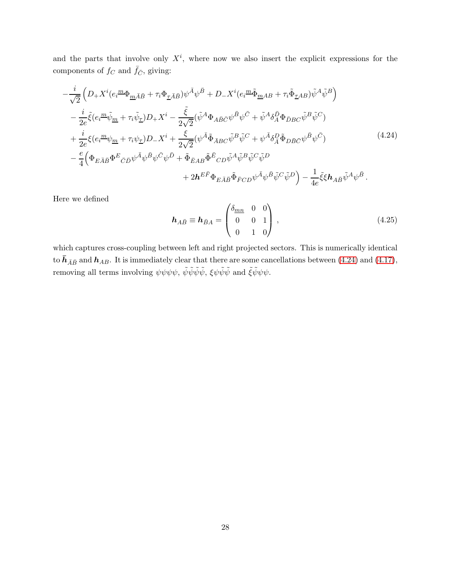and the parts that involve only  $X^i$ , where now we also insert the explicit expressions for the components of  $f_C$  and  $\bar{f}_{\bar{C}}$ , giving:

<span id="page-27-0"></span>
$$
-\frac{i}{\sqrt{2}}\left(D_{+}X^{i}(e_{i}^{\ m}\Phi_{\underline{m}\bar{A}\bar{B}}+\tau_{i}\Phi_{\underline{\tau}\bar{A}\bar{B}})\psi^{\bar{A}}\psi^{\bar{B}}+D_{-}X^{i}(e_{i}^{\ m}\tilde{\Phi}_{\underline{m}AB}+\tau_{i}\tilde{\Phi}_{\underline{\tau}AB})\tilde{\psi}^{A}\tilde{\psi}^{B}\right) -\frac{i}{2e}\tilde{\xi}(e_{i}^{\ m}\tilde{\psi}_{\underline{m}}+\tau_{i}\tilde{\psi}_{\underline{\tau}})D_{+}X^{i}-\frac{\tilde{\xi}}{2\sqrt{2}}(\tilde{\psi}^{A}\Phi_{A\bar{B}\bar{C}}\psi^{\bar{B}}\psi^{\bar{C}}+\tilde{\psi}^{A}\delta_{A}^{\bar{D}}\Phi_{\bar{D}BC}\tilde{\psi}^{B}\tilde{\psi}^{C}) +\frac{i}{2e}\xi(e_{i}^{\ m}\psi_{\underline{m}}+\tau_{i}\psi_{\underline{\tau}})D_{-}X^{i}+\frac{\xi}{2\sqrt{2}}(\psi^{\bar{A}}\tilde{\Phi}_{\bar{A}BC}\tilde{\psi}^{B}\tilde{\psi}^{C}+\psi^{\bar{A}}\delta_{A}^{D}\tilde{\Phi}_{D\bar{B}\bar{C}}\psi^{\bar{B}}\psi^{\bar{C}}) -\frac{e}{4}\left(\Phi_{E\bar{A}\bar{B}}\Phi^{E}{}_{\bar{C}\bar{D}}\psi^{\bar{A}}\psi^{\bar{B}}\psi^{\bar{C}}\psi^{\bar{D}}+\tilde{\Phi}_{\bar{E}AB}\tilde{\Phi}^{\bar{E}}{}_{CD}\tilde{\psi}^{A}\tilde{\psi}^{B}\tilde{\psi}^{C}\tilde{\psi}^{D} \right) +\frac{1}{2h}E_{\bar{F}}\Phi_{E\bar{A}\bar{B}}\tilde{\Phi}_{\bar{F}CD}\psi^{\bar{A}}\psi^{\bar{B}}\tilde{\psi}^{C}\tilde{\psi}^{D}\right)-\frac{1}{4e}\tilde{\xi}\xi h_{A\bar{B}}\tilde{\psi}^{A}\psi^{\bar{B}}.
$$
\n(4.24)

Here we defined

$$
\boldsymbol{h}_{A\bar{B}} \equiv \boldsymbol{h}_{\bar{B}A} = \begin{pmatrix} \delta_{\underline{m}\underline{n}} & 0 & 0 \\ 0 & 0 & 1 \\ 0 & 1 & 0 \end{pmatrix}, \tag{4.25}
$$

which captures cross-coupling between left and right projected sectors. This is numerically identical to  $\bar{h}_{\bar{A}\bar{B}}$  and  $h_{AB}$ . It is immediately clear that there are some cancellations between [\(4.24\)](#page-27-0) and [\(4.17\)](#page-25-1), removing all terms involving  $\psi \psi \psi \psi$ ,  $\tilde{\psi} \tilde{\psi} \tilde{\psi} \tilde{\psi}$ ,  $\xi \psi \tilde{\psi} \tilde{\psi}$  and  $\tilde{\xi} \tilde{\psi} \psi \psi$ .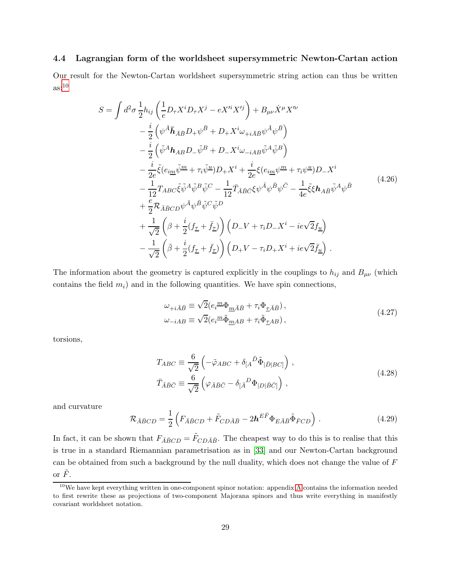## <span id="page-28-0"></span>4.4 Lagrangian form of the worldsheet supersymmetric Newton-Cartan action

Our result for the Newton-Cartan worldsheet supersymmetric string action can thus be written  $\text{as}:}^{10}$  $\text{as}:}^{10}$  $\text{as}:}^{10}$ 

$$
S = \int d^2 \sigma \frac{1}{2} h_{ij} \left( \frac{1}{e} D_{\tau} X^i D_{\tau} X^j - e X'^i X'^j \right) + B_{\mu\nu} \dot{X}^{\mu} X'^{\nu} - \frac{i}{2} \left( \psi^{\bar{A}} \bar{h}_{\bar{A} \bar{B}} D_{+} \psi^{\bar{B}} + D_{+} X^i \omega_{+i \bar{A} \bar{B}} \psi^{\bar{A}} \psi^{\bar{B}} \right) - \frac{i}{2} \left( \tilde{\psi}^A \mathbf{h}_{AB} D_{-} \tilde{\psi}^B + D_{-} X^i \omega_{-i AB} \tilde{\psi}^A \tilde{\psi}^B \right) - \frac{i}{2e} \tilde{\xi} (e_{i\underline{m}} \tilde{\psi}^{\underline{m}} + \tau_i \tilde{\psi}^{\underline{u}}) D_{+} X^i + \frac{i}{2e} \xi (e_{i\underline{m}} \psi^{\underline{m}} + \tau_i \psi^{\underline{u}}) D_{-} X^i - \frac{1}{12} T_{ABC} \tilde{\xi} \tilde{\psi}^A \tilde{\psi}^B \tilde{\psi}^C - \frac{1}{12} \bar{T}_{\bar{A} \bar{B} \bar{C}} \xi \psi^{\bar{A}} \psi^{\bar{B}} \psi^{\bar{C}} - \frac{1}{4e} \tilde{\xi} \xi \mathbf{h}_{A \bar{B}} \tilde{\psi}^A \psi^{\bar{B}} + \frac{e}{2} \mathcal{R}_{\bar{A} \bar{B} C D} \psi^{\bar{A}} \psi^{\bar{B}} \tilde{\psi}^C \tilde{\psi}^D + \frac{1}{\sqrt{2}} \left( \beta + \frac{i}{2} (f_{\underline{\tau}} + \bar{f}_{\underline{\tau}}) \right) \left( D_{-} V + \tau_i D_{-} X^i - i e \sqrt{2} f_{\underline{u}} \right) - \frac{1}{\sqrt{2}} \left( \bar{\beta} + \frac{i}{2} (f_{\underline{\tau}} + \bar{f}_{\underline{\tau}}) \right) \left( D_{+} V - \tau_i D_{+} X^i + i e \sqrt{2} \bar{f}_{\underline{u}} \right) .
$$
(4.26)

The information about the geometry is captured explicitly in the couplings to  $h_{ij}$  and  $B_{\mu\nu}$  (which contains the field  $m_i$ ) and in the following quantities. We have spin connections,

$$
\omega_{+i\bar{A}\bar{B}} \equiv \sqrt{2} (e_i^{\underline{m}} \Phi_{\underline{m}\bar{A}\bar{B}} + \tau_i \Phi_{\underline{\tau}\bar{A}\bar{B}}),
$$
  
\n
$$
\omega_{-iAB} \equiv \sqrt{2} (e_i^{\underline{m}} \tilde{\Phi}_{\underline{m}AB} + \tau_i \tilde{\Phi}_{\underline{\tau}AB}),
$$
\n(4.27)

<span id="page-28-2"></span><span id="page-28-1"></span>torsions,

$$
T_{ABC} \equiv \frac{6}{\sqrt{2}} \left( -\tilde{\varphi}_{ABC} + \delta_{[A}{}^{\bar{D}} \tilde{\Phi}_{|\bar{D}|BC]} \right) ,
$$
  
\n
$$
\bar{T}_{\bar{A}\bar{B}\bar{C}} \equiv \frac{6}{\sqrt{2}} \left( \varphi_{\bar{A}\bar{B}\bar{C}} - \delta_{[\bar{A}}{}^D \Phi_{|D|\bar{B}\bar{C}]} \right) ,
$$
\n(4.28)

and curvature

<span id="page-28-3"></span>
$$
\mathcal{R}_{\bar{A}\bar{B}CD} = \frac{1}{2} \left( F_{\bar{A}\bar{B}CD} + \tilde{F}_{CD\bar{A}\bar{B}} - 2\mathbf{h}^{E\bar{F}} \Phi_{E\bar{A}\bar{B}} \tilde{\Phi}_{\bar{F}CD} \right).
$$
(4.29)

In fact, it can be shown that  $F_{\bar{A}\bar{B}CD} = \tilde{F}_{CD\bar{A}\bar{B}}$ . The cheapest way to do this is to realise that this is true in a standard Riemannian parametrisation as in [\[33\]](#page-49-2) and our Newton-Cartan background can be obtained from such a background by the null duality, which does not change the value of F or  $\tilde{F}$ .

<span id="page-28-4"></span><sup>&</sup>lt;sup>10</sup>We have kept everything written in one-component spinor notation: appendix [A](#page-40-0) contains the information needed to first rewrite these as projections of two-component Majorana spinors and thus write everything in manifestly covariant worldsheet notation.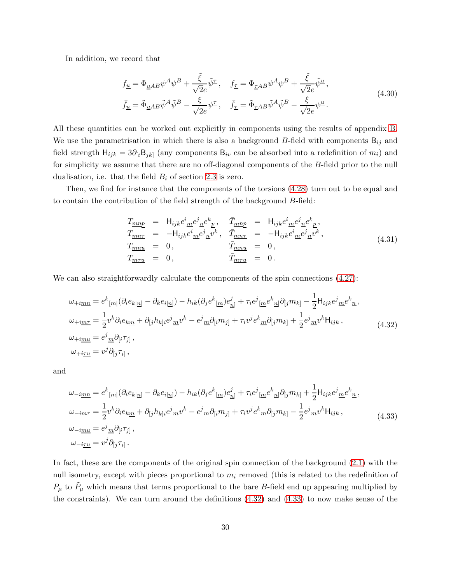In addition, we record that

$$
f_{\underline{u}} = \Phi_{\underline{u}\bar{A}\bar{B}} \psi^{\bar{A}} \psi^{\bar{B}} + \frac{\tilde{\xi}}{\sqrt{2}e} \tilde{\psi}^{\underline{\tau}}, \quad f_{\underline{\tau}} = \Phi_{\underline{\tau}\bar{A}\bar{B}} \psi^{\bar{A}} \psi^{\bar{B}} + \frac{\tilde{\xi}}{\sqrt{2}e} \tilde{\psi}^{\underline{u}},
$$
  
\n
$$
\bar{f}_{\underline{u}} = \tilde{\Phi}_{\underline{u}AB} \tilde{\psi}^A \tilde{\psi}^B - \frac{\xi}{\sqrt{2}e} \psi^{\underline{\tau}}, \quad \bar{f}_{\underline{\tau}} = \tilde{\Phi}_{\underline{\tau}AB} \tilde{\psi}^A \tilde{\psi}^B - \frac{\xi}{\sqrt{2}e} \psi^{\underline{u}}.
$$
\n(4.30)

All these quantities can be worked out explicitly in components using the results of appendix [B.](#page-43-0) We use the parametrisation in which there is also a background B-field with components  $B_{ij}$  and field strength  $H_{ijk} = 3\partial_{[i}B_{jk]}$  (any components  $B_{iv}$  can be absorbed into a redefinition of  $m_i$ ) and for simplicity we assume that there are no off-diagonal components of the B-field prior to the null dualisation, i.e. that the field  $B_i$  of section [2.3](#page-14-0) is zero.

Then, we find for instance that the components of the torsions [\(4.28\)](#page-28-2) turn out to be equal and to contain the contribution of the field strength of the background B-field:

$$
T_{\underline{m}\underline{n}\underline{p}} = H_{ijk}e^{i}_{\underline{m}}e^{j}_{\underline{n}}e^{k}_{\underline{p}}, \quad \bar{T}_{\underline{m}\underline{n}\underline{p}} = H_{ijk}e^{i}_{\underline{m}}e^{j}_{\underline{n}}e^{k}_{\underline{p}},
$$
  
\n
$$
T_{\underline{m}\underline{n}\underline{\tau}} = -H_{ijk}e^{i}_{\underline{m}}e^{j}_{\underline{n}}v^{k}, \quad \bar{T}_{\underline{m}\underline{n}\underline{\tau}} = -H_{ijk}e^{i}_{\underline{m}}e^{j}_{\underline{n}}v^{k},
$$
  
\n
$$
T_{\underline{m}\underline{n}\underline{u}} = 0,
$$
  
\n
$$
T_{\underline{m}\underline{\tau}\underline{u}} = 0,
$$
  
\n
$$
\bar{T}_{\underline{m}\underline{\tau}\underline{u}} = 0.
$$
\n(4.31)

We can also straightforwardly calculate the components of the spin connections  $(4.27)$ :

<span id="page-29-0"></span>
$$
\omega_{+i\underline{m}\underline{n}} = e^k_{\ [m]} (\partial_i e_{k|\underline{n}]} - \partial_k e_{i|\underline{n}]} ) - h_{ik} (\partial_j e^k_{\ [\underline{m}]} e^j_{\ \underline{n}]} + \tau_i e^j_{\ [\underline{m} } e^k_{\ \underline{n}]} \partial_{[j} m_{k]} - \frac{1}{2} H_{ijk} e^j_{\ \underline{m}} e^k_{\ \underline{n}} ,
$$
  
\n
$$
\omega_{+i\underline{m}\underline{\tau}} = \frac{1}{2} v^k \partial_i e_{k\underline{m}} + \partial_{[j} h_{k]i} e^j_{\ \underline{m}} v^k - e^j_{\ \underline{m}} \partial_{[i} m_{j]} + \tau_i v^j e^k_{\ \underline{m}} \partial_{[j} m_{k]} + \frac{1}{2} e^j_{\ \underline{m}} v^k H_{ijk} ,
$$
  
\n
$$
\omega_{+i\underline{m}\underline{u}} = e^j_{\ \underline{m}} \partial_{[i} \tau_{j]} ,
$$
  
\n
$$
\omega_{+i\underline{\tau}\underline{u}} = v^j \partial_{[j} \tau_{i]} ,
$$
  
\n(4.32)

and

<span id="page-29-1"></span>
$$
\omega_{-i\underline{m}\underline{n}} = e^k_{[m]} (\partial_i e_{k|\underline{n}]} - \partial_k e_{i|\underline{n}]} ) - h_{ik} (\partial_j e^k_{[\underline{m}}) e^j_{\underline{n}]} + \tau_i e^j_{[\underline{m}} e^k_{\underline{n}]} \partial_{[j} m_{k]} + \frac{1}{2} H_{ijk} e^j_{\underline{m}} e^k_{\underline{n}},
$$
  
\n
$$
\omega_{-i\underline{m}\underline{\tau}} = \frac{1}{2} v^k \partial_i e_{k\underline{m}} + \partial_{[j} h_{k]i} e^j_{\underline{m}} v^k - e^j_{\underline{m}} \partial_{[i} m_{j]} + \tau_i v^j e^k_{\underline{m}} \partial_{[j} m_{k]} - \frac{1}{2} e^j_{\underline{m}} v^k H_{ijk},
$$
  
\n
$$
\omega_{-i\underline{m}\underline{u}} = e^j_{\underline{m}} \partial_{[i} \tau_{j]} ,
$$
  
\n
$$
\omega_{-i\underline{\tau}\underline{u}} = v^j \partial_{[j} \tau_{i]} .
$$
\n(4.33)

In fact, these are the components of the original spin connection of the background [\(2.1\)](#page-5-2) with the null isometry, except with pieces proportional to  $m_i$  removed (this is related to the redefinition of  $P_{\mu}$  to  $\tilde{P}_{\mu}$  which means that terms proportional to the bare B-field end up appearing multiplied by the constraints). We can turn around the definitions [\(4.32\)](#page-29-0) and [\(4.33\)](#page-29-1) to now make sense of the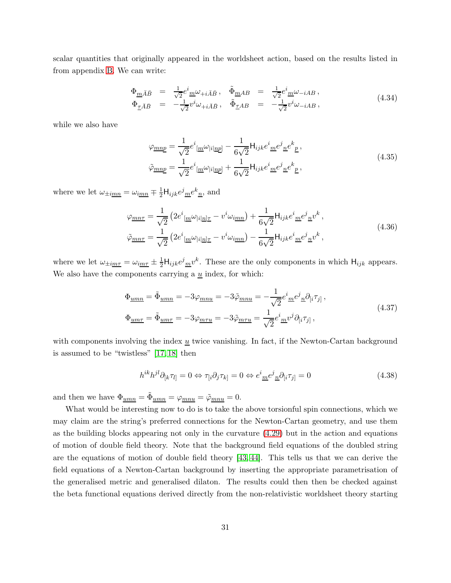scalar quantities that originally appeared in the worldsheet action, based on the results listed in from appendix [B.](#page-43-0) We can write:

$$
\begin{array}{rcl}\n\Phi_{\underline{m}\bar{A}\bar{B}} & = & \frac{1}{\sqrt{2}} e^i_{\ \underline{m}\omega_{+i\bar{A}\bar{B}}}, \quad \tilde{\Phi}_{\underline{m}AB} & = & \frac{1}{\sqrt{2}} e^i_{\ \underline{m}\omega_{-iAB}}, \\
\Phi_{\underline{\tau}\bar{A}\bar{B}} & = & -\frac{1}{\sqrt{2}} v^i \omega_{+i\bar{A}\bar{B}}, \quad \tilde{\Phi}_{\underline{\tau}AB} & = & -\frac{1}{\sqrt{2}} v^i \omega_{-iAB},\n\end{array} \tag{4.34}
$$

while we also have

$$
\varphi_{\underline{mnp}} = \frac{1}{\sqrt{2}} e^i_{\left[\underline{m}} \omega_{\left|i\right] \underline{np}}\right] - \frac{1}{6\sqrt{2}} \mathsf{H}_{ijk} e^i_{\left[\underline{m}} e^j_{\left[\underline{n}} e^k_{\left[\underline{p}\right]}\right],
$$
\n
$$
\tilde{\varphi}_{\underline{mnp}} = \frac{1}{\sqrt{2}} e^i_{\left[\underline{m}} \omega_{\left|i\right] \underline{np}}\right] + \frac{1}{6\sqrt{2}} \mathsf{H}_{ijk} e^i_{\left[\underline{m}} e^j_{\left[\underline{n}} e^k_{\left[\underline{p}\right]}\right],
$$
\n(4.35)

where we let  $\omega_{\pm i\underline{m}\underline{n}} = \omega_{i\underline{m}\underline{n}} \mp \frac{1}{2} \mathsf{H}_{ijk} e^j{}_{\underline{m}} e^k{}_{\underline{n}}$ , and

$$
\varphi_{\underline{m}n\tau} = \frac{1}{\sqrt{2}} \left( 2e^i_{\left[\underline{m}} \omega_{|i|\underline{n}|\underline{\tau}} - v^i \omega_{\underline{i}\underline{m}\underline{n}} \right) + \frac{1}{6\sqrt{2}} \mathsf{H}_{ijk} e^i_{\left[\underline{m}} e^j_{\left[\underline{n}\underline{v}} v^k \right],\right.\right.
$$
\n
$$
\tilde{\varphi}_{\underline{m}n\tau} = \frac{1}{\sqrt{2}} \left( 2e^i_{\left[\underline{m}} \omega_{|i|\underline{n}|\underline{\tau}} - v^i \omega_{\underline{i}\underline{m}\underline{n}} \right) - \frac{1}{6\sqrt{2}} \mathsf{H}_{ijk} e^i_{\left[\underline{m}} e^j_{\left[\underline{n}\underline{v}} v^k \right],\right.\right.
$$
\n(4.36)

where we let  $\omega_{\pm i\underline{m}\tau} = \omega_{i\underline{m}\tau} \pm \frac{1}{2}H_{ijk}e^j{}_{\underline{m}}v^k$ . These are the only components in which  $H_{ijk}$  appears. We also have the components carrying a  $\underline{u}$  index, for which:

$$
\Phi_{\underline{u}\underline{m}\underline{n}} = \tilde{\Phi}_{\underline{u}\underline{m}\underline{n}} = -3\varphi_{\underline{m}\underline{n}\underline{u}} = -3\tilde{\varphi}_{\underline{m}\underline{n}\underline{u}} = -\frac{1}{\sqrt{2}}e^{i}_{\underline{m}}e^{j}_{\underline{n}}\partial_{[i}\tau_{j]},
$$
\n
$$
\Phi_{\underline{u}\underline{m}\underline{\tau}} = \tilde{\Phi}_{\underline{u}\underline{m}\underline{\tau}} = -3\varphi_{\underline{m}\underline{\tau}\underline{u}} = -3\tilde{\varphi}_{\underline{m}\underline{\tau}\underline{u}} = \frac{1}{\sqrt{2}}e^{i}_{\underline{m}}v^{j}\partial_{[i}\tau_{j]},
$$
\n(4.37)

with components involving the index  $\underline{u}$  twice vanishing. In fact, if the Newton-Cartan background is assumed to be "twistless" [\[17,](#page-48-1) [18\]](#page-48-2) then

$$
h^{ik}h^{jl}\partial_{[k}\tau_{l]} = 0 \Leftrightarrow \tau_{[i}\partial_j\tau_{k]} = 0 \Leftrightarrow e^i{}_{\underline{m}}e^j{}_{\underline{n}}\partial_{[i}\tau_{j]} = 0 \tag{4.38}
$$

and then we have  $\Phi_{\underline{u}mn} = \tilde{\Phi}_{\underline{u}mn} = \varphi_{\underline{m}n\underline{u}} = \tilde{\varphi}_{\underline{m}n\underline{u}} = 0.$ 

What would be interesting now to do is to take the above torsionful spin connections, which we may claim are the string's preferred connections for the Newton-Cartan geometry, and use them as the building blocks appearing not only in the curvature [\(4.29\)](#page-28-3) but in the action and equations of motion of double field theory. Note that the background field equations of the doubled string are the equations of motion of double field theory [\[43,](#page-49-11) [44\]](#page-49-12). This tells us that we can derive the field equations of a Newton-Cartan background by inserting the appropriate parametrisation of the generalised metric and generalised dilaton. The results could then then be checked against the beta functional equations derived directly from the non-relativistic worldsheet theory starting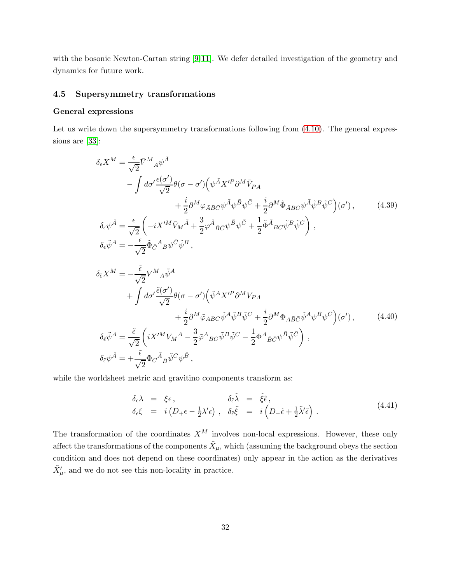with the bosonic Newton-Cartan string [\[9,](#page-47-9)[11\]](#page-47-10). We defer detailed investigation of the geometry and dynamics for future work.

## <span id="page-31-0"></span>4.5 Supersymmetry transformations

#### General expressions

Let us write down the supersymmetry transformations following from  $(4.10)$ . The general expressions are [\[33\]](#page-49-2):

<span id="page-31-1"></span>
$$
\delta_{\epsilon} X^{M} = \frac{\epsilon}{\sqrt{2}} \bar{V}^{M}{}_{\bar{A}} \psi^{\bar{A}} \n- \int d\sigma' \frac{\epsilon(\sigma')}{\sqrt{2}} \theta(\sigma - \sigma') \Big( \psi^{\bar{A}} X'^{P} \partial^{M} \bar{V}_{P \bar{A}} \n+ \frac{i}{2} \partial^{M} \varphi_{\bar{A} \bar{B} \bar{C}} \psi^{\bar{A}} \psi^{\bar{B}} \psi^{\bar{C}} + \frac{i}{2} \partial^{M} \tilde{\Phi}_{\bar{A} B C} \psi^{\bar{A}} \tilde{\psi}^{\bar{B}} \tilde{\psi}^{C} \Big) (\sigma'), \qquad (4.39)
$$
\n
$$
\delta_{\epsilon} \psi^{\bar{A}} = \frac{\epsilon}{\sqrt{2}} \Big( -i X'^{M} \bar{V}_{M}{}^{\bar{A}} + \frac{3}{2} \varphi^{\bar{A}}{}_{\bar{B} \bar{C}} \psi^{\bar{B}} \psi^{\bar{C}} + \frac{1}{2} \tilde{\Phi}^{\bar{A}}{}_{B C} \tilde{\psi}^{\bar{B}} \tilde{\psi}^{C} \Big),
$$
\n
$$
\delta_{\epsilon} \tilde{\psi}^{A} = -\frac{\epsilon}{\sqrt{2}} \tilde{\Phi}_{\bar{C}}{}^{\bar{A}}{}_{B} \psi^{\bar{C}} \tilde{\psi}^{B} ,
$$
\n
$$
\delta_{\bar{\epsilon}} X^{M} = -\frac{\tilde{\epsilon}}{\sqrt{2}} V^{M}{}_{A} \tilde{\psi}^{A} \n+ \int d\sigma' \frac{\tilde{\epsilon}(\sigma')}{\sqrt{2}} \theta(\sigma - \sigma') \Big( \tilde{\psi}^{A} X'^{P} \partial^{M} V_{P A} \n+ \frac{i}{2} \partial^{M} \tilde{\varphi}_{ABC} \tilde{\psi}^{A} \tilde{\psi}^{B} \tilde{\psi}^{C} + \frac{i}{2} \partial^{M} \Phi_{A \bar{B} C} \tilde{\psi}^{A} \psi^{\bar{B}} \psi^{\bar{C}} \Big) (\sigma'), \qquad (4.40)
$$
\n
$$
\delta_{\bar{\epsilon}} \tilde{\psi}^{A} = \frac{\tilde{\epsilon}}{\sqrt{2}} \Big( i X'^{M} V_{M}{}^{A} - \frac{3}{2} \
$$

<span id="page-31-2"></span>while the worldsheet metric and gravitino components transform as:

$$
\begin{array}{rcl}\n\delta_{\epsilon}\lambda & = & \xi\epsilon \,, \\
\delta_{\epsilon}\xi & = & i\left(D_{+}\epsilon - \frac{1}{2}\lambda'\epsilon\right) \,, \quad \delta_{\tilde{\epsilon}}\tilde{\xi} & = & i\left(D_{-}\tilde{\epsilon} + \frac{1}{2}\tilde{\lambda}'\tilde{\epsilon}\right) \,.\n\end{array} \tag{4.41}
$$

The transformation of the coordinates  $X^M$  involves non-local expressions. However, these only affect the transformations of the components  $\tilde{X}_\mu$ , which (assuming the background obeys the section condition and does not depend on these coordinates) only appear in the action as the derivatives  $\tilde{X}'_{\mu}$ , and we do not see this non-locality in practice.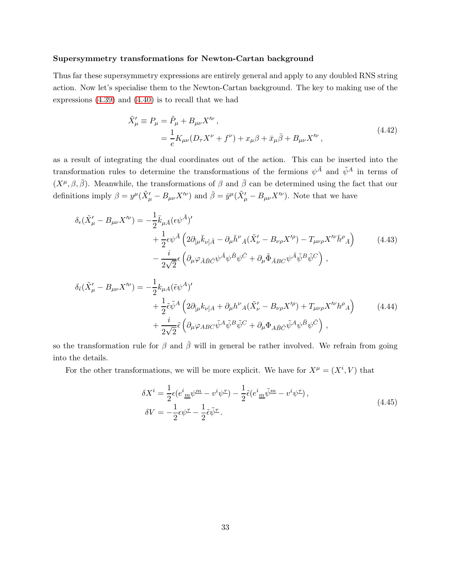#### Supersymmetry transformations for Newton-Cartan background

Thus far these supersymmetry expressions are entirely general and apply to any doubled RNS string action. Now let's specialise them to the Newton-Cartan background. The key to making use of the expressions [\(4.39\)](#page-31-1) and [\(4.40\)](#page-31-2) is to recall that we had

$$
\tilde{X}'_{\mu} \equiv P_{\mu} = \tilde{P}_{\mu} + B_{\mu\nu} X'^{\nu} ,
$$
\n
$$
= \frac{1}{e} K_{\mu\nu} (D_{\tau} X^{\nu} + f^{\nu}) + x_{\mu} \beta + \bar{x}_{\mu} \bar{\beta} + B_{\mu\nu} X'^{\nu} ,
$$
\n(4.42)

as a result of integrating the dual coordinates out of the action. This can be inserted into the transformation rules to determine the transformations of the fermions  $\psi^{\bar{A}}$  and  $\tilde{\psi}^A$  in terms of  $(X^{\mu}, \beta, \bar{\beta})$ . Meanwhile, the transformations of  $\beta$  and  $\bar{\beta}$  can be determined using the fact that our definitions imply  $\beta = y^{\mu}(\tilde{X}'_{\mu} - B_{\mu\nu}X'^{\nu})$  and  $\bar{\beta} = \bar{y}^{\mu}(\tilde{X}'_{\mu} - B_{\mu\nu}X'^{\nu})$ . Note that we have

$$
\delta_{\epsilon}(\tilde{X}'_{\mu} - B_{\mu\nu}X^{\prime\nu}) = -\frac{1}{2}\bar{k}_{\mu\bar{A}}(\epsilon\psi^{\bar{A}})^{\prime} \n+ \frac{1}{2}\epsilon\psi^{\bar{A}}\left(2\partial_{\mu}\bar{k}_{\nu\bar{A}} - \partial_{\mu}\bar{h}^{\nu}{}_{\bar{A}}(\tilde{X}'_{\nu} - B_{\nu\rho}X^{\prime\rho}) - T_{\mu\nu\rho}X^{\prime\nu}\bar{h}^{\rho}{}_{\bar{A}}\right) \n- \frac{i}{2\sqrt{2}}\epsilon\left(\partial_{\mu}\varphi_{\bar{A}\bar{B}\bar{C}}\psi^{\bar{A}}\psi^{\bar{B}}\psi^{\bar{C}} + \partial_{\mu}\tilde{\Phi}_{\bar{A}BC}\psi^{\bar{A}}\tilde{\psi}^{\bar{B}}\tilde{\psi}^{\bar{C}}\right),
$$
\n(4.43)

$$
\delta_{\tilde{\epsilon}}(\tilde{X}'_{\mu} - B_{\mu\nu}X^{\prime\nu}) = -\frac{1}{2}k_{\mu A}(\tilde{\epsilon}\psi^{A})' \n+ \frac{1}{2}\tilde{\epsilon}\tilde{\psi}^{A}\left(2\partial_{[\mu}k_{\nu]A} + \partial_{\mu}h^{\nu}{}_{A}(\tilde{X}'_{\nu} - B_{\nu\rho}X^{\prime\rho}) + T_{\mu\nu\rho}X^{\prime\nu}h^{\rho}{}_{A}\right) \n+ \frac{i}{2\sqrt{2}}\tilde{\epsilon}\left(\partial_{\mu}\varphi_{ABC}\tilde{\psi}^{A}\tilde{\psi}^{B}\tilde{\psi}^{C} + \partial_{\mu}\Phi_{A\bar{B}\bar{C}}\tilde{\psi}^{A}\psi^{\bar{B}}\psi^{\bar{C}}\right),
$$
\n(4.44)

so the transformation rule for  $\beta$  and  $\bar{\beta}$  will in general be rather involved. We refrain from going into the details.

For the other transformations, we will be more explicit. We have for  $X^{\mu} = (X^{i}, V)$  that

$$
\delta X^{i} = \frac{1}{2} \epsilon (e^{i}_{\underline{m}} \psi^{\underline{m}} - v^{i} \psi^{\underline{\tau}}) - \frac{1}{2} \tilde{\epsilon} (e^{i}_{\underline{m}} \tilde{\psi}^{\underline{m}} - v^{i} \psi^{\underline{\tau}}),
$$
  
\n
$$
\delta V = -\frac{1}{2} \epsilon \psi^{\underline{\tau}} - \frac{1}{2} \tilde{\epsilon} \tilde{\psi}^{\underline{\tau}}.
$$
\n(4.45)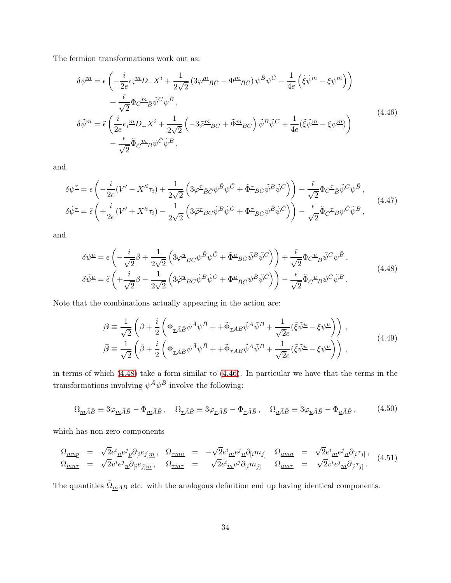The fermion transformations work out as:

<span id="page-33-1"></span>
$$
\delta\psi^{\underline{m}} = \epsilon \left( -\frac{i}{2e} e_i^{\underline{m}} D_- X^i + \frac{1}{2\sqrt{2}} \left( 3\varphi^{\underline{m}} \bar{B} \bar{C} - \Phi^{\underline{m}} \bar{B} \bar{C} \right) \psi^{\bar{B}} \psi^{\bar{C}} - \frac{1}{4e} \left( \tilde{\xi} \tilde{\psi}^{\underline{m}} - \xi \psi^{\underline{m}} \right) \right) + \frac{\tilde{\epsilon}}{\sqrt{2}} \Phi_C^{\underline{m}} \bar{B} \tilde{\psi}^C \psi^{\bar{B}},
$$
  

$$
\delta\tilde{\psi}^{\underline{m}} = \tilde{\epsilon} \left( \frac{i}{2e} e_i^{\underline{m}} D_+ X^i + \frac{1}{2\sqrt{2}} \left( -3\tilde{\varphi}^{\underline{m}}{}_{BC} + \tilde{\Phi}^{\underline{m}}{}_{BC} \right) \tilde{\psi}^B \tilde{\psi}^C + \frac{1}{4e} (\tilde{\xi} \tilde{\psi}^{\underline{m}} - \xi \psi^{\underline{m}}) \right) - \frac{\epsilon}{\sqrt{2}} \tilde{\Phi}_{\bar{C}}^{\underline{m}}{}_{B} \psi^{\bar{C}} \tilde{\psi}^B,
$$
\n
$$
(4.46)
$$

and

$$
\delta\psi^{\pm} = \epsilon \left( -\frac{i}{2e} (V' - X'^{i} \tau_{i}) + \frac{1}{2\sqrt{2}} \left( 3\varphi^{\pm}{}_{\bar{B}\bar{C}} \psi^{\bar{B}} \psi^{\bar{C}} + \tilde{\Phi}^{\pm}{}_{\bar{B}C} \tilde{\psi}^{\bar{B}} \tilde{\psi}^{\bar{C}} \right) \right) + \frac{\tilde{\epsilon}}{\sqrt{2}} \Phi_C \tilde{\epsilon}_{\bar{B}} \tilde{\psi}^C \psi^{\bar{B}},
$$
\n
$$
\delta\tilde{\psi}^{\pm} = \tilde{\epsilon} \left( + \frac{i}{2e} (V' + X'^{i} \tau_{i}) - \frac{1}{2\sqrt{2}} \left( 3\tilde{\varphi}^{\pm}{}_{\bar{B}C} \tilde{\psi}^{\bar{B}} \tilde{\psi}^{\bar{C}} + \Phi^{\pm}{}_{\bar{B}\bar{C}} \psi^{\bar{B}} \tilde{\psi}^{\bar{C}} \right) \right) - \frac{\epsilon}{\sqrt{2}} \tilde{\Phi}_{\bar{C}} \tilde{\epsilon}_{\bar{B}} \psi^{\bar{C}} \tilde{\psi}^{\bar{B}},
$$
\n(4.47)

<span id="page-33-0"></span>and

$$
\delta\psi^{\underline{u}} = \epsilon \left( -\frac{i}{\sqrt{2}} \bar{\beta} + \frac{1}{2\sqrt{2}} \left( 3\varphi^{\underline{u}}{}_{\bar{B}\bar{C}} \psi^{\bar{B}} \psi^{\bar{C}} + \tilde{\Phi}^{\underline{u}}{}_{BC} \tilde{\psi}^{\bar{B}} \tilde{\psi}^{\bar{C}} \right) \right) + \frac{\tilde{\epsilon}}{\sqrt{2}} \Phi_C{}^{\underline{u}}{}_{\bar{B}} \tilde{\psi}^C \psi^{\bar{B}},
$$
\n
$$
\delta\tilde{\psi}^{\underline{u}} = \tilde{\epsilon} \left( +\frac{i}{\sqrt{2}} \beta - \frac{1}{2\sqrt{2}} \left( 3\tilde{\varphi}^{\underline{u}}{}_{BC} \tilde{\psi}^{\bar{B}} \tilde{\psi}^C + \Phi^{\underline{u}}{}_{\bar{B}\bar{C}} \psi^{\bar{B}} \tilde{\psi}^{\bar{C}} \right) \right) - \frac{\epsilon}{\sqrt{2}} \tilde{\Phi}_{\bar{C}}{}^{\underline{u}}{}_{B} \psi^{\bar{C}} \tilde{\psi}^{\bar{B}}.
$$
\n(4.48)

Note that the combinations actually appearing in the action are:

$$
\begin{split} \beta & \equiv \frac{1}{\sqrt{2}} \left( \beta + \frac{i}{2} \left( \Phi_{\underline{\tau} \bar{A} \bar{B}} \psi^{\bar{A}} \psi^{\bar{B}} + + \tilde{\Phi}_{\underline{\tau} AB} \tilde{\psi}^A \tilde{\psi}^B + \frac{1}{\sqrt{2}e} (\tilde{\xi} \tilde{\psi}^{\underline{u}} - \xi \psi^{\underline{u}}) \right) \right), \\ \bar{\beta} & \equiv \frac{1}{\sqrt{2}} \left( \bar{\beta} + \frac{i}{2} \left( \Phi_{\underline{\tau} \bar{A} \bar{B}} \psi^{\bar{A}} \psi^{\bar{B}} + + \tilde{\Phi}_{\underline{\tau} AB} \tilde{\psi}^A \tilde{\psi}^B + \frac{1}{\sqrt{2}e} (\tilde{\xi} \tilde{\psi}^{\underline{u}} - \xi \psi^{\underline{u}}) \right) \right), \end{split} \tag{4.49}
$$

in terms of which [\(4.48\)](#page-33-0) take a form similar to [\(4.46\)](#page-33-1). In particular we have that the terms in the transformations involving  $\psi^{\bar{A}}\psi^{\bar{B}}$  involve the following:

$$
\Omega_{\underline{m}\bar{A}\bar{B}} \equiv 3\varphi_{\underline{m}\bar{A}\bar{B}} - \Phi_{\underline{m}\bar{A}\bar{B}} \,, \quad \Omega_{\underline{\tau}\bar{A}\bar{B}} \equiv 3\varphi_{\underline{\tau}\bar{A}\bar{B}} - \Phi_{\underline{\tau}\bar{A}\bar{B}} \,, \quad \Omega_{\underline{u}\bar{A}\bar{B}} \equiv 3\varphi_{\underline{u}\bar{A}\bar{B}} - \Phi_{\underline{u}\bar{A}\bar{B}} \,, \tag{4.50}
$$

which has non-zero components

$$
\Omega_{\underline{mnp}} = \sqrt{2}e^{i}{}_{\underline{n}}e^{j}{}_{\underline{p}}\partial_{[i}e_{j]\underline{m}}, \quad \Omega_{\underline{\tau mn}} = -\sqrt{2}e^{i}{}_{\underline{m}}e^{j}{}_{\underline{n}}\partial_{[i}m_{j]} \quad \Omega_{\underline{umn}} = \sqrt{2}e^{i}{}_{\underline{m}}e^{j}{}_{\underline{n}}\partial_{[i}\tau_{j]},
$$
\n
$$
\Omega_{\underline{mnr}} = \sqrt{2}v^{i}e^{j}{}_{\underline{n}}\partial_{[i}e_{j]\underline{m}}, \quad \Omega_{\underline{\tau mn}} = \sqrt{2}e^{i}{}_{\underline{m}}v^{j}\partial_{[i}m_{j]} \quad \Omega_{\underline{umn}} = \sqrt{2}v^{i}e^{j}{}_{\underline{m}}\partial_{[i}\tau_{j]}.
$$
\n(4.51)

The quantities  $\tilde{\Omega}_{\underline{m}AB}$  etc. with the analogous definition end up having identical components.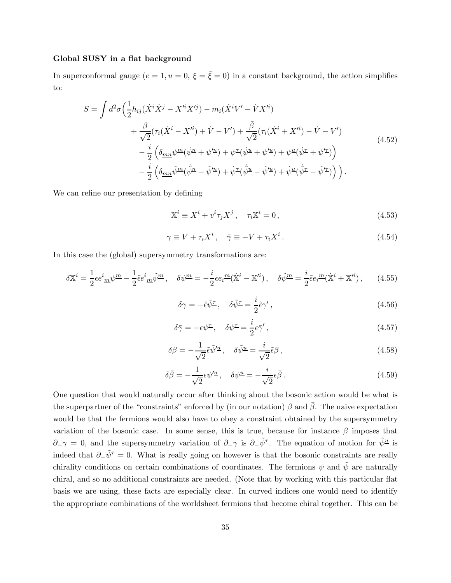#### Global SUSY in a flat background

In superconformal gauge  $(e = 1, u = 0, \xi = \tilde{\xi} = 0)$  in a constant background, the action simplifies to:

<span id="page-34-0"></span>
$$
S = \int d^2 \sigma \left( \frac{1}{2} h_{ij} (\dot{X}^i \dot{X}^j - X'^i X'^j) - m_i (\dot{X}^i V' - \dot{V} X'^i) + \frac{\beta}{\sqrt{2}} (\tau_i (\dot{X}^i - X'^i) + \dot{V} - V') + \frac{\bar{\beta}}{\sqrt{2}} (\tau_i (\dot{X}^i + X'^i) - \dot{V} - V') - \frac{i}{2} \left( \delta_{mn} \psi^m (\dot{\psi}^n + \psi'^n) + \psi^m (\dot{\psi}^u + \psi'^u) + \psi^u (\dot{\psi}^r + \psi'^r) \right) - \frac{i}{2} \left( \delta_{mn} \tilde{\psi}^m (\dot{\psi}^n - \tilde{\psi}'^n) + \tilde{\psi}^r (\dot{\psi}^u - \tilde{\psi}'^u) + \tilde{\psi}^u (\dot{\psi}^r - \tilde{\psi}'^r) \right).
$$
\n(4.52)

We can refine our presentation by defining

$$
\mathbb{X}^i \equiv X^i + v^i \tau_j X^j \,, \quad \tau_i \mathbb{X}^i = 0 \,, \tag{4.53}
$$

$$
\gamma \equiv V + \tau_i X^i, \quad \bar{\gamma} \equiv -V + \tau_i X^i. \tag{4.54}
$$

In this case the (global) supersymmetry transformations are:

$$
\delta \mathbb{X}^{i} = \frac{1}{2} \epsilon e^{i}{}_{\underline{m}} \psi^{\underline{m}} - \frac{1}{2} \tilde{\epsilon} e^{i}{}_{\underline{m}} \tilde{\psi}^{\underline{m}} , \quad \delta \psi^{\underline{m}} = -\frac{i}{2} \epsilon e_{i}{}^{\underline{m}} (\dot{\mathbb{X}}^{i} - \mathbb{X}^{i} ) , \quad \delta \tilde{\psi}^{\underline{m}} = \frac{i}{2} \tilde{\epsilon} e_{i}{}^{\underline{m}} (\dot{\mathbb{X}}^{i} + \mathbb{X}^{i} ) , \quad (4.55)
$$

$$
\delta \gamma = -\tilde{\epsilon} \tilde{\psi}^{\mathcal{I}}, \quad \delta \tilde{\psi}^{\mathcal{I}} = \frac{i}{2} \tilde{\epsilon} \gamma', \qquad (4.56)
$$

$$
\delta \bar{\gamma} = -\epsilon \psi^{\mathcal{I}}, \quad \delta \psi^{\mathcal{I}} = \frac{i}{2} \epsilon \bar{\gamma}', \qquad (4.57)
$$

$$
\delta\beta = -\frac{1}{\sqrt{2}}\tilde{\epsilon}\tilde{\psi}'^{\underline{u}}, \quad \delta\tilde{\psi}^{\underline{u}} = \frac{i}{\sqrt{2}}\tilde{\epsilon}\beta\,,\tag{4.58}
$$

$$
\delta \bar{\beta} = -\frac{1}{\sqrt{2}} \epsilon \psi^{\prime \underline{u}} \,, \quad \delta \psi^{\underline{u}} = -\frac{i}{\sqrt{2}} \epsilon \bar{\beta} \,. \tag{4.59}
$$

One question that would naturally occur after thinking about the bosonic action would be what is the superpartner of the "constraints" enforced by (in our notation)  $\beta$  and  $\bar{\beta}$ . The naive expectation would be that the fermions would also have to obey a constraint obtained by the supersymmetry variation of the bosonic case. In some sense, this is true, because for instance  $\beta$  imposes that  $\partial_-\gamma = 0$ , and the supersymmetry variation of  $\partial_-\gamma$  is  $\partial_-\tilde{\psi}^{\tau}$ . The equation of motion for  $\tilde{\psi}^{\underline{u}}$  is indeed that  $\partial_-\tilde{\psi}^{\tau}=0$ . What is really going on however is that the bosonic constraints are really chirality conditions on certain combinations of coordinates. The fermions  $\psi$  and  $\tilde{\psi}$  are naturally chiral, and so no additional constraints are needed. (Note that by working with this particular flat basis we are using, these facts are especially clear. In curved indices one would need to identify the appropriate combinations of the worldsheet fermions that become chiral together. This can be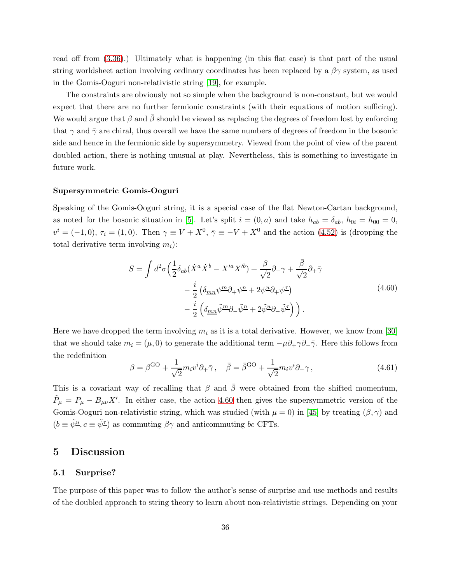read off from [\(3.36\)](#page-21-0).) Ultimately what is happening (in this flat case) is that part of the usual string worldsheet action involving ordinary coordinates has been replaced by a  $\beta\gamma$  system, as used in the Gomis-Ooguri non-relativistic string [\[19\]](#page-48-3), for example.

The constraints are obviously not so simple when the background is non-constant, but we would expect that there are no further fermionic constraints (with their equations of motion sufficing). We would argue that  $\beta$  and  $\bar{\beta}$  should be viewed as replacing the degrees of freedom lost by enforcing that  $\gamma$  and  $\bar{\gamma}$  are chiral, thus overall we have the same numbers of degrees of freedom in the bosonic side and hence in the fermionic side by supersymmetry. Viewed from the point of view of the parent doubled action, there is nothing unusual at play. Nevertheless, this is something to investigate in future work.

#### Supersymmetric Gomis-Ooguri

Speaking of the Gomis-Ooguri string, it is a special case of the flat Newton-Cartan background, as noted for the bosonic situation in [\[5\]](#page-47-2). Let's split  $i = (0, a)$  and take  $h_{ab} = \delta_{ab}$ ,  $h_{0i} = h_{00} = 0$ ,  $v^i = (-1,0), \tau_i = (1,0)$ . Then  $\gamma \equiv V + X^0, \bar{\gamma} \equiv -V + X^0$  and the action  $(4.52)$  is (dropping the total derivative term involving  $m_i$ :

$$
S = \int d^2 \sigma \left( \frac{1}{2} \delta_{ab} (\dot{X}^a \dot{X}^b - X'^a X'^b) + \frac{\beta}{\sqrt{2}} \partial_- \gamma + \frac{\bar{\beta}}{\sqrt{2}} \partial_+ \bar{\gamma} \right)
$$
  

$$
- \frac{i}{2} \left( \delta_{mn} \psi^m \partial_+ \psi^n + 2 \psi^{\underline{u}} \partial_+ \psi^{\underline{\tau}} \right)
$$
  

$$
- \frac{i}{2} \left( \delta_{mn} \tilde{\psi}^m \partial_- \tilde{\psi}^n + 2 \tilde{\psi}^{\underline{u}} \partial_- \tilde{\psi}^{\underline{\tau}} \right) \right).
$$
 (4.60)

<span id="page-35-2"></span>Here we have dropped the term involving  $m_i$  as it is a total derivative. However, we know from [\[30\]](#page-48-10) that we should take  $m_i = (\mu, 0)$  to generate the additional term  $-\mu \partial_+ \gamma \partial_- \bar{\gamma}$ . Here this follows from the redefinition

$$
\beta = \beta^{\text{GO}} + \frac{1}{\sqrt{2}} m_i v^i \partial_+ \bar{\gamma}, \quad \bar{\beta} = \bar{\beta}^{\text{GO}} + \frac{1}{\sqrt{2}} m_i v^i \partial_- \gamma,
$$
\n(4.61)

This is a covariant way of recalling that  $\beta$  and  $\bar{\beta}$  were obtained from the shifted momentum,  $\tilde{P}_{\mu} = P_{\mu} - B_{\mu\nu}X'$ . In either case, the action [4.60](#page-35-2) then gives the supersymmetric version of the Gomis-Ooguri non-relativistic string, which was studied (with  $\mu = 0$ ) in [\[45\]](#page-49-13) by treating  $(\beta, \gamma)$  and  $(b \equiv \tilde{\psi}^{\underline{u}}, c \equiv \tilde{\psi}^{\underline{\tau}})$  as commuting  $\beta\gamma$  and anticommuting bc CFTs.

## <span id="page-35-1"></span><span id="page-35-0"></span>5 Discussion

#### 5.1 Surprise?

The purpose of this paper was to follow the author's sense of surprise and use methods and results of the doubled approach to string theory to learn about non-relativistic strings. Depending on your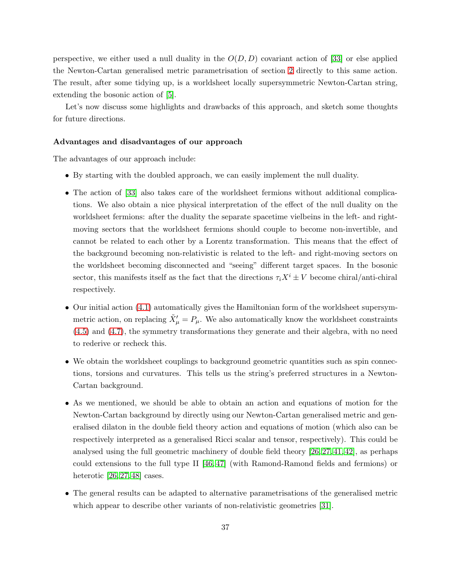perspective, we either used a null duality in the  $O(D, D)$  covariant action of [\[33\]](#page-49-2) or else applied the Newton-Cartan generalised metric parametrisation of section [2](#page-5-0) directly to this same action. The result, after some tidying up, is a worldsheet locally supersymmetric Newton-Cartan string, extending the bosonic action of [\[5\]](#page-47-2).

Let's now discuss some highlights and drawbacks of this approach, and sketch some thoughts for future directions.

#### Advantages and disadvantages of our approach

The advantages of our approach include:

- By starting with the doubled approach, we can easily implement the null duality.
- The action of [\[33\]](#page-49-2) also takes care of the worldsheet fermions without additional complications. We also obtain a nice physical interpretation of the effect of the null duality on the worldsheet fermions: after the duality the separate spacetime vielbeins in the left- and rightmoving sectors that the worldsheet fermions should couple to become non-invertible, and cannot be related to each other by a Lorentz transformation. This means that the effect of the background becoming non-relativistic is related to the left- and right-moving sectors on the worldsheet becoming disconnected and "seeing" different target spaces. In the bosonic sector, this manifests itself as the fact that the directions  $\tau_i X^i \pm V$  become chiral/anti-chiral respectively.
- Our initial action [\(4.1\)](#page-22-4) automatically gives the Hamiltonian form of the worldsheet supersymmetric action, on replacing  $\tilde{X}'_{\mu} = P_{\mu}$ . We also automatically know the worldsheet constraints [\(4.5\)](#page-23-2) and [\(4.7\)](#page-23-3), the symmetry transformations they generate and their algebra, with no need to rederive or recheck this.
- We obtain the worldsheet couplings to background geometric quantities such as spin connections, torsions and curvatures. This tells us the string's preferred structures in a Newton-Cartan background.
- As we mentioned, we should be able to obtain an action and equations of motion for the Newton-Cartan background by directly using our Newton-Cartan generalised metric and generalised dilaton in the double field theory action and equations of motion (which also can be respectively interpreted as a generalised Ricci scalar and tensor, respectively). This could be analysed using the full geometric machinery of double field theory [\[26,](#page-48-7) [27,](#page-48-12) [41,](#page-49-9) [42\]](#page-49-10), as perhaps could extensions to the full type II [\[46,](#page-50-0) [47\]](#page-50-1) (with Ramond-Ramond fields and fermions) or heterotic [\[26,](#page-48-7) [27,](#page-48-12) [48\]](#page-50-2) cases.
- The general results can be adapted to alternative parametrisations of the generalised metric which appear to describe other variants of non-relativistic geometries [\[31\]](#page-49-0).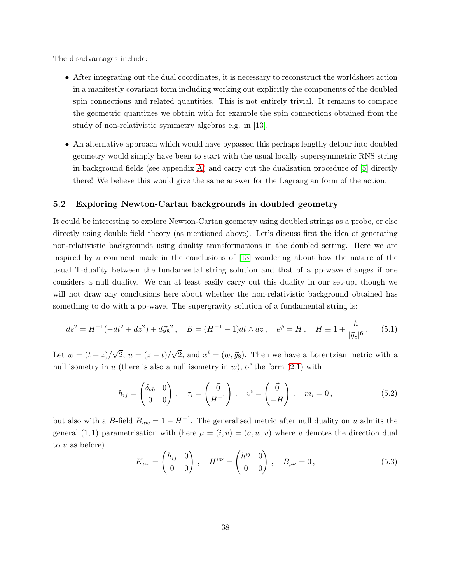The disadvantages include:

- After integrating out the dual coordinates, it is necessary to reconstruct the worldsheet action in a manifestly covariant form including working out explicitly the components of the doubled spin connections and related quantities. This is not entirely trivial. It remains to compare the geometric quantities we obtain with for example the spin connections obtained from the study of non-relativistic symmetry algebras e.g. in [\[13\]](#page-47-11).
- An alternative approach which would have bypassed this perhaps lengthy detour into doubled geometry would simply have been to start with the usual locally supersymmetric RNS string in background fields (see appendix [A\)](#page-40-0) and carry out the dualisation procedure of  $[5]$  directly there! We believe this would give the same answer for the Lagrangian form of the action.

## <span id="page-37-0"></span>5.2 Exploring Newton-Cartan backgrounds in doubled geometry

It could be interesting to explore Newton-Cartan geometry using doubled strings as a probe, or else directly using double field theory (as mentioned above). Let's discuss first the idea of generating non-relativistic backgrounds using duality transformations in the doubled setting. Here we are inspired by a comment made in the conclusions of [\[13\]](#page-47-11) wondering about how the nature of the usual T-duality between the fundamental string solution and that of a pp-wave changes if one considers a null duality. We can at least easily carry out this duality in our set-up, though we will not draw any conclusions here about whether the non-relativistic background obtained has something to do with a pp-wave. The supergravity solution of a fundamental string is:

<span id="page-37-1"></span>
$$
ds^{2} = H^{-1}(-dt^{2} + dz^{2}) + d\vec{y}_{8}^{2}, \quad B = (H^{-1} - 1)dt \wedge dz, \quad e^{\phi} = H, \quad H \equiv 1 + \frac{h}{|\vec{y}_{8}|^{6}}.
$$
 (5.1)

Let  $w = (t + z)/\sqrt{2}$ ,  $u = (z - t)/\sqrt{2}$ , and  $x^i = (w, \vec{y}_8)$ . Then we have a Lorentzian metric with a null isometry in u (there is also a null isometry in  $w$ ), of the form  $(2.1)$  with

$$
h_{ij} = \begin{pmatrix} \delta_{ab} & 0 \\ 0 & 0 \end{pmatrix}, \quad \tau_i = \begin{pmatrix} \vec{0} \\ H^{-1} \end{pmatrix}, \quad v^i = \begin{pmatrix} \vec{0} \\ -H \end{pmatrix}, \quad m_i = 0, \tag{5.2}
$$

but also with a B-field  $B_{uw} = 1 - H^{-1}$ . The generalised metric after null duality on u admits the general (1, 1) parametrisation with (here  $\mu = (i, v) = (a, w, v)$  where v denotes the direction dual to  $u$  as before)

$$
K_{\mu\nu} = \begin{pmatrix} h_{ij} & 0 \\ 0 & 0 \end{pmatrix}, \quad H^{\mu\nu} = \begin{pmatrix} h^{ij} & 0 \\ 0 & 0 \end{pmatrix}, \quad B_{\mu\nu} = 0, \tag{5.3}
$$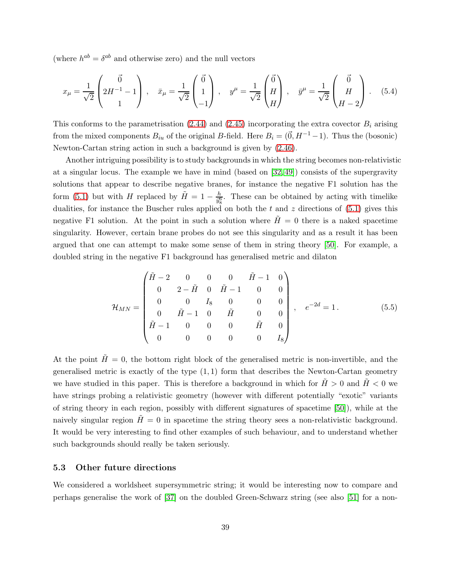(where  $h^{ab} = \delta^{ab}$  and otherwise zero) and the null vectors

$$
x_{\mu} = \frac{1}{\sqrt{2}} \begin{pmatrix} \vec{0} \\ 2H^{-1} - 1 \\ 1 \end{pmatrix}, \quad \bar{x}_{\mu} = \frac{1}{\sqrt{2}} \begin{pmatrix} \vec{0} \\ 1 \\ -1 \end{pmatrix}, \quad y^{\mu} = \frac{1}{\sqrt{2}} \begin{pmatrix} \vec{0} \\ H \\ H \end{pmatrix}, \quad \bar{y}^{\mu} = \frac{1}{\sqrt{2}} \begin{pmatrix} \vec{0} \\ H \\ H - 2 \end{pmatrix}. \tag{5.4}
$$

This conforms to the parametrisation  $(2.44)$  and  $(2.45)$  incorporating the extra covector  $B_i$  arising from the mixed components  $B_{iu}$  of the original B-field. Here  $B_i = (\vec{0}, H^{-1} - 1)$ . Thus the (bosonic) Newton-Cartan string action in such a background is given by [\(2.46\)](#page-15-3).

Another intriguing possibility is to study backgrounds in which the string becomes non-relativistic at a singular locus. The example we have in mind (based on [\[32,](#page-49-1) [49\]](#page-50-3)) consists of the supergravity solutions that appear to describe negative branes, for instance the negative F1 solution has the form [\(5.1\)](#page-37-1) but with H replaced by  $\tilde{H} = 1 - \frac{h}{y_s^2}$  $\frac{h}{\bar{y}_8^6}$ . These can be obtained by acting with timelike dualities, for instance the Buscher rules applied on both the  $t$  and  $z$  directions of  $(5.1)$  gives this negative F1 solution. At the point in such a solution where  $\tilde{H} = 0$  there is a naked spacetime singularity. However, certain brane probes do not see this singularity and as a result it has been argued that one can attempt to make some sense of them in string theory [\[50\]](#page-50-4). For example, a doubled string in the negative F1 background has generalised metric and dilaton

$$
\mathcal{H}_{MN} = \begin{pmatrix} \tilde{H} - 2 & 0 & 0 & 0 & \tilde{H} - 1 & 0 \\ 0 & 2 - \tilde{H} & 0 & \tilde{H} - 1 & 0 & 0 \\ 0 & 0 & I_8 & 0 & 0 & 0 \\ 0 & \tilde{H} - 1 & 0 & \tilde{H} & 0 & 0 \\ \tilde{H} - 1 & 0 & 0 & 0 & \tilde{H} & 0 \\ 0 & 0 & 0 & 0 & 0 & I_8 \end{pmatrix}, e^{-2d} = 1.
$$
 (5.5)

At the point  $\tilde{H} = 0$ , the bottom right block of the generalised metric is non-invertible, and the generalised metric is exactly of the type  $(1, 1)$  form that describes the Newton-Cartan geometry we have studied in this paper. This is therefore a background in which for  $H > 0$  and  $H < 0$  we have strings probing a relativistic geometry (however with different potentially "exotic" variants of string theory in each region, possibly with different signatures of spacetime [\[50\]](#page-50-4)), while at the naively singular region  $H = 0$  in spacetime the string theory sees a non-relativistic background. It would be very interesting to find other examples of such behaviour, and to understand whether such backgrounds should really be taken seriously.

#### <span id="page-38-0"></span>5.3 Other future directions

We considered a worldsheet supersymmetric string; it would be interesting now to compare and perhaps generalise the work of [\[37\]](#page-49-5) on the doubled Green-Schwarz string (see also [\[51\]](#page-50-5) for a non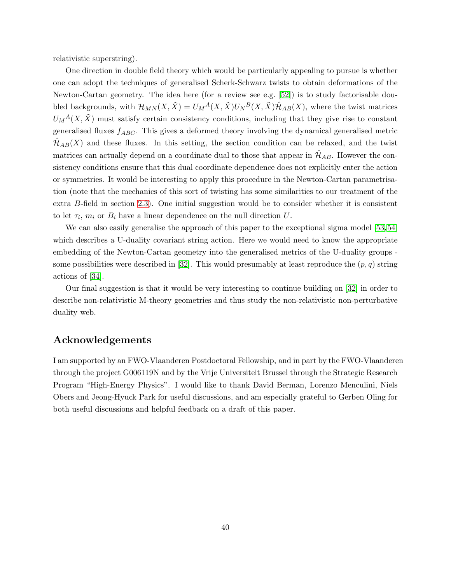relativistic superstring).

One direction in double field theory which would be particularly appealing to pursue is whether one can adopt the techniques of generalised Scherk-Schwarz twists to obtain deformations of the Newton-Cartan geometry. The idea here (for a review see e.g. [\[52\]](#page-50-6)) is to study factorisable doubled backgrounds, with  $\mathcal{H}_{MN}(X,\tilde{X}) = U_M{}^A(X,\tilde{X})U_N{}^B(X,\tilde{X})\hat{\mathcal{H}}_{AB}(X)$ , where the twist matrices  $U_M^A(X, \tilde{X})$  must satisfy certain consistency conditions, including that they give rise to constant generalised fluxes  $f_{ABC}$ . This gives a deformed theory involving the dynamical generalised metric  $\mathcal{H}_{AB}(X)$  and these fluxes. In this setting, the section condition can be relaxed, and the twist matrices can actually depend on a coordinate dual to those that appear in  $\mathcal{H}_{AB}$ . However the consistency conditions ensure that this dual coordinate dependence does not explicitly enter the action or symmetries. It would be interesting to apply this procedure in the Newton-Cartan parametrisation (note that the mechanics of this sort of twisting has some similarities to our treatment of the extra B-field in section [2.3\)](#page-14-0). One initial suggestion would be to consider whether it is consistent to let  $\tau_i$ ,  $m_i$  or  $B_i$  have a linear dependence on the null direction U.

We can also easily generalise the approach of this paper to the exceptional sigma model [\[53,](#page-50-7) [54\]](#page-50-8) which describes a U-duality covariant string action. Here we would need to know the appropriate embedding of the Newton-Cartan geometry into the generalised metrics of the U-duality groups - some possibilities were described in [\[32\]](#page-49-1). This would presumably at least reproduce the  $(p, q)$  string actions of [\[34\]](#page-49-3).

Our final suggestion is that it would be very interesting to continue building on [\[32\]](#page-49-1) in order to describe non-relativistic M-theory geometries and thus study the non-relativistic non-perturbative duality web.

## Acknowledgements

I am supported by an FWO-Vlaanderen Postdoctoral Fellowship, and in part by the FWO-Vlaanderen through the project G006119N and by the Vrije Universiteit Brussel through the Strategic Research Program "High-Energy Physics". I would like to thank David Berman, Lorenzo Menculini, Niels Obers and Jeong-Hyuck Park for useful discussions, and am especially grateful to Gerben Oling for both useful discussions and helpful feedback on a draft of this paper.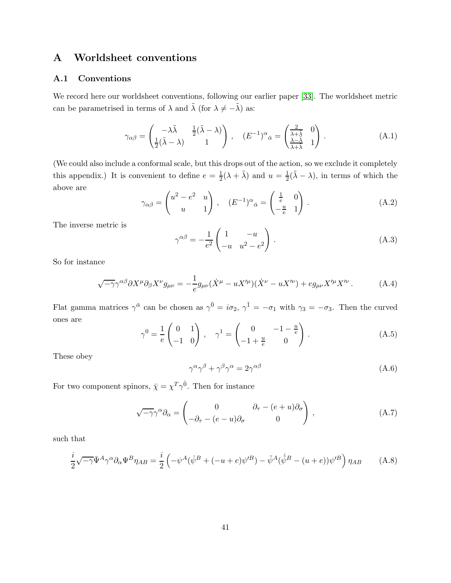# <span id="page-40-1"></span><span id="page-40-0"></span>A Worldsheet conventions

## A.1 Conventions

We record here our worldsheet conventions, following our earlier paper [\[33\]](#page-49-2). The worldsheet metric can be parametrised in terms of  $\lambda$  and  $\tilde{\lambda}$  (for  $\lambda \neq -\tilde{\lambda}$ ) as:

$$
\gamma_{\alpha\beta} = \begin{pmatrix} -\lambda \tilde{\lambda} & \frac{1}{2}(\tilde{\lambda} - \lambda) \\ \frac{1}{2}(\tilde{\lambda} - \lambda) & 1 \end{pmatrix}, \quad (E^{-1})^{\alpha}{}_{\bar{\alpha}} = \begin{pmatrix} \frac{2}{\lambda + \lambda} & 0 \\ \frac{\lambda - \tilde{\lambda}}{\lambda + \tilde{\lambda}} & 1 \end{pmatrix}.
$$
 (A.1)

(We could also include a conformal scale, but this drops out of the action, so we exclude it completely this appendix.) It is convenient to define  $e = \frac{1}{2}$  $\frac{1}{2}(\lambda + \tilde{\lambda})$  and  $u = \frac{1}{2}$  $\frac{1}{2}(\tilde{\lambda} - \lambda)$ , in terms of which the above are

$$
\gamma_{\alpha\beta} = \begin{pmatrix} u^2 - e^2 & u \\ u & 1 \end{pmatrix}, \quad (E^{-1})^{\alpha}{}_{\bar{\alpha}} = \begin{pmatrix} \frac{1}{e} & 0 \\ -\frac{u}{e} & 1 \end{pmatrix} . \tag{A.2}
$$

The inverse metric is

$$
\gamma^{\alpha\beta} = -\frac{1}{e^2} \begin{pmatrix} 1 & -u \\ -u & u^2 - e^2 \end{pmatrix} .
$$
 (A.3)

So for instance

$$
\sqrt{-\gamma}\gamma^{\alpha\beta}\partial X^{\mu}\partial_{\beta}X^{\nu}g_{\mu\nu} = -\frac{1}{e}g_{\mu\nu}(\dot{X}^{\mu} - uX^{\prime\mu})(\dot{X}^{\nu} - uX^{\prime\nu}) + eg_{\mu\nu}X^{\prime\mu}X^{\prime\nu}.
$$
 (A.4)

Flat gamma matrices  $\gamma^{\bar{\alpha}}$  can be chosen as  $\gamma^{\bar{0}} = i\sigma_2$ ,  $\gamma^{\bar{1}} = -\sigma_1$  with  $\gamma_3 = -\sigma_3$ . Then the curved ones are

$$
\gamma^0 = \frac{1}{e} \begin{pmatrix} 0 & 1 \\ -1 & 0 \end{pmatrix}, \quad \gamma^1 = \begin{pmatrix} 0 & -1 - \frac{u}{e} \\ -1 + \frac{u}{e} & 0 \end{pmatrix}.
$$
 (A.5)

These obey

$$
\gamma^{\alpha}\gamma^{\beta} + \gamma^{\beta}\gamma^{\alpha} = 2\gamma^{\alpha\beta} \tag{A.6}
$$

For two component spinors,  $\bar{\chi} = \chi^T \gamma^{\bar{0}}$ . Then for instance

$$
\sqrt{-\gamma}\gamma^{\alpha}\partial_{\alpha} = \begin{pmatrix} 0 & \partial_{\tau} - (e+u)\partial_{\sigma} \\ -\partial_{\tau} - (e-u)\partial_{\sigma} & 0 \end{pmatrix}, \tag{A.7}
$$

such that

$$
\frac{i}{2}\sqrt{-\gamma}\bar{\Psi}^A\gamma^\alpha\partial_\alpha\Psi^B\eta_{AB} = \frac{i}{2}\left(-\psi^A(\dot{\psi}^B + (-u+e)\psi'^B) - \tilde{\psi}^A(\dot{\tilde{\psi}}^B - (u+e))\psi'^B\right)\eta_{AB}
$$
(A.8)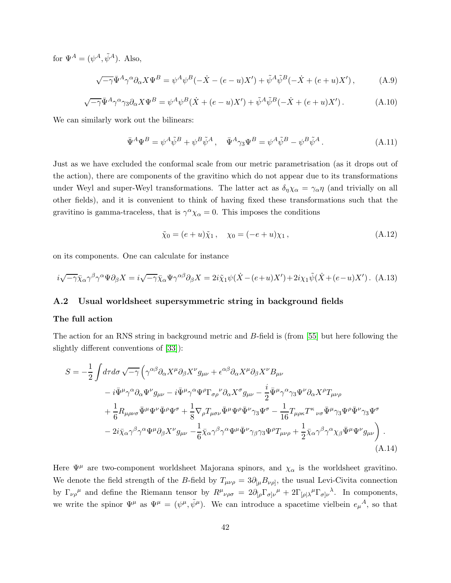for  $\Psi^A = (\psi^A, \tilde{\psi}^A)$ . Also,

$$
\sqrt{-\gamma}\bar{\Psi}^A\gamma^\alpha\partial_\alpha X\Psi^B = \psi^A\psi^B(-\dot{X} - (e - u)X') + \tilde{\psi}^A\tilde{\psi}^B(-\dot{X} + (e + u)X')\,,\tag{A.9}
$$

$$
\sqrt{-\gamma}\bar{\Psi}^A\gamma^{\alpha}\gamma_3\partial_{\alpha}X\Psi^B = \psi^A\psi^B(\dot{X} + (e - u)X') + \tilde{\psi}^A\tilde{\psi}^B(-\dot{X} + (e + u)X'). \tag{A.10}
$$

We can similarly work out the bilinears:

$$
\bar{\Psi}^A \Psi^B = \psi^A \tilde{\psi}^B + \psi^B \tilde{\psi}^A, \quad \bar{\Psi}^A \gamma_3 \Psi^B = \psi^A \tilde{\psi}^B - \psi^B \tilde{\psi}^A. \tag{A.11}
$$

Just as we have excluded the conformal scale from our metric parametrisation (as it drops out of the action), there are components of the gravitino which do not appear due to its transformations under Weyl and super-Weyl transformations. The latter act as  $\delta_{\eta}\chi_{\alpha} = \gamma_{\alpha}\eta$  (and trivially on all other fields), and it is convenient to think of having fixed these transformations such that the gravitino is gamma-traceless, that is  $\gamma^{\alpha} \chi_{\alpha} = 0$ . This imposes the conditions

$$
\tilde{\chi}_0 = (e+u)\tilde{\chi}_1, \quad \chi_0 = (-e+u)\chi_1, \tag{A.12}
$$

on its components. One can calculate for instance

<span id="page-41-0"></span>
$$
i\sqrt{-\gamma}\bar{\chi}_{\alpha}\gamma^{\beta}\gamma^{\alpha}\Psi\partial_{\beta}X = i\sqrt{-\gamma}\bar{\chi}_{\alpha}\Psi\gamma^{\alpha\beta}\partial_{\beta}X = 2i\tilde{\chi}_{1}\psi(\dot{X} - (e+u)X') + 2i\chi_{1}\tilde{\psi}(\dot{X} + (e-u)X') .
$$
 (A.13)

## A.2 Usual worldsheet supersymmetric string in background fields

#### The full action

The action for an RNS string in background metric and B-field is (from [\[55\]](#page-50-9) but here following the slightly different conventions of [\[33\]](#page-49-2)):

$$
S = -\frac{1}{2} \int d\tau d\sigma \sqrt{-\gamma} \left( \gamma^{\alpha\beta} \partial_{\alpha} X^{\mu} \partial_{\beta} X^{\nu} g_{\mu\nu} + \epsilon^{\alpha\beta} \partial_{\alpha} X^{\mu} \partial_{\beta} X^{\nu} B_{\mu\nu} \right. \n- i \bar{\Psi}^{\mu} \gamma^{\alpha} \partial_{\alpha} \Psi^{\nu} g_{\mu\nu} - i \bar{\Psi}^{\mu} \gamma^{\alpha} \Psi^{\rho} \Gamma_{\sigma\rho}{}^{\nu} \partial_{\alpha} X^{\sigma} g_{\mu\nu} - \frac{i}{2} \bar{\Psi}^{\mu} \gamma^{\alpha} \gamma_3 \Psi^{\nu} \partial_{\alpha} X^{\rho} T_{\mu\nu\rho} \n+ \frac{1}{6} R_{\mu\rho\nu\sigma} \bar{\Psi}^{\mu} \Psi^{\nu} \bar{\Psi}^{\rho} \Psi^{\sigma} + \frac{1}{8} \nabla_{\rho} T_{\mu\sigma\nu} \bar{\Psi}^{\mu} \Psi^{\rho} \bar{\Psi}^{\nu} \gamma_3 \Psi^{\sigma} - \frac{1}{16} T_{\mu\rho\kappa} T^{\kappa}{}_{\nu\sigma} \bar{\Psi}^{\mu} \gamma_3 \Psi^{\rho} \bar{\Psi}^{\nu} \gamma_3 \Psi^{\sigma} \n- 2 i \bar{\chi}_{\alpha} \gamma^{\beta} \gamma^{\alpha} \Psi^{\mu} \partial_{\beta} X^{\nu} g_{\mu\nu} - \frac{1}{6} \bar{\chi}_{\alpha} \gamma^{\beta} \gamma^{\alpha} \Psi^{\mu} \bar{\Psi}^{\nu} \gamma_{\beta} \gamma_3 \Psi^{\rho} T_{\mu\nu\rho} + \frac{1}{2} \bar{\chi}_{\alpha} \gamma^{\beta} \gamma^{\alpha} \chi_{\beta} \bar{\Psi}^{\mu} \Psi^{\nu} g_{\mu\nu} \right) .
$$
\n(A.14)

Here  $\Psi^{\mu}$  are two-component worldsheet Majorana spinors, and  $\chi_{\alpha}$  is the worldsheet gravitino. We denote the field strength of the B-field by  $T_{\mu\nu\rho} = 3\partial_{[\mu}B_{\nu\rho]}$ , the usual Levi-Civita connection by  $\Gamma_{\nu\rho}{}^{\mu}$  and define the Riemann tensor by  $R^{\mu}{}_{\nu\rho\sigma} = 2\partial_{[\rho}\Gamma_{\sigma]\nu}{}^{\mu} + 2\Gamma_{[\rho]\lambda}{}^{\mu}\Gamma_{\sigma]\nu}{}^{\lambda}$ . In components, we write the spinor  $\Psi^{\mu}$  as  $\Psi^{\mu} = (\psi^{\mu}, \tilde{\psi}^{\mu})$ . We can introduce a spacetime vielbein  $e_{\mu}{}^{A}$ , so that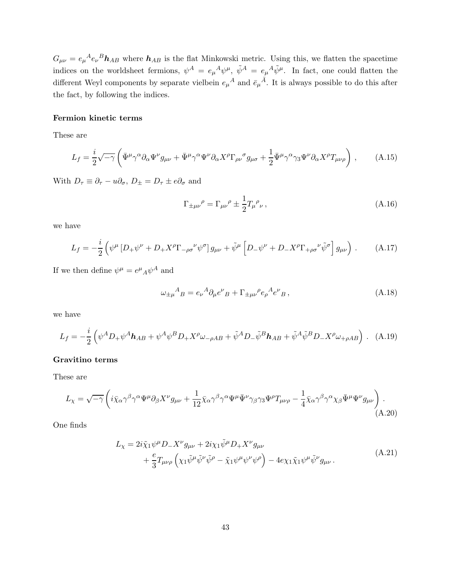$G_{\mu\nu} = e_{\mu}{}^{A}e_{\nu}{}^{B}\mathbf{h}_{AB}$  where  $\mathbf{h}_{AB}$  is the flat Minkowski metric. Using this, we flatten the spacetime indices on the worldsheet fermions,  $\psi^A = e_\mu{}^A \psi^\mu$ ,  $\tilde{\psi}^A = e_\mu{}^A \tilde{\psi}^\mu$ . In fact, one could flatten the different Weyl components by separate vielbein  $e_{\mu}{}^{A}$  and  $\bar{e}_{\mu}{}^{\bar{A}}$ . It is always possible to do this after the fact, by following the indices.

#### Fermion kinetic terms

These are

$$
L_f = \frac{i}{2} \sqrt{-\gamma} \left( \bar{\Psi}^{\mu} \gamma^{\alpha} \partial_{\alpha} \Psi^{\nu} g_{\mu\nu} + \bar{\Psi}^{\mu} \gamma^{\alpha} \Psi^{\nu} \partial_{\alpha} X^{\rho} \Gamma_{\rho\nu}{}^{\sigma} g_{\mu\sigma} + \frac{1}{2} \bar{\Psi}^{\mu} \gamma^{\alpha} \gamma_3 \Psi^{\nu} \partial_{\alpha} X^{\rho} T_{\mu\nu\rho} \right) , \tag{A.15}
$$

With  $D_{\tau} \equiv \partial_{\tau} - u \partial_{\sigma}$ ,  $D_{\pm} = D_{\tau} \pm e \partial_{\sigma}$  and

<span id="page-42-0"></span>
$$
\Gamma_{\pm\mu\nu}{}^{\rho} = \Gamma_{\mu\nu}{}^{\rho} \pm \frac{1}{2} T_{\mu}{}^{\rho}{}_{\nu} , \qquad (A.16)
$$

we have

$$
L_f = -\frac{i}{2} \left( \psi^{\mu} \left[ D_+ \psi^{\nu} + D_+ X^{\rho} \Gamma_{-\rho \sigma}{}^{\nu} \psi^{\sigma} \right] g_{\mu \nu} + \tilde{\psi}^{\mu} \left[ D_- \psi^{\nu} + D_- X^{\rho} \Gamma_{+\rho \sigma}{}^{\nu} \tilde{\psi}^{\sigma} \right] g_{\mu \nu} \right) . \tag{A.17}
$$

If we then define  $\psi^{\mu} = e^{\mu}{}_{A}\psi^{A}$  and

$$
\omega_{\pm \mu}{}^{A}{}_{B} = e_{\nu}{}^{A} \partial_{\mu} e^{\nu}{}_{B} + \Gamma_{\pm \mu \nu}{}^{\rho} e_{\rho}{}^{A} e^{\nu}{}_{B} \,, \tag{A.18}
$$

we have

$$
L_f = -\frac{i}{2} \left( \psi^A D_+ \psi^A \mathbf{h}_{AB} + \psi^A \psi^B D_+ X^\rho \omega_{-\rho AB} + \tilde{\psi}^A D_- \tilde{\psi}^B \mathbf{h}_{AB} + \tilde{\psi}^A \tilde{\psi}^B D_- X^\rho \omega_{+\rho AB} \right) .
$$
 (A.19)

## Gravitino terms

These are

$$
L_{\chi} = \sqrt{-\gamma} \left( i \bar{\chi}_{\alpha} \gamma^{\beta} \gamma^{\alpha} \Psi^{\mu} \partial_{\beta} X^{\nu} g_{\mu\nu} + \frac{1}{12} \bar{\chi}_{\alpha} \gamma^{\beta} \gamma^{\alpha} \Psi^{\mu} \bar{\Psi}^{\nu} \gamma_{\beta} \gamma_{3} \Psi^{\rho} T_{\mu\nu\rho} - \frac{1}{4} \bar{\chi}_{\alpha} \gamma^{\beta} \gamma^{\alpha} \chi_{\beta} \bar{\Psi}^{\mu} \Psi^{\nu} g_{\mu\nu} \right). \tag{A.20}
$$

One finds

$$
L_{\chi} = 2i\tilde{\chi}_1\psi^{\mu}D_{-}X^{\nu}g_{\mu\nu} + 2i\chi_1\tilde{\psi}^{\mu}D_{+}X^{\nu}g_{\mu\nu} + \frac{e}{3}T_{\mu\nu\rho}\left(\chi_1\tilde{\psi}^{\mu}\tilde{\psi}^{\nu}\tilde{\psi}^{\rho} - \tilde{\chi}_1\psi^{\mu}\psi^{\nu}\psi^{\rho}\right) - 4e\chi_1\tilde{\chi}_1\psi^{\mu}\tilde{\psi}^{\nu}g_{\mu\nu}.
$$
 (A.21)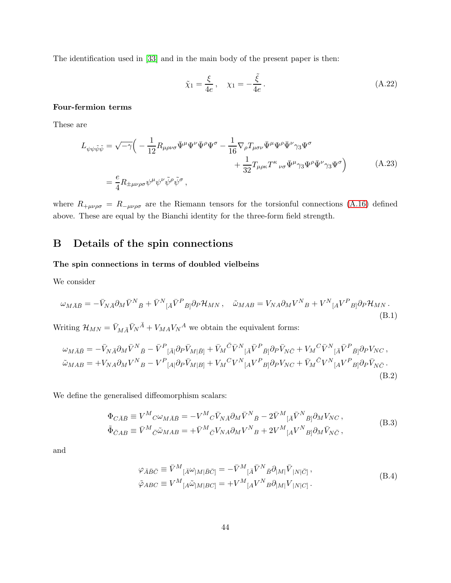The identification used in [\[33\]](#page-49-2) and in the main body of the present paper is then:

$$
\tilde{\chi}_1 = \frac{\xi}{4e}, \quad \chi_1 = -\frac{\tilde{\xi}}{4e}.
$$
\n(A.22)

## Four-fermion terms

These are

$$
L_{\psi\psi\tilde{\psi}\tilde{\psi}} = \sqrt{-\gamma} \Big( -\frac{1}{12} R_{\mu\rho\nu\sigma} \bar{\Psi}^{\mu} \Psi^{\nu} \bar{\Psi}^{\rho} \Psi^{\sigma} - \frac{1}{16} \nabla_{\rho} T_{\mu\sigma\nu} \bar{\Psi}^{\mu} \Psi^{\rho} \bar{\Psi}^{\nu} \gamma_{3} \Psi^{\sigma} + \frac{1}{32} T_{\mu\rho\kappa} T^{\kappa}{}_{\nu\sigma} \bar{\Psi}^{\mu} \gamma_{3} \Psi^{\rho} \bar{\Psi}^{\nu} \gamma_{3} \Psi^{\sigma} \Big)
$$
(A.23)  

$$
= \frac{e}{4} R_{\pm \mu\nu\rho\sigma} \psi^{\mu} \psi^{\nu} \tilde{\psi}^{\rho} \tilde{\psi}^{\sigma} ,
$$

where  $R_{+\mu\nu\rho\sigma} = R_{-\mu\nu\rho\sigma}$  are the Riemann tensors for the torsionful connections [\(A.16\)](#page-42-0) defined above. These are equal by the Bianchi identity for the three-form field strength.

# <span id="page-43-0"></span>B Details of the spin connections

## The spin connections in terms of doubled vielbeins

We consider

$$
\omega_{M\bar{A}\bar{B}} = -\bar{V}_{N\bar{A}}\partial_M\bar{V}^N{}_{\bar{B}} + \bar{V}^N{}_{[\bar{A}}\bar{V}^P{}_{\bar{B}]}\partial_P\mathcal{H}_{MN}\,, \quad \tilde{\omega}_{MAB} = V_{NA}\partial_MV^N{}_{B} + V^N{}_{[A}V^P{}_{B]}\partial_P\mathcal{H}_{MN}\,.
$$
\n(B.1)

Writing  $\mathcal{H}_{MN} = \bar{V}_{M\bar{A}} \bar{V}_N{}^{\bar{A}} + V_{MA} V_N{}^A$  we obtain the equivalent forms:

$$
\omega_{M\bar{A}\bar{B}} = -\bar{V}_{N\bar{A}}\partial_M\bar{V}^N{}_{\bar{B}} - \bar{V}^P{}_{[\bar{A}]} \partial_P \bar{V}_{M|\bar{B}]} + \bar{V}_M{}^{\bar{C}}\bar{V}^N{}_{[\bar{A}}\bar{V}^P{}_{\bar{B}]} \partial_P \bar{V}_{N\bar{C}} + V_M{}^{\bar{C}}\bar{V}^N{}_{[\bar{A}}\bar{V}^P{}_{\bar{B}]} \partial_P V_{NC} ,
$$
  
\n
$$
\tilde{\omega}_{MAB} = +V_{NA}\partial_M V^N{}_{B} - V^P{}_{[A|}\partial_P \bar{V}_{M|B]} + V_M{}^{\bar{C}}V^N{}_{[A}V^P{}_{B]}\partial_P V_{NC} + \bar{V}_M{}^{\bar{C}}V^N{}_{[A}V^P{}_{B]}\partial_P \bar{V}_{N\bar{C}} .
$$
\n(B.2)

We define the generalised diffeomorphism scalars:

$$
\begin{split}\n\Phi_{C\bar{A}\bar{B}} &\equiv V^M{}_C \omega_{M\bar{A}\bar{B}} = -V^M{}_C \bar{V}_{N\bar{A}} \partial_M \bar{V}^N{}_{\bar{B}} - 2\bar{V}^M{}_{[\bar{A}} \bar{V}^N{}_{\bar{B}} \partial_M V_{NC} \,, \\
\tilde{\Phi}_{\bar{C}AB} &\equiv \bar{V}^M{}_{\bar{C}} \tilde{\omega}_{MAB} = +\bar{V}^M{}_{\bar{C}} V_{NA} \partial_M V^N{}_{B} + 2V^M{}_{[A} V^N{}_{B]} \partial_M \bar{V}_{N\bar{C}} \,,\n\end{split} \tag{B.3}
$$

and

$$
\varphi_{\bar{A}\bar{B}\bar{C}} \equiv \bar{V}^M_{\ \ [\bar{A}}\omega_{|M|\bar{B}\bar{C}]} = -\bar{V}^M_{\ \ [\bar{A}}\bar{V}^N_{\ \ \bar{B}}\partial_{|M|}\bar{V}_{|N|\bar{C}]}\,,
$$
\n
$$
\tilde{\varphi}_{ABC} \equiv V^M_{\ \ [A}\tilde{\omega}_{|M|BC]} = +V^M_{\ \ [A}V^N_{\ \ B}\partial_{|M|}V_{|N|C]}.
$$
\n(B.4)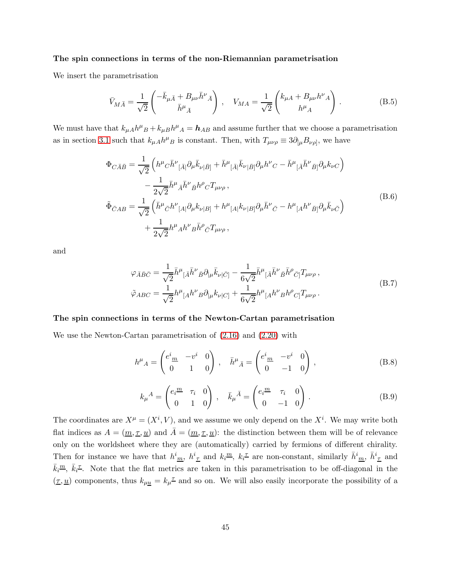#### The spin connections in terms of the non-Riemannian parametrisation

We insert the parametrisation

$$
\bar{V}_{M\bar{A}} = \frac{1}{\sqrt{2}} \begin{pmatrix} -\bar{k}_{\mu\bar{A}} + B_{\mu\nu}\bar{h}^{\nu}{}_{\bar{A}} \\ \bar{h}^{\mu}{}_{\bar{A}} \end{pmatrix} , \quad V_{M\bar{A}} = \frac{1}{\sqrt{2}} \begin{pmatrix} k_{\mu A} + B_{\mu\nu}h^{\nu}{}_{A} \\ h^{\mu}{}_{A} \end{pmatrix} . \tag{B.5}
$$

We must have that  $k_{\mu}A h^{\mu}{}_{B} + k_{\mu}B h^{\mu}{}_{A} = \mathbf{h}_{AB}$  and assume further that we choose a parametrisation as in section [3.1](#page-15-1) such that  $k_{\mu}A h^{\mu}B$  is constant. Then, with  $T_{\mu\nu\rho} \equiv 3\partial_{[\mu}B_{\nu\rho]}$ , we have

$$
\Phi_{C\bar{A}\bar{B}} = \frac{1}{\sqrt{2}} \left( h^{\mu}{}_{C} \bar{h}^{\nu}{}_{[\bar{A}]} \partial_{\mu} \bar{k}_{\nu|\bar{B}]} + \bar{h}^{\mu}{}_{[\bar{A}]} \bar{k}_{\nu|\bar{B}]} \partial_{\mu} h^{\nu}{}_{C} - \bar{h}^{\mu}{}_{[\bar{A}} \bar{h}^{\nu}{}_{\bar{B}]} \partial_{\mu} k_{\nu C} \right) \n- \frac{1}{2\sqrt{2}} \bar{h}^{\mu}{}_{\bar{A}} \bar{h}^{\nu}{}_{\bar{B}} h^{\rho}{}_{C} T_{\mu\nu\rho} , \n\tilde{\Phi}_{\bar{C}AB} = \frac{1}{\sqrt{2}} \left( \bar{h}^{\mu}{}_{\bar{C}} h^{\nu}{}_{[A|} \partial_{\mu} k_{\nu|B]} + h^{\mu}{}_{[A|} k_{\nu|B]} \partial_{\mu} \bar{h}^{\nu}{}_{\bar{C}} - h^{\mu}{}_{[A} h^{\nu}{}_{\bar{B}]} \partial_{\mu} \bar{k}_{\nu\bar{C}} \right) \n+ \frac{1}{2\sqrt{2}} h^{\mu}{}_{A} h^{\nu}{}_{B} \bar{h}^{\rho}{}_{\bar{C}} T_{\mu\nu\rho} ,
$$
\n(B.6)

and

$$
\varphi_{\bar{A}\bar{B}\bar{C}} = \frac{1}{\sqrt{2}} \bar{h}^{\mu}{}_{[\bar{A}} \bar{h}^{\nu}{}_{\bar{B}} \partial_{|\mu} \bar{k}_{\nu|\bar{C}]} - \frac{1}{6\sqrt{2}} \bar{h}^{\mu}{}_{[\bar{A}} \bar{h}^{\nu}{}_{\bar{B}} \bar{h}^{\rho}{}_{\bar{C}]} T_{\mu\nu\rho} ,
$$
\n
$$
\tilde{\varphi}_{ABC} = \frac{1}{\sqrt{2}} h^{\mu}{}_{[A} h^{\nu}{}_{B} \partial_{|\mu} k_{\nu|C]} + \frac{1}{6\sqrt{2}} h^{\mu}{}_{[A} h^{\nu}{}_{B} h^{\rho}{}_{C]} T_{\mu\nu\rho} .
$$
\n(B.7)

#### The spin connections in terms of the Newton-Cartan parametrisation

We use the Newton-Cartan parametrisation of [\(2.16\)](#page-9-0) and [\(2.20\)](#page-10-4) with

$$
h^{\mu}{}_{A} = \begin{pmatrix} e^{i}{}_{\underline{m}} & -v^{i} & 0 \\ 0 & 1 & 0 \end{pmatrix}, \quad \bar{h}^{\mu}{}_{\bar{A}} = \begin{pmatrix} e^{i}{}_{\underline{m}} & -v^{i} & 0 \\ 0 & -1 & 0 \end{pmatrix}, \tag{B.8}
$$

$$
k_{\mu}{}^{A} = \begin{pmatrix} e_i^{\underline{m}} & \tau_i & 0 \\ 0 & 1 & 0 \end{pmatrix} \,, \quad \bar{k}_{\mu}{}^{\bar{A}} = \begin{pmatrix} e_i^{\underline{m}} & \tau_i & 0 \\ 0 & -1 & 0 \end{pmatrix} \,.
$$
\n(B.9)

The coordinates are  $X^{\mu} = (X^{i}, V)$ , and we assume we only depend on the  $X^{i}$ . We may write both flat indices as  $A = (\underline{m}, \underline{\tau}, \underline{u})$  and  $\overline{A} = (\underline{m}, \underline{\tau}, \underline{u})$ : the distinction between them will be of relevance only on the worldsheet where they are (automatically) carried by fermions of different chirality. Then for instance we have that  $h^i_{m}$ ,  $h^i_{\tau}$  and  $k_i^{\underline{m}}$ ,  $k_i^{\tau}$  are non-constant, similarly  $\bar{h}^i_{m}$ ,  $\bar{h}^i_{\tau}$  and  $\bar{k}_i^{\underline{m}}, \ \bar{k}_i^{\underline{\tau}}$ . Note that the flat metrics are taken in this parametrisation to be off-diagonal in the  $(\underline{\tau}, \underline{u})$  components, thus  $k_{\mu \underline{u}} = k_{\mu}^{\underline{\tau}}$  and so on. We will also easily incorporate the possibility of a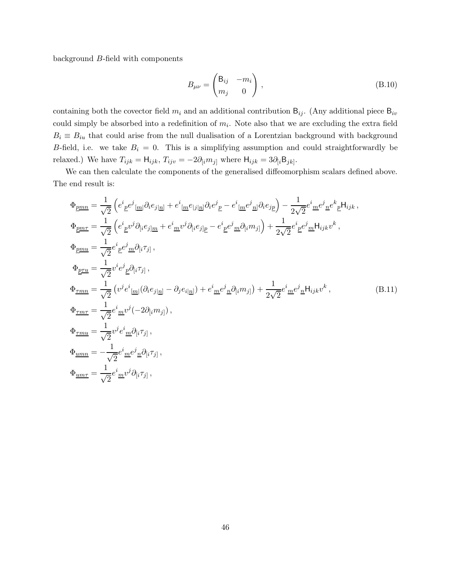background B-field with components

$$
B_{\mu\nu} = \begin{pmatrix} B_{ij} & -m_i \\ m_j & 0 \end{pmatrix}, \tag{B.10}
$$

containing both the covector field  $m_i$  and an additional contribution  $B_{ij}$ . (Any additional piece  $B_{iv}$ could simply be absorbed into a redefinition of  $m_i$ . Note also that we are excluding the extra field  $B_i \equiv B_{iu}$  that could arise from the null dualisation of a Lorentzian background with background B-field, i.e. we take  $B_i = 0$ . This is a simplifying assumption and could straightforwardly be relaxed.) We have  $T_{ijk} = H_{ijk}$ ,  $T_{ijv} = -2\partial_{[i}m_{j]}$  where  $H_{ijk} = 3\partial_{[i}B_{jk]}$ .

We can then calculate the components of the generalised diffeomorphism scalars defined above. The end result is:

$$
\Phi_{\underline{p}\underline{m}\underline{n}} = \frac{1}{\sqrt{2}} \left( e^{i}_{\ \underline{p}} e^{j}_{\ \underline{m} \underline{p}} \partial_{i} e_{j}{}_{\underline{n}} \right) + e^{i}_{\ \underline{m}} e_{|j}{}_{\underline{n} \underline{p}} \partial_{i} e^{j}_{\ \underline{p}} - e^{i}_{\ \underline{m}} e^{j}_{\ \underline{n} \underline{p}} \partial_{i} e_{j}{}_{\underline{p}} \right) - \frac{1}{2\sqrt{2}} e^{i}_{\ \underline{m}} e^{j}_{\ \underline{n}} e^{k}_{\ \underline{p}} H_{ijk} ,
$$
\n
$$
\Phi_{\underline{p}\underline{m}\underline{r}} = \frac{1}{\sqrt{2}} \left( e^{i}_{\ \underline{p}} v^{j} \partial_{[i} e_{j] \underline{m}} + e^{i}_{\ \underline{m}} v^{j} \partial_{[i} e_{j] \underline{p}} - e^{i}_{\ \underline{p}} e^{j}_{\ \underline{m}} \partial_{[i} m_{j]} \right) + \frac{1}{2\sqrt{2}} e^{i}_{\ \underline{p}} e^{j}_{\ \underline{m}} H_{ijk} v^{k} ,
$$
\n
$$
\Phi_{\underline{p}\underline{m}\underline{u}} = \frac{1}{\sqrt{2}} e^{i}_{\ \underline{p}} e^{j}_{\ \underline{m}} \partial_{[i} \tau_{j]} ,
$$
\n
$$
\Phi_{\underline{r}\underline{m}\underline{n}} = \frac{1}{\sqrt{2}} \left( v^{j} e^{i}_{\ \underline{m}} [\partial_{i} e_{j] \underline{n}} - \partial_{j} e_{i] \underline{n}} \right) + e^{i}_{\ \underline{m}} e^{j}_{\ \underline{n}} \partial_{[i} m_{j]} \right) + \frac{1}{2\sqrt{2}} e^{i}_{\ \underline{m}} e^{j}_{\ \underline{n}} H_{ijk} v^{k} ,
$$
\n
$$
\Phi_{\underline{r}\underline{m}\underline{r}} = \frac{1}{\sqrt{2}} e^{i}_{\ \underline{m}} v^{j} (-2\partial_{[i} m_{j]} ) ,
$$
\n
$$
\Phi_{\underline{r}\underline{m}\underline{r}} = -\frac{1}{\sqrt{2}} e^{i}_{\ \underline{m}} e^{j}_{\ \underline{n}} \partial_{[i} \tau_{j]} ,
$$
\n
$$
\Phi_{\underline{u}\underline{m}\underline{r}} = -\
$$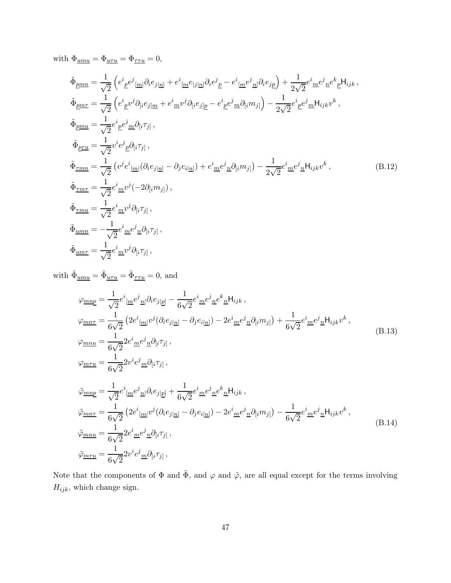with  $\Phi_{\underline{umu}} = \Phi_{\underline{uru}} = \Phi_{\underline{\tau\tau u}} = 0$ ,

$$
\tilde{\Phi}_{\underline{p}\underline{m}\underline{n}} = \frac{1}{\sqrt{2}} \left( e^{i}{}_{\underline{p}} e^{j}{}_{[\underline{m}]} \partial_{i} e_{j|\underline{n}|} + e^{i}{}_{[\underline{m}} e_{|j|\underline{n}]} \partial_{i} e^{j}{}_{\underline{p}} - e^{i}{}_{[\underline{m}} e^{j}{}_{\underline{n}]} \partial_{i} e_{j\underline{p}} \right) + \frac{1}{2\sqrt{2}} e^{i}{}_{\underline{m}} e^{j}{}_{\underline{n}} e^{k}{}_{\underline{p}} H_{ijk},
$$
\n
$$
\tilde{\Phi}_{\underline{p}\underline{m}\underline{n}} = \frac{1}{\sqrt{2}} \left( e^{i}{}_{\underline{p}} v^{j} \partial_{[i} e_{j]\underline{m}} + e^{i}{}_{\underline{m}} v^{j} \partial_{[i} e_{j]\underline{p}} - e^{i}{}_{\underline{p}} e^{j}{}_{\underline{m}} \partial_{[i} m_{j]} \right) - \frac{1}{2\sqrt{2}} e^{i}{}_{\underline{p}} e^{j}{}_{\underline{m}} H_{ijk} v^{k},
$$
\n
$$
\tilde{\Phi}_{\underline{p}\underline{m}\underline{u}} = \frac{1}{\sqrt{2}} e^{i}{}_{\underline{p}} e^{j}{}_{\underline{m}} \partial_{[i} \tau_{j]},
$$
\n
$$
\tilde{\Phi}_{\underline{r}\underline{m}\underline{n}} = \frac{1}{\sqrt{2}} \left( v^{j} e^{i}{}_{[\underline{m}]} (\partial_{i} e_{j|\underline{n}]} - \partial_{j} e_{i|\underline{n}]} \right) + e^{i}{}_{\underline{m}} e^{j}{}_{\underline{n}} \partial_{[i} m_{j]} \right) - \frac{1}{2\sqrt{2}} e^{i}{}_{\underline{m}} e^{j}{}_{\underline{n}} H_{ijk} v^{k},
$$
\n
$$
\tilde{\Phi}_{\underline{r}\underline{m}\underline{r}} = \frac{1}{\sqrt{2}} e^{i}{}_{\underline{m}} v^{j} (-2\partial_{[i} m_{j]}),
$$
\n
$$
\tilde{\Phi}_{\underline{r}\underline{m}\underline{n}} = -\frac{1}{\sqrt{2}} e^{i}{}_{\underline{m}} v^{j} \partial_{[i} \tau_{j]},
$$
\n
$$
\tilde{\Phi}_{\underline{u}\underline{
$$

with  $\tilde{\Phi}_{\underline{u}\underline{m}\underline{u}} = \tilde{\Phi}_{\underline{u}\underline{\tau}\underline{u}} = \tilde{\Phi}_{\underline{\tau}\underline{\tau}\underline{u}} = 0$ , and

$$
\varphi_{\underline{mnp}} = \frac{1}{\sqrt{2}} e^{i}{}_{[\underline{m}} e^{j}{}_{\underline{n}} |\partial_{i} e_{j}{}_{\underline{p}}] - \frac{1}{6\sqrt{2}} e^{i}{}_{\underline{m}} e^{j}{}_{\underline{n}} e^{k}{}_{\underline{n}} H_{ijk} ,
$$
  
\n
$$
\varphi_{\underline{mnr}} = \frac{1}{6\sqrt{2}} \left( 2e^{i}{}_{[\underline{m}]} v^{j} (\partial_{i} e_{j}{}_{\underline{n}}] - \partial_{j} e_{i}{}_{\underline{n}}) - 2e^{i}{}_{\underline{m}} e^{j}{}_{\underline{n}} \partial_{[i} m_{j]} \right) + \frac{1}{6\sqrt{2}} e^{i}{}_{\underline{m}} e^{j}{}_{\underline{n}} H_{ijk} v^{k} ,
$$
  
\n
$$
\varphi_{\underline{mnu}} = \frac{1}{6\sqrt{2}} 2e^{i}{}_{\underline{m}} e^{j}{}_{\underline{n}} \partial_{[i} \tau_{j]} ,
$$
  
\n
$$
\varphi_{\underline{mnp}} = \frac{1}{\sqrt{2}} e^{i}{}_{[\underline{m}} e^{j}{}_{\underline{n}}] \partial_{i} e_{j}{}_{|\underline{p}} + \frac{1}{6\sqrt{2}} e^{i}{}_{\underline{m}} e^{j}{}_{\underline{n}} e^{k}{}_{\underline{n}} H_{ijk} ,
$$
  
\n
$$
\tilde{\varphi}_{\underline{mnr}} = \frac{1}{6\sqrt{2}} \left( 2e^{i}{}_{[\underline{m}]} v^{j} (\partial_{i} e_{j}{}_{|\underline{n}}] - \partial_{j} e_{i}{}_{|\underline{n}} \right) - 2e^{i}{}_{\underline{m}} e^{j}{}_{\underline{n}} \partial_{[i} m_{j]} \right) - \frac{1}{6\sqrt{2}} e^{i}{}_{\underline{m}} e^{j}{}_{\underline{n}} H_{ijk} v^{k} ,
$$
  
\n
$$
\tilde{\varphi}_{\underline{mnu}} = \frac{1}{6\sqrt{2}} 2e^{i}{}_{\underline{m}} e^{j}{}_{\underline{n}} \partial_{[i} \tau_{j]} ,
$$
  
\n
$$
\tilde{\varphi}_{\underline{mnu}} = \frac{1}{6\sqrt{2}} 2v^{i}{}_{e}{}^{j}{}_{\underline{n}} \partial_{
$$

Note that the components of  $\Phi$  and  $\tilde{\Phi}$ , and  $\varphi$  and  $\tilde{\varphi}$ , are all equal except for the terms involving  ${\cal H}_{ijk},$  which change sign.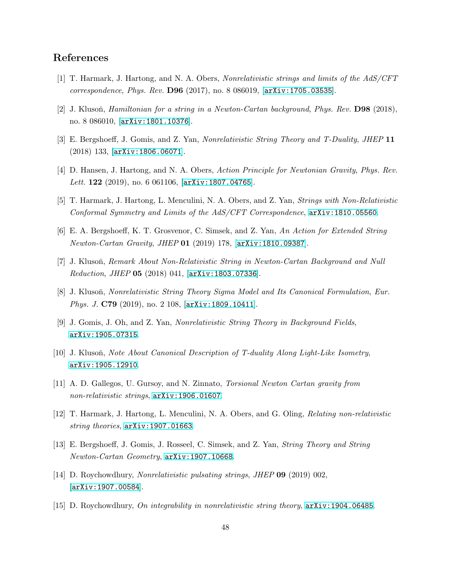# <span id="page-47-0"></span>References

- <span id="page-47-3"></span>[1] T. Harmark, J. Hartong, and N. A. Obers, Nonrelativistic strings and limits of the AdS/CFT correspondence, Phys. Rev. D96 (2017), no. 8 086019, [[arXiv:1705.03535](http://arxiv.org/abs/1705.03535)].
- <span id="page-47-1"></span>[2] J. Klusoň, *Hamiltonian for a string in a Newton-Cartan background, Phys. Rev.* **D98** (2018), no. 8 086010, [[arXiv:1801.10376](http://arxiv.org/abs/1801.10376)].
- <span id="page-47-8"></span>[3] E. Bergshoeff, J. Gomis, and Z. Yan, Nonrelativistic String Theory and T-Duality, JHEP 11 (2018) 133, [[arXiv:1806.06071](http://arxiv.org/abs/1806.06071)].
- <span id="page-47-2"></span>[4] D. Hansen, J. Hartong, and N. A. Obers, Action Principle for Newtonian Gravity, Phys. Rev. Lett. 122 (2019), no. 6 061106,  $[\text{arXiv:1807.04765}].$  $[\text{arXiv:1807.04765}].$  $[\text{arXiv:1807.04765}].$
- [5] T. Harmark, J. Hartong, L. Menculini, N. A. Obers, and Z. Yan, Strings with Non-Relativistic Conformal Symmetry and Limits of the AdS/CFT Correspondence, [arXiv:1810.05560](http://arxiv.org/abs/1810.05560).
- <span id="page-47-4"></span>[6] E. A. Bergshoeff, K. T. Grosvenor, C. Simsek, and Z. Yan, An Action for Extended String Newton-Cartan Gravity, JHEP 01 (2019) 178, [[arXiv:1810.09387](http://arxiv.org/abs/1810.09387)].
- <span id="page-47-5"></span>[7] J. Klusoň, Remark About Non-Relativistic String in Newton-Cartan Background and Null Reduction, JHEP  $05$  (2018) 041,  $\text{arXiv:1803.07336}$  $\text{arXiv:1803.07336}$  $\text{arXiv:1803.07336}$ .
- <span id="page-47-9"></span>[8] J. Klusoň, Nonrelativistic String Theory Sigma Model and Its Canonical Formulation, Eur. Phys. J. C79 (2019), no. 2 108, [[arXiv:1809.10411](http://arxiv.org/abs/1809.10411)].
- <span id="page-47-6"></span>[9] J. Gomis, J. Oh, and Z. Yan, Nonrelativistic String Theory in Background Fields, [arXiv:1905.07315](http://arxiv.org/abs/1905.07315).
- <span id="page-47-10"></span>[10] J. Klusoň, Note About Canonical Description of T-duality Along Light-Like Isometry, [arXiv:1905.12910](http://arxiv.org/abs/1905.12910).
- <span id="page-47-7"></span>[11] A. D. Gallegos, U. Gursoy, and N. Zinnato, Torsional Newton Cartan gravity from non-relativistic strings, [arXiv:1906.01607](http://arxiv.org/abs/1906.01607).
- <span id="page-47-11"></span>[12] T. Harmark, J. Hartong, L. Menculini, N. A. Obers, and G. Oling, Relating non-relativistic string theories, [arXiv:1907.01663](http://arxiv.org/abs/1907.01663).
- [13] E. Bergshoeff, J. Gomis, J. Rosseel, C. Simsek, and Z. Yan, String Theory and String Newton-Cartan Geometry, [arXiv:1907.10668](http://arxiv.org/abs/1907.10668).
- [14] D. Roychowdhury, Nonrelativistic pulsating strings, JHEP 09 (2019) 002, [[arXiv:1907.00584](http://arxiv.org/abs/1907.00584)].
- [15] D. Roychowdhury, On integrability in nonrelativistic string theory, [arXiv:1904.06485](http://arxiv.org/abs/1904.06485).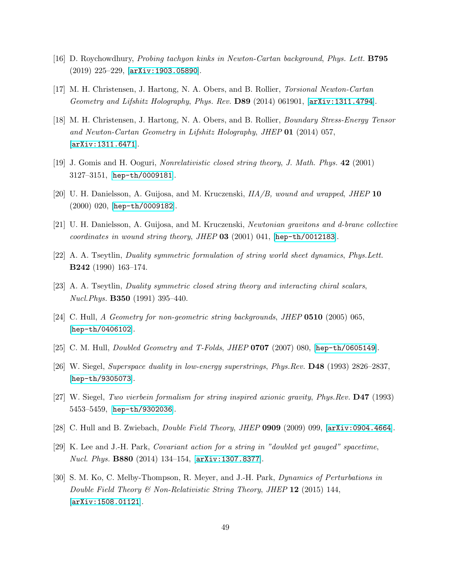- <span id="page-48-1"></span><span id="page-48-0"></span>[16] D. Roychowdhury, Probing tachyon kinks in Newton-Cartan background, Phys. Lett. B795 (2019) 225–229, [[arXiv:1903.05890](http://arxiv.org/abs/1903.05890)].
- <span id="page-48-2"></span>[17] M. H. Christensen, J. Hartong, N. A. Obers, and B. Rollier, Torsional Newton-Cartan Geometry and Lifshitz Holography, Phys. Rev. D89 (2014) 061901, [[arXiv:1311.4794](http://arxiv.org/abs/1311.4794)].
- [18] M. H. Christensen, J. Hartong, N. A. Obers, and B. Rollier, Boundary Stress-Energy Tensor and Newton-Cartan Geometry in Lifshitz Holography, JHEP 01 (2014) 057, [[arXiv:1311.6471](http://arxiv.org/abs/1311.6471)].
- <span id="page-48-3"></span>[19] J. Gomis and H. Ooguri, Nonrelativistic closed string theory, J. Math. Phys. 42 (2001) 3127–3151, [[hep-th/0009181](http://arxiv.org/abs/hep-th/0009181)].
- <span id="page-48-4"></span>[20] U. H. Danielsson, A. Guijosa, and M. Kruczenski,  $IIA/B$ , wound and wrapped, JHEP 10 (2000) 020, [[hep-th/0009182](http://arxiv.org/abs/hep-th/0009182)].
- <span id="page-48-5"></span>[21] U. H. Danielsson, A. Guijosa, and M. Kruczenski, Newtonian gravitons and d-brane collective coordinates in wound string theory, JHEP  $03$  (2001) 041, [[hep-th/0012183](http://arxiv.org/abs/hep-th/0012183)].
- <span id="page-48-11"></span>[22] A. A. Tseytlin, Duality symmetric formulation of string world sheet dynamics, Phys.Lett. B242 (1990) 163–174.
- [23] A. A. Tseytlin, Duality symmetric closed string theory and interacting chiral scalars, Nucl.Phys. B350 (1991) 395–440.
- <span id="page-48-6"></span>[24] C. Hull, A Geometry for non-geometric string backgrounds, JHEP 0510 (2005) 065, [[hep-th/0406102](http://arxiv.org/abs/hep-th/0406102)].
- <span id="page-48-7"></span>[25] C. M. Hull, Doubled Geometry and T-Folds, JHEP 0707 (2007) 080, [[hep-th/0605149](http://arxiv.org/abs/hep-th/0605149)].
- <span id="page-48-12"></span>[26] W. Siegel, Superspace duality in low-energy superstrings, Phys.Rev. D48 (1993) 2826–2837, [[hep-th/9305073](http://arxiv.org/abs/hep-th/9305073)].
- <span id="page-48-8"></span>[27] W. Siegel, Two vierbein formalism for string inspired axionic gravity, Phys.Rev. D47 (1993) 5453–5459, [[hep-th/9302036](http://arxiv.org/abs/hep-th/9302036)].
- <span id="page-48-9"></span>[28] C. Hull and B. Zwiebach, Double Field Theory, JHEP 0909 (2009) 099, [[arXiv:0904.4664](http://arxiv.org/abs/0904.4664)].
- <span id="page-48-10"></span>[29] K. Lee and J.-H. Park, Covariant action for a string in "doubled yet gauged" spacetime, Nucl. Phys. B880 (2014) 134–154, [[arXiv:1307.8377](http://arxiv.org/abs/1307.8377)].
- [30] S. M. Ko, C. Melby-Thompson, R. Meyer, and J.-H. Park, Dynamics of Perturbations in Double Field Theory & Non-Relativistic String Theory, JHEP 12 (2015) 144, [[arXiv:1508.01121](http://arxiv.org/abs/1508.01121)].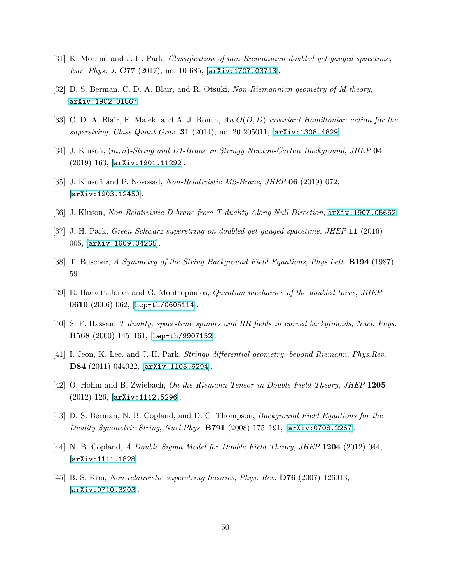- <span id="page-49-1"></span><span id="page-49-0"></span>[31] K. Morand and J.-H. Park, Classification of non-Riemannian doubled-yet-gauged spacetime, Eur. Phys. J. C77 (2017), no. 10 685, [[arXiv:1707.03713](http://arxiv.org/abs/1707.03713)].
- <span id="page-49-2"></span>[32] D. S. Berman, C. D. A. Blair, and R. Otsuki, Non-Riemannian geometry of M-theory, [arXiv:1902.01867](http://arxiv.org/abs/1902.01867).
- <span id="page-49-3"></span>[33] C. D. A. Blair, E. Malek, and A. J. Routh, An O(D, D) invariant Hamiltonian action for the superstring, Class.Quant.Grav. 31 (2014), no. 20 205011, [[arXiv:1308.4829](http://arxiv.org/abs/1308.4829)].
- [34] J. Klusoň,  $(m, n)$ -String and D1-Brane in Stringy Newton-Cartan Background, JHEP 04 (2019) 163, [[arXiv:1901.11292](http://arxiv.org/abs/1901.11292)].
- <span id="page-49-4"></span>[35] J. Klusoň and P. Novosad, Non-Relativistic M2-Brane, JHEP  $06$  (2019) 072, [[arXiv:1903.12450](http://arxiv.org/abs/1903.12450)].
- <span id="page-49-5"></span>[36] J. Kluson, Non-Relativistic D-brane from T-duality Along Null Direction, [arXiv:1907.05662](http://arxiv.org/abs/1907.05662).
- <span id="page-49-6"></span>[37] J.-H. Park, Green-Schwarz superstring on doubled-yet-gauged spacetime, JHEP 11 (2016) 005, [[arXiv:1609.04265](http://arxiv.org/abs/1609.04265)].
- <span id="page-49-7"></span>[38] T. Buscher, A Symmetry of the String Background Field Equations, Phys.Lett. B194 (1987) 59.
- <span id="page-49-8"></span>[39] E. Hackett-Jones and G. Moutsopoulos, Quantum mechanics of the doubled torus, JHEP 0610 (2006) 062, [[hep-th/0605114](http://arxiv.org/abs/hep-th/0605114)].
- <span id="page-49-9"></span>[40] S. F. Hassan, T duality, space-time spinors and RR fields in curved backgrounds, Nucl. Phys. B568 (2000) 145–161, [[hep-th/9907152](http://arxiv.org/abs/hep-th/9907152)].
- <span id="page-49-10"></span>[41] I. Jeon, K. Lee, and J.-H. Park, Stringy differential geometry, beyond Riemann, Phys.Rev. D84 (2011) 044022, [[arXiv:1105.6294](http://arxiv.org/abs/1105.6294)].
- <span id="page-49-11"></span>[42] O. Hohm and B. Zwiebach, On the Riemann Tensor in Double Field Theory, JHEP 1205 (2012) 126, [[arXiv:1112.5296](http://arxiv.org/abs/1112.5296)].
- <span id="page-49-12"></span>[43] D. S. Berman, N. B. Copland, and D. C. Thompson, Background Field Equations for the Duality Symmetric String, Nucl. Phys.  $B791$  (2008) 175–191,  $[\text{arXiv}:0708.2267]$ .
- <span id="page-49-13"></span>[44] N. B. Copland, A Double Sigma Model for Double Field Theory, JHEP 1204 (2012) 044, [[arXiv:1111.1828](http://arxiv.org/abs/1111.1828)].
- [45] B. S. Kim, Non-relativistic superstring theories, Phys. Rev. D76 (2007) 126013, [[arXiv:0710.3203](http://arxiv.org/abs/0710.3203)].